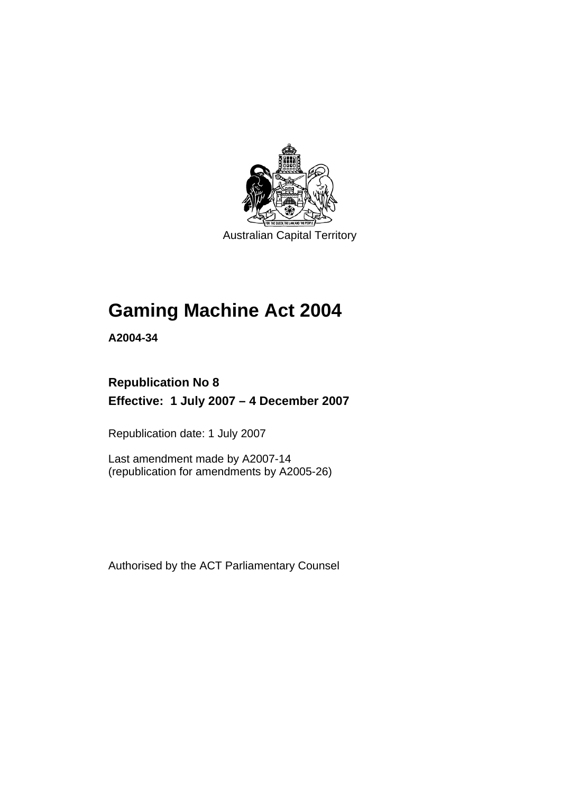

Australian Capital Territory

# **[Gaming Machine Act 2004](#page-10-0)**

**A2004-34** 

# **Republication No 8 Effective: 1 July 2007 – 4 December 2007**

Republication date: 1 July 2007

Last amendment made by A2007-14 (republication for amendments by A2005-26)

Authorised by the ACT Parliamentary Counsel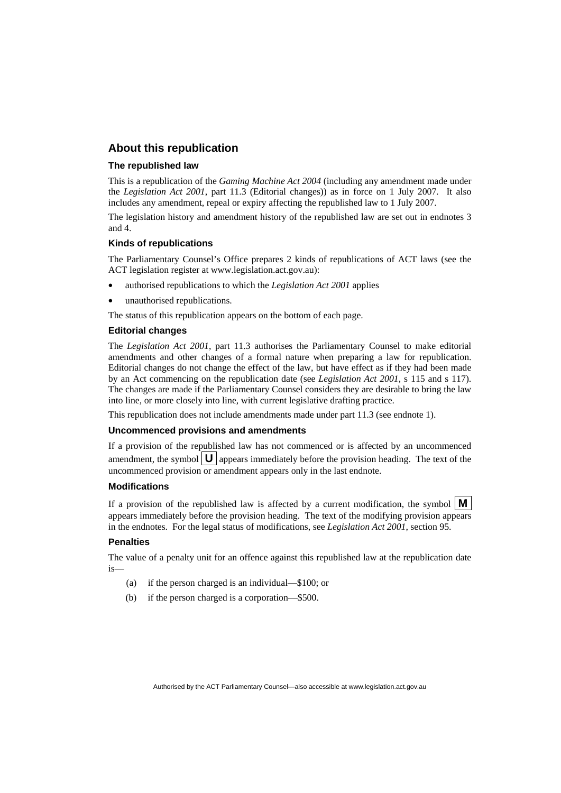# **About this republication**

#### **The republished law**

This is a republication of the *Gaming Machine Act 2004* (including any amendment made under the *Legislation Act 2001*, part 11.3 (Editorial changes)) as in force on 1 July 2007*.* It also includes any amendment, repeal or expiry affecting the republished law to 1 July 2007.

The legislation history and amendment history of the republished law are set out in endnotes 3 and 4.

#### **Kinds of republications**

The Parliamentary Counsel's Office prepares 2 kinds of republications of ACT laws (see the ACT legislation register at www.legislation.act.gov.au):

- authorised republications to which the *Legislation Act 2001* applies
- unauthorised republications.

The status of this republication appears on the bottom of each page.

#### **Editorial changes**

The *Legislation Act 2001*, part 11.3 authorises the Parliamentary Counsel to make editorial amendments and other changes of a formal nature when preparing a law for republication. Editorial changes do not change the effect of the law, but have effect as if they had been made by an Act commencing on the republication date (see *Legislation Act 2001*, s 115 and s 117). The changes are made if the Parliamentary Counsel considers they are desirable to bring the law into line, or more closely into line, with current legislative drafting practice.

This republication does not include amendments made under part 11.3 (see endnote 1).

#### **Uncommenced provisions and amendments**

If a provision of the republished law has not commenced or is affected by an uncommenced amendment, the symbol  $\mathbf{U}$  appears immediately before the provision heading. The text of the uncommenced provision or amendment appears only in the last endnote.

#### **Modifications**

If a provision of the republished law is affected by a current modification, the symbol  $\mathbf{M}$ appears immediately before the provision heading. The text of the modifying provision appears in the endnotes. For the legal status of modifications, see *Legislation Act 2001*, section 95.

#### **Penalties**

The value of a penalty unit for an offence against this republished law at the republication date is—

- (a) if the person charged is an individual—\$100; or
- (b) if the person charged is a corporation—\$500.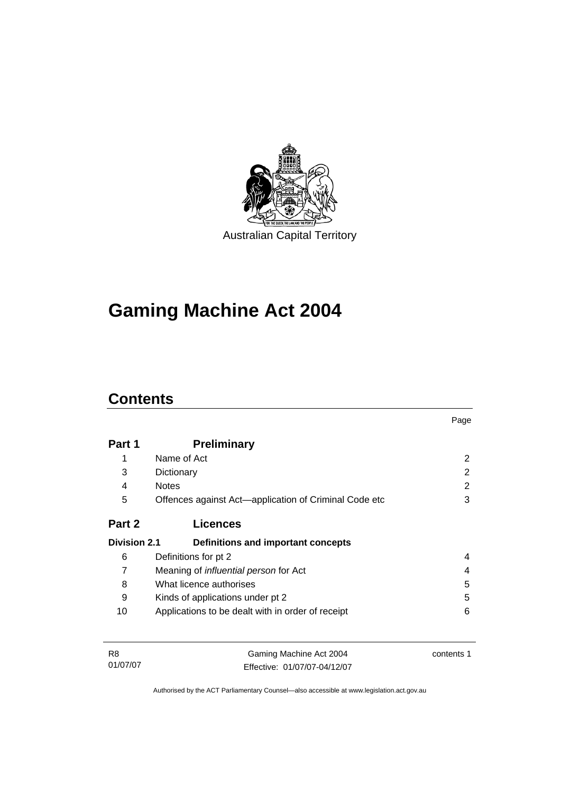

# **[Gaming Machine Act 2004](#page-10-0)**

# **Contents**

|                     |                                                       | Page |
|---------------------|-------------------------------------------------------|------|
| Part 1              | <b>Preliminary</b>                                    |      |
| 1                   | Name of Act                                           | 2    |
| 3                   | Dictionary                                            | 2    |
| 4                   | <b>Notes</b>                                          | 2    |
| 5                   | Offences against Act-application of Criminal Code etc | 3    |
| Part 2              | <b>Licences</b>                                       |      |
| <b>Division 2.1</b> | Definitions and important concepts                    |      |
| 6                   | Definitions for pt 2                                  | 4    |
| 7                   | Meaning of <i>influential person</i> for Act          | 4    |
| 8                   | What licence authorises                               | 5    |
| 9                   | Kinds of applications under pt 2                      | 5    |
| 10                  | Applications to be dealt with in order of receipt     | 6    |
|                     |                                                       |      |
|                     |                                                       |      |

| R8       | Gaming Machine Act 2004      | contents 1 |
|----------|------------------------------|------------|
| 01/07/07 | Effective: 01/07/07-04/12/07 |            |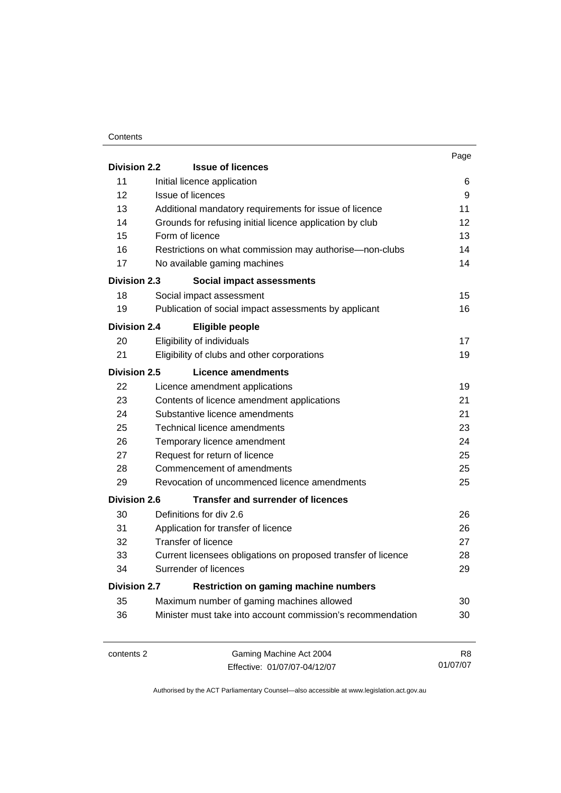#### **Contents**

|                     |                                                               | Page            |
|---------------------|---------------------------------------------------------------|-----------------|
| <b>Division 2.2</b> | <b>Issue of licences</b>                                      |                 |
| 11                  | Initial licence application                                   | 6               |
| 12                  | Issue of licences                                             | 9               |
| 13                  | Additional mandatory requirements for issue of licence        | 11              |
| 14                  | Grounds for refusing initial licence application by club      | 12 <sup>2</sup> |
| 15                  | Form of licence                                               | 13              |
| 16                  | Restrictions on what commission may authorise—non-clubs       | 14              |
| 17                  | No available gaming machines                                  | 14              |
| <b>Division 2.3</b> | Social impact assessments                                     |                 |
| 18                  | Social impact assessment                                      | 15              |
| 19                  | Publication of social impact assessments by applicant         | 16              |
| <b>Division 2.4</b> | <b>Eligible people</b>                                        |                 |
| 20                  | Eligibility of individuals                                    | 17              |
| 21                  | Eligibility of clubs and other corporations                   | 19              |
| Division 2.5        | Licence amendments                                            |                 |
| 22                  | Licence amendment applications                                | 19              |
| 23                  | Contents of licence amendment applications                    | 21              |
| 24                  | Substantive licence amendments                                | 21              |
| 25                  | Technical licence amendments                                  | 23              |
| 26                  | Temporary licence amendment                                   | 24              |
| 27                  | Request for return of licence                                 | 25              |
| 28                  | Commencement of amendments                                    | 25              |
| 29                  | Revocation of uncommenced licence amendments                  | 25              |
| <b>Division 2.6</b> | Transfer and surrender of licences                            |                 |
| 30                  | Definitions for div 2.6                                       | 26              |
| 31                  | Application for transfer of licence                           | 26              |
| 32                  | Transfer of licence                                           | 27              |
| 33                  | Current licensees obligations on proposed transfer of licence | 28              |
| 34                  | Surrender of licences                                         | 29              |
| <b>Division 2.7</b> | <b>Restriction on gaming machine numbers</b>                  |                 |
| 35                  | Maximum number of gaming machines allowed                     | 30              |
| 36                  | Minister must take into account commission's recommendation   | 30              |
|                     |                                                               |                 |
|                     |                                                               |                 |

contents 2 Gaming Machine Act 2004 Effective: 01/07/07-04/12/07

R8 01/07/07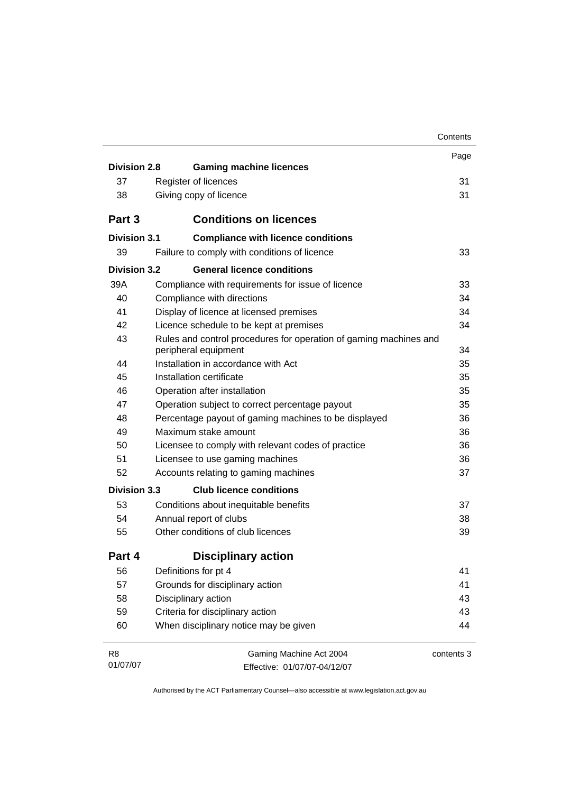|                     |                                                                   | Contents   |
|---------------------|-------------------------------------------------------------------|------------|
|                     |                                                                   | Page       |
| <b>Division 2.8</b> | <b>Gaming machine licences</b>                                    |            |
| 37                  | Register of licences                                              | 31         |
| 38                  | Giving copy of licence                                            | 31         |
| Part 3              | <b>Conditions on licences</b>                                     |            |
| Division 3.1        | <b>Compliance with licence conditions</b>                         |            |
| 39                  | Failure to comply with conditions of licence                      | 33         |
| <b>Division 3.2</b> | <b>General licence conditions</b>                                 |            |
| 39A                 | Compliance with requirements for issue of licence                 | 33         |
| 40                  | Compliance with directions                                        | 34         |
| 41                  | Display of licence at licensed premises                           | 34         |
| 42                  | Licence schedule to be kept at premises                           | 34         |
| 43                  | Rules and control procedures for operation of gaming machines and |            |
|                     | peripheral equipment                                              | 34         |
| 44                  | Installation in accordance with Act                               | 35         |
| 45                  | Installation certificate                                          | 35         |
| 46                  | Operation after installation                                      | 35         |
| 47                  | Operation subject to correct percentage payout                    | 35         |
| 48                  | Percentage payout of gaming machines to be displayed              | 36         |
| 49                  | Maximum stake amount                                              | 36         |
| 50                  | Licensee to comply with relevant codes of practice                | 36         |
| 51                  | Licensee to use gaming machines                                   | 36         |
| 52                  | Accounts relating to gaming machines                              | 37         |
| <b>Division 3.3</b> | <b>Club licence conditions</b>                                    |            |
| 53                  | Conditions about inequitable benefits                             | 37         |
| 54                  | Annual report of clubs                                            | 38         |
| 55                  | Other conditions of club licences                                 | 39         |
| Part 4              | <b>Disciplinary action</b>                                        |            |
| 56                  | Definitions for pt 4                                              | 41         |
| 57                  | Grounds for disciplinary action                                   | 41         |
| 58                  | Disciplinary action                                               | 43         |
| 59                  | Criteria for disciplinary action                                  | 43         |
| 60                  | When disciplinary notice may be given                             | 44         |
| R <sub>8</sub>      | Gaming Machine Act 2004                                           | contents 3 |
| 01/07/07            | Effective: 01/07/07-04/12/07                                      |            |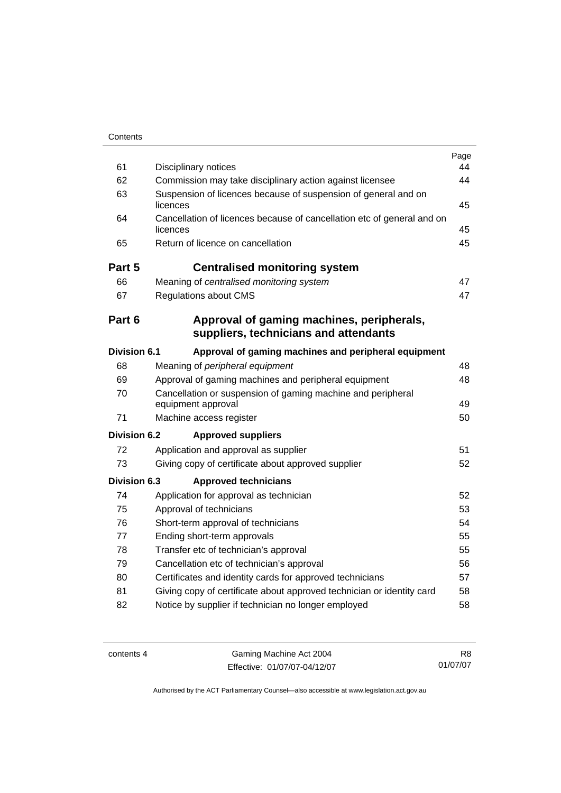| 61                  | Disciplinary notices                                                               | Page<br>44 |
|---------------------|------------------------------------------------------------------------------------|------------|
| 62                  | Commission may take disciplinary action against licensee                           | 44         |
| 63                  | Suspension of licences because of suspension of general and on<br>licences         | 45         |
| 64                  | Cancellation of licences because of cancellation etc of general and on<br>licences | 45         |
| 65                  | Return of licence on cancellation                                                  | 45         |
| Part 5              | <b>Centralised monitoring system</b>                                               |            |
| 66                  | Meaning of centralised monitoring system                                           | 47         |
| 67                  | <b>Regulations about CMS</b>                                                       | 47         |
| Part 6              | Approval of gaming machines, peripherals,<br>suppliers, technicians and attendants |            |
| <b>Division 6.1</b> | Approval of gaming machines and peripheral equipment                               |            |
| 68                  | Meaning of peripheral equipment                                                    | 48         |
| 69                  | Approval of gaming machines and peripheral equipment                               | 48         |
| 70                  | Cancellation or suspension of gaming machine and peripheral<br>equipment approval  | 49         |
| 71                  | Machine access register                                                            | 50         |
| Division 6.2        | <b>Approved suppliers</b>                                                          |            |
| 72                  | Application and approval as supplier                                               | 51         |
| 73                  | Giving copy of certificate about approved supplier                                 | 52         |
| Division 6.3        | <b>Approved technicians</b>                                                        |            |
| 74                  | Application for approval as technician                                             | 52         |
| 75                  | Approval of technicians                                                            | 53         |
| 76                  | Short-term approval of technicians                                                 | 54         |
| 77                  | Ending short-term approvals                                                        | 55         |
| 78                  | Transfer etc of technician's approval                                              | 55         |
| 79                  | Cancellation etc of technician's approval                                          | 56         |
| 80                  | Certificates and identity cards for approved technicians                           | 57         |
| 81                  | Giving copy of certificate about approved technician or identity card              | 58         |
| 82                  | Notice by supplier if technician no longer employed                                | 58         |

contents 4 Gaming Machine Act 2004 Effective: 01/07/07-04/12/07

R8 01/07/07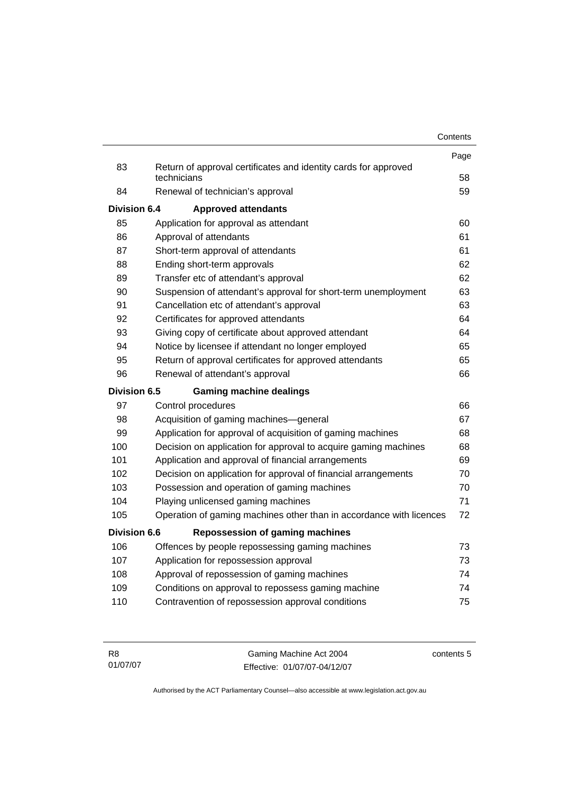|                     |                                                                                | Contents |
|---------------------|--------------------------------------------------------------------------------|----------|
|                     |                                                                                | Page     |
| 83                  | Return of approval certificates and identity cards for approved<br>technicians | 58       |
| 84                  | Renewal of technician's approval                                               | 59       |
| Division 6.4        | <b>Approved attendants</b>                                                     |          |
| 85                  | Application for approval as attendant                                          | 60       |
| 86                  | Approval of attendants                                                         | 61       |
| 87                  | Short-term approval of attendants                                              | 61       |
| 88                  | Ending short-term approvals                                                    | 62       |
| 89                  | Transfer etc of attendant's approval                                           | 62       |
| 90                  | Suspension of attendant's approval for short-term unemployment                 | 63       |
| 91                  | Cancellation etc of attendant's approval                                       | 63       |
| 92                  | Certificates for approved attendants                                           | 64       |
| 93                  | Giving copy of certificate about approved attendant                            | 64       |
| 94                  | Notice by licensee if attendant no longer employed                             | 65       |
| 95                  | Return of approval certificates for approved attendants                        | 65       |
| 96                  | Renewal of attendant's approval                                                | 66       |
| Division 6.5        | <b>Gaming machine dealings</b>                                                 |          |
| 97                  | Control procedures                                                             | 66       |
| 98                  | Acquisition of gaming machines-general                                         | 67       |
| 99                  | Application for approval of acquisition of gaming machines                     | 68       |
| 100                 | Decision on application for approval to acquire gaming machines                | 68       |
| 101                 | Application and approval of financial arrangements                             | 69       |
| 102                 | Decision on application for approval of financial arrangements                 | 70       |
| 103                 | Possession and operation of gaming machines                                    | 70       |
| 104                 | Playing unlicensed gaming machines                                             | 71       |
| 105                 | Operation of gaming machines other than in accordance with licences            | 72       |
| <b>Division 6.6</b> | <b>Repossession of gaming machines</b>                                         |          |
| 106                 | Offences by people repossessing gaming machines                                | 73       |
| 107                 | Application for repossession approval                                          | 73       |
| 108                 | Approval of repossession of gaming machines                                    | 74       |
| 109                 | Conditions on approval to repossess gaming machine                             | 74       |
| 110                 | Contravention of repossession approval conditions                              | 75       |

| - R8     | Gaming Machine Act 2004      | contents 5 |
|----------|------------------------------|------------|
| 01/07/07 | Effective: 01/07/07-04/12/07 |            |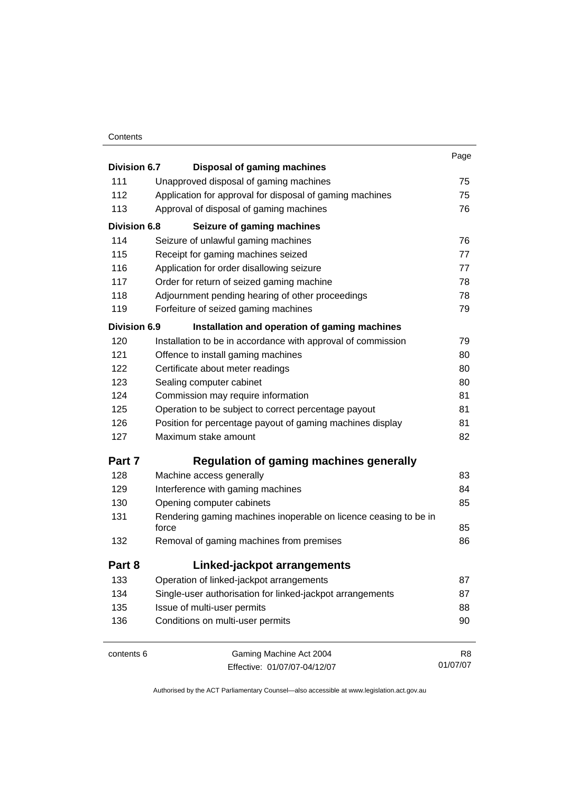#### **Contents**

|                     |                                                                  | Page |
|---------------------|------------------------------------------------------------------|------|
| Division 6.7        | <b>Disposal of gaming machines</b>                               |      |
| 111                 | Unapproved disposal of gaming machines                           | 75   |
| 112                 | Application for approval for disposal of gaming machines         | 75   |
| 113                 | Approval of disposal of gaming machines                          | 76   |
| <b>Division 6.8</b> | Seizure of gaming machines                                       |      |
| 114                 | Seizure of unlawful gaming machines                              | 76   |
| 115                 | Receipt for gaming machines seized                               | 77   |
| 116                 | Application for order disallowing seizure                        | 77   |
| 117                 | Order for return of seized gaming machine                        | 78   |
| 118                 | Adjournment pending hearing of other proceedings                 | 78   |
| 119                 | Forfeiture of seized gaming machines                             | 79   |
| <b>Division 6.9</b> | Installation and operation of gaming machines                    |      |
| 120                 | Installation to be in accordance with approval of commission     | 79   |
| 121                 | Offence to install gaming machines                               | 80   |
| 122                 | Certificate about meter readings                                 | 80   |
| 123                 | Sealing computer cabinet                                         | 80   |
| 124                 | Commission may require information                               | 81   |
| 125                 | Operation to be subject to correct percentage payout             | 81   |
| 126                 | Position for percentage payout of gaming machines display        | 81   |
| 127                 | Maximum stake amount                                             | 82   |
| Part 7              | <b>Regulation of gaming machines generally</b>                   |      |
| 128                 | Machine access generally                                         | 83   |
| 129                 | Interference with gaming machines                                | 84   |
| 130                 | Opening computer cabinets                                        | 85   |
| 131                 | Rendering gaming machines inoperable on licence ceasing to be in |      |
|                     | force                                                            | 85   |
| 132                 | Removal of gaming machines from premises                         | 86   |
| Part 8              | Linked-jackpot arrangements                                      |      |
| 133                 | Operation of linked-jackpot arrangements                         | 87   |
| 134                 | Single-user authorisation for linked-jackpot arrangements        | 87   |
| 135                 | Issue of multi-user permits                                      | 88   |
| 136                 | Conditions on multi-user permits                                 | 90   |
| contents 6          | Gaming Machine Act 2004                                          | R8   |

Effective: 01/07/07-04/12/07

R8 01/07/07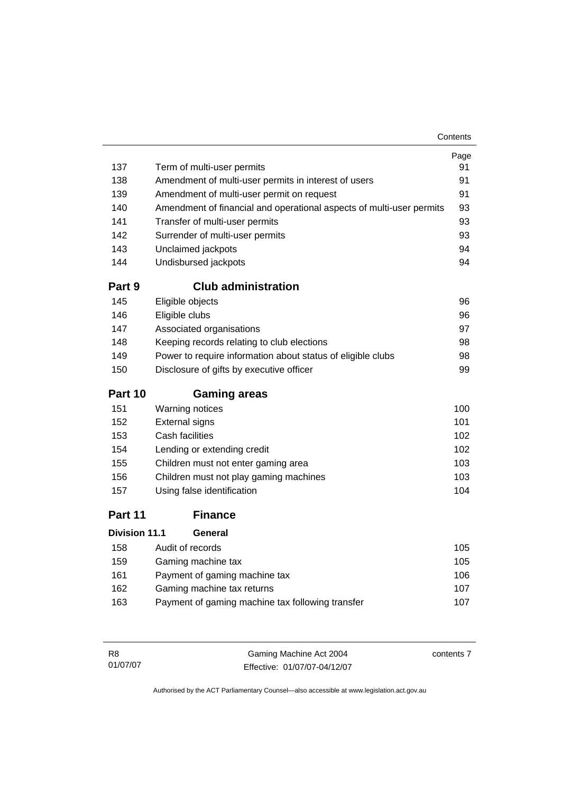| 137                  | Term of multi-user permits                                           | Page<br>91 |
|----------------------|----------------------------------------------------------------------|------------|
| 138                  | Amendment of multi-user permits in interest of users                 | 91         |
| 139                  | Amendment of multi-user permit on request                            | 91         |
| 140                  | Amendment of financial and operational aspects of multi-user permits | 93         |
| 141                  | Transfer of multi-user permits                                       | 93         |
| 142                  | Surrender of multi-user permits                                      | 93         |
| 143                  | Unclaimed jackpots                                                   | 94         |
| 144                  | Undisbursed jackpots                                                 | 94         |
| Part 9               | <b>Club administration</b>                                           |            |
| 145                  | Eligible objects                                                     | 96         |
| 146                  | Eligible clubs                                                       | 96         |
| 147                  | Associated organisations                                             | 97         |
| 148                  | Keeping records relating to club elections                           | 98         |
| 149                  | Power to require information about status of eligible clubs          | 98         |
| 150                  | Disclosure of gifts by executive officer                             | 99         |
| Part 10              | <b>Gaming areas</b>                                                  |            |
| 151                  | Warning notices                                                      | 100        |
| 152                  | <b>External signs</b>                                                | 101        |
| 153                  | Cash facilities                                                      | 102        |
| 154                  | Lending or extending credit                                          | 102        |
| 155                  | Children must not enter gaming area                                  | 103        |
| 156                  | Children must not play gaming machines                               | 103        |
| 157                  | Using false identification                                           | 104        |
| Part 11              | <b>Finance</b>                                                       |            |
| <b>Division 11.1</b> | General                                                              |            |
| 158                  | Audit of records                                                     | 105        |
| 159                  | Gaming machine tax                                                   | 105        |

| 162 | Gaming machine tax returns                       | 107 |
|-----|--------------------------------------------------|-----|
| 163 | Payment of gaming machine tax following transfer | 107 |

161 Payment of gaming machine tax [106](#page-115-0)

| - R8     | Gaming Machine Act 2004      | contents 7 |
|----------|------------------------------|------------|
| 01/07/07 | Effective: 01/07/07-04/12/07 |            |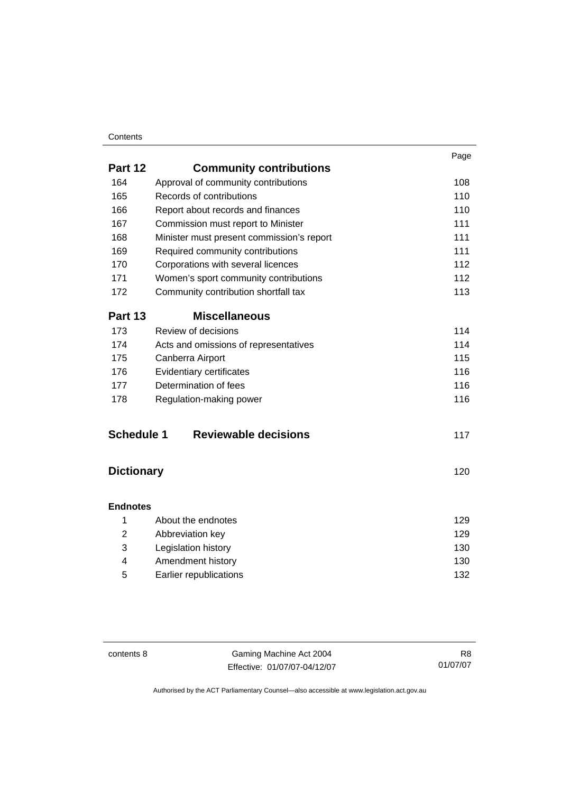## **Contents**

|                   |                                           | Page |
|-------------------|-------------------------------------------|------|
| Part 12           | <b>Community contributions</b>            |      |
| 164               | Approval of community contributions       | 108  |
| 165               | Records of contributions                  | 110  |
| 166               | Report about records and finances         | 110  |
| 167               | Commission must report to Minister        | 111  |
| 168               | Minister must present commission's report | 111  |
| 169               | Required community contributions          | 111  |
| 170               | Corporations with several licences        | 112  |
| 171               | Women's sport community contributions     | 112  |
| 172               | Community contribution shortfall tax      | 113  |
| Part 13           | <b>Miscellaneous</b>                      |      |
| 173               | Review of decisions                       | 114  |
| 174               | Acts and omissions of representatives     | 114  |
| 175               | Canberra Airport                          | 115  |
| 176               | Evidentiary certificates                  | 116  |
| 177               | Determination of fees                     | 116  |
| 178               | Regulation-making power                   | 116  |
| <b>Schedule 1</b> | <b>Reviewable decisions</b>               | 117  |
| <b>Dictionary</b> |                                           | 120  |
|                   |                                           |      |
| <b>Endnotes</b>   |                                           |      |
| 1                 | About the endnotes                        | 129  |
| 2                 | Abbreviation key                          | 129  |

|   | Legislation history    | 130 |
|---|------------------------|-----|
|   | Amendment history      | 130 |
| 5 | Earlier republications | 132 |

contents 8 Gaming Machine Act 2004 Effective: 01/07/07-04/12/07

R8 01/07/07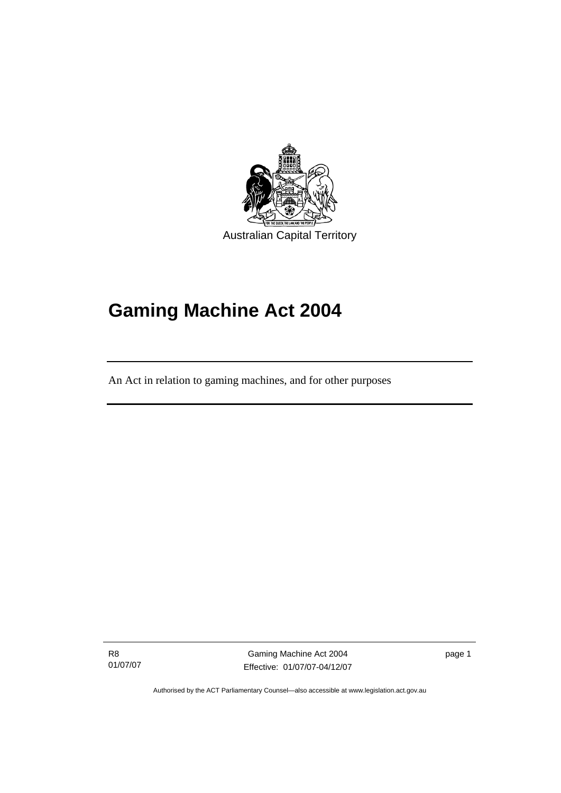<span id="page-10-0"></span>

**Gaming Machine Act 2004** 

An Act in relation to gaming machines, and for other purposes

R8 01/07/07

Ī

Gaming Machine Act 2004 Effective: 01/07/07-04/12/07 page 1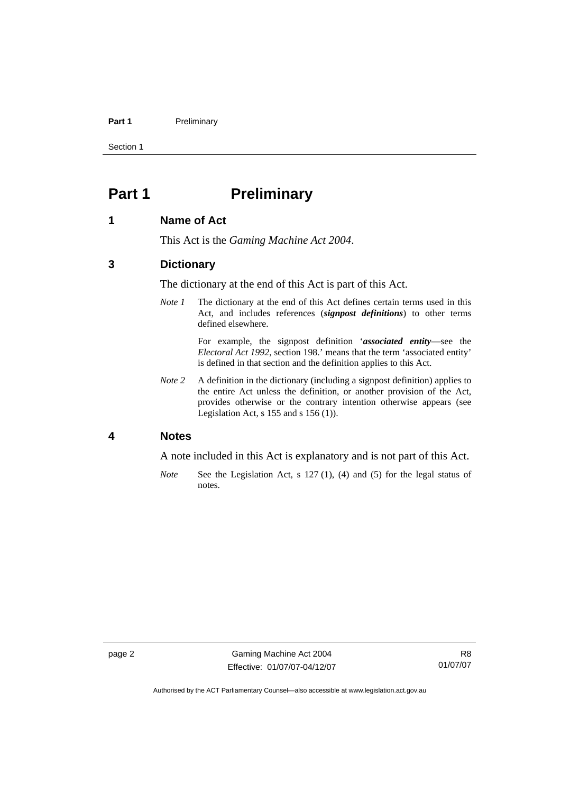#### <span id="page-11-0"></span>Part 1 **Preliminary**

Section 1

# **Part 1** Preliminary

### **1 Name of Act**

This Act is the *Gaming Machine Act 2004*.

# **3 Dictionary**

The dictionary at the end of this Act is part of this Act.

*Note 1* The dictionary at the end of this Act defines certain terms used in this Act, and includes references (*signpost definitions*) to other terms defined elsewhere.

> For example, the signpost definition '*associated entity*—see the *Electoral Act 1992*, section 198.' means that the term 'associated entity' is defined in that section and the definition applies to this Act.

*Note* 2 A definition in the dictionary (including a signpost definition) applies to the entire Act unless the definition, or another provision of the Act, provides otherwise or the contrary intention otherwise appears (see Legislation Act,  $s$  155 and  $s$  156 (1)).

### **4 Notes**

A note included in this Act is explanatory and is not part of this Act.

*Note* See the Legislation Act, s 127 (1), (4) and (5) for the legal status of notes.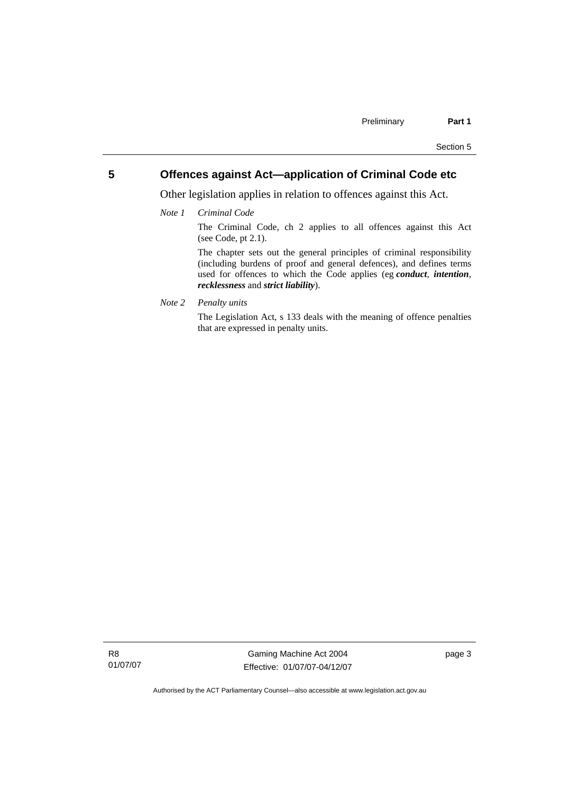# <span id="page-12-0"></span>**5 Offences against Act—application of Criminal Code etc**

Other legislation applies in relation to offences against this Act.

*Note 1 Criminal Code*

The Criminal Code, ch 2 applies to all offences against this Act (see Code, pt 2.1).

The chapter sets out the general principles of criminal responsibility (including burdens of proof and general defences), and defines terms used for offences to which the Code applies (eg *conduct*, *intention*, *recklessness* and *strict liability*).

*Note 2 Penalty units* 

The Legislation Act, s 133 deals with the meaning of offence penalties that are expressed in penalty units.

R8 01/07/07

Gaming Machine Act 2004 Effective: 01/07/07-04/12/07 page 3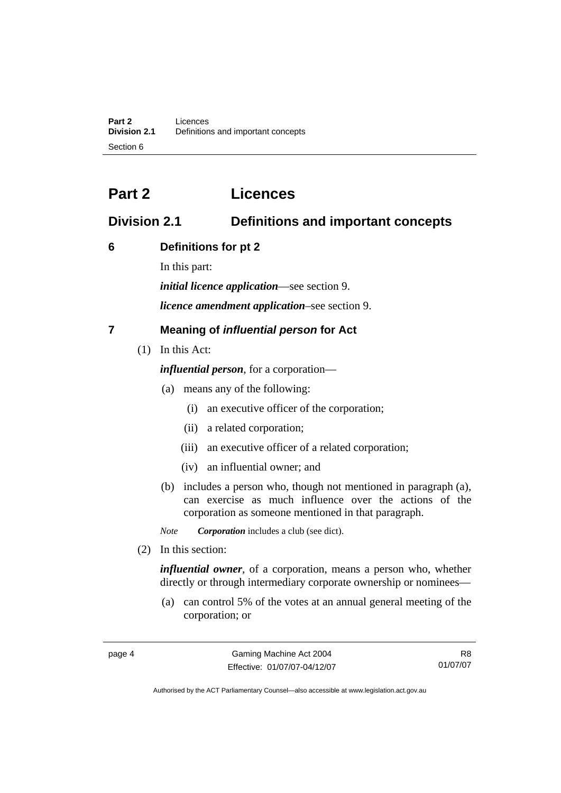# <span id="page-13-0"></span>**Part 2 Licences**

# **Division 2.1 Definitions and important concepts**

# **6 Definitions for pt 2**

In this part:

*initial licence application*—see section 9.

*licence amendment application*–see section 9.

# **7 Meaning of** *influential person* **for Act**

(1) In this Act:

*influential person*, for a corporation—

- (a) means any of the following:
	- (i) an executive officer of the corporation;
	- (ii) a related corporation;
	- (iii) an executive officer of a related corporation;
	- (iv) an influential owner; and
- (b) includes a person who, though not mentioned in paragraph (a), can exercise as much influence over the actions of the corporation as someone mentioned in that paragraph.

*Note Corporation* includes a club (see dict).

(2) In this section:

*influential owner*, of a corporation, means a person who, whether directly or through intermediary corporate ownership or nominees—

 (a) can control 5% of the votes at an annual general meeting of the corporation; or

R8 01/07/07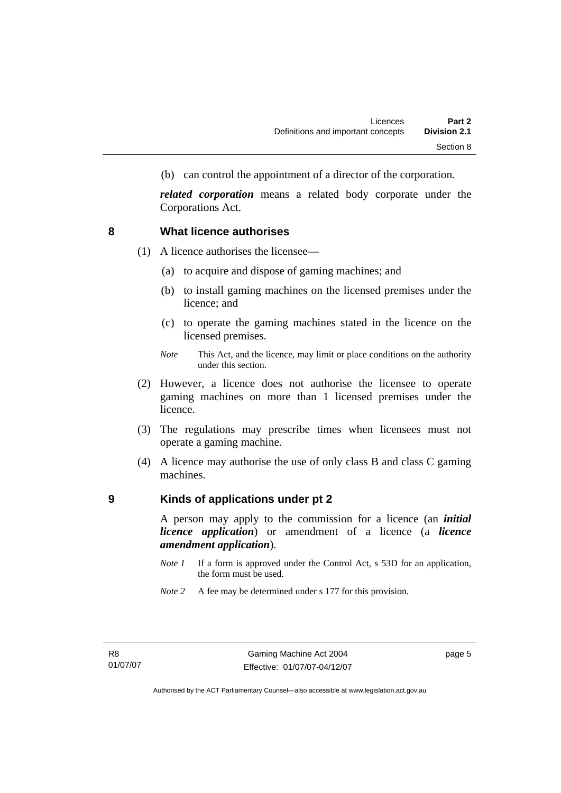<span id="page-14-0"></span>(b) can control the appointment of a director of the corporation.

*related corporation* means a related body corporate under the Corporations Act.

## **8 What licence authorises**

- (1) A licence authorises the licensee—
	- (a) to acquire and dispose of gaming machines; and
	- (b) to install gaming machines on the licensed premises under the licence; and
	- (c) to operate the gaming machines stated in the licence on the licensed premises.
	- *Note* This Act, and the licence, may limit or place conditions on the authority under this section.
- (2) However, a licence does not authorise the licensee to operate gaming machines on more than 1 licensed premises under the licence.
- (3) The regulations may prescribe times when licensees must not operate a gaming machine.
- (4) A licence may authorise the use of only class B and class C gaming machines.

# **9 Kinds of applications under pt 2**

A person may apply to the commission for a licence (an *initial licence application*) or amendment of a licence (a *licence amendment application*).

- *Note 1* If a form is approved under the Control Act, s 53D for an application, the form must be used.
- *Note* 2 A fee may be determined under s 177 for this provision.

page 5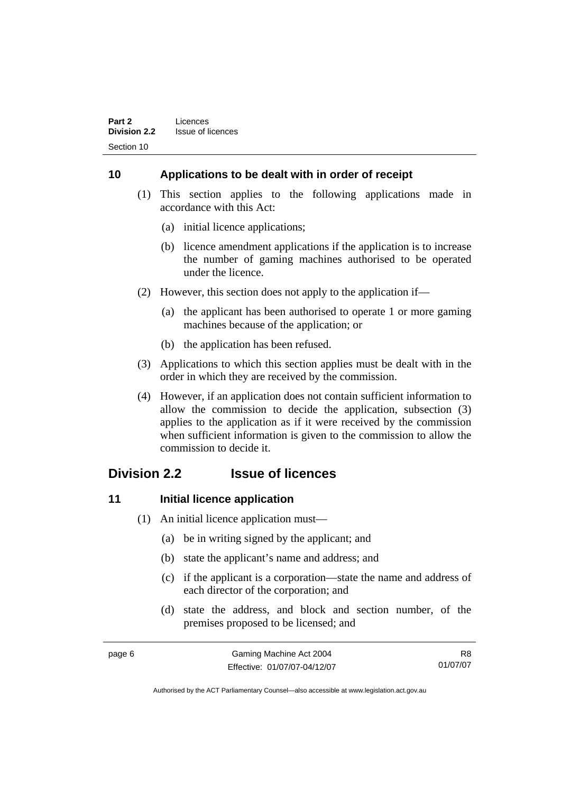# <span id="page-15-0"></span>**10 Applications to be dealt with in order of receipt**

- (1) This section applies to the following applications made in accordance with this Act:
	- (a) initial licence applications;
	- (b) licence amendment applications if the application is to increase the number of gaming machines authorised to be operated under the licence.
- (2) However, this section does not apply to the application if—
	- (a) the applicant has been authorised to operate 1 or more gaming machines because of the application; or
	- (b) the application has been refused.
- (3) Applications to which this section applies must be dealt with in the order in which they are received by the commission.
- (4) However, if an application does not contain sufficient information to allow the commission to decide the application, subsection (3) applies to the application as if it were received by the commission when sufficient information is given to the commission to allow the commission to decide it.

# **Division 2.2 Issue of licences**

# **11 Initial licence application**

- (1) An initial licence application must—
	- (a) be in writing signed by the applicant; and
	- (b) state the applicant's name and address; and
	- (c) if the applicant is a corporation—state the name and address of each director of the corporation; and
	- (d) state the address, and block and section number, of the premises proposed to be licensed; and

| w<br>٩ |  |
|--------|--|
|--------|--|

R8 01/07/07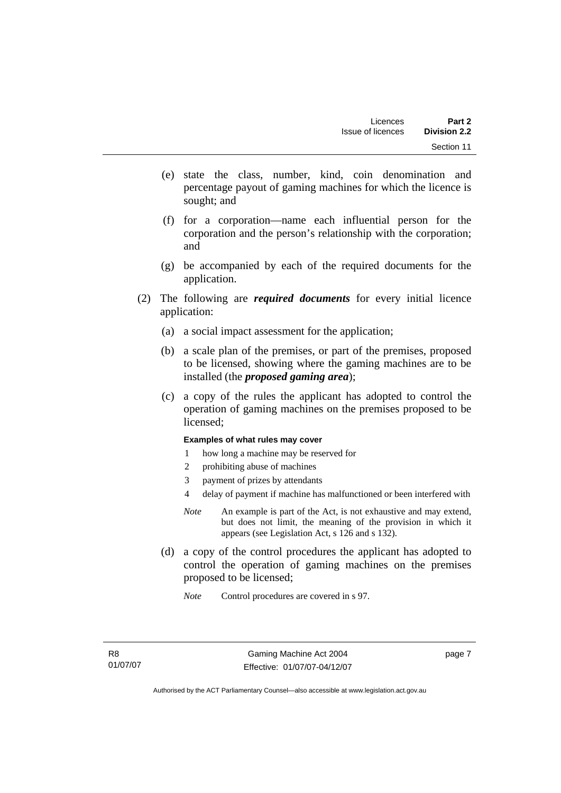- (e) state the class, number, kind, coin denomination and percentage payout of gaming machines for which the licence is sought; and
- (f) for a corporation—name each influential person for the corporation and the person's relationship with the corporation; and
- (g) be accompanied by each of the required documents for the application.
- (2) The following are *required documents* for every initial licence application:
	- (a) a social impact assessment for the application;
	- (b) a scale plan of the premises, or part of the premises, proposed to be licensed, showing where the gaming machines are to be installed (the *proposed gaming area*);
	- (c) a copy of the rules the applicant has adopted to control the operation of gaming machines on the premises proposed to be licensed;

#### **Examples of what rules may cover**

- 1 how long a machine may be reserved for
- 2 prohibiting abuse of machines
- 3 payment of prizes by attendants
- 4 delay of payment if machine has malfunctioned or been interfered with
- *Note* An example is part of the Act, is not exhaustive and may extend, but does not limit, the meaning of the provision in which it appears (see Legislation Act, s 126 and s 132).
- (d) a copy of the control procedures the applicant has adopted to control the operation of gaming machines on the premises proposed to be licensed;
	- *Note* Control procedures are covered in s 97.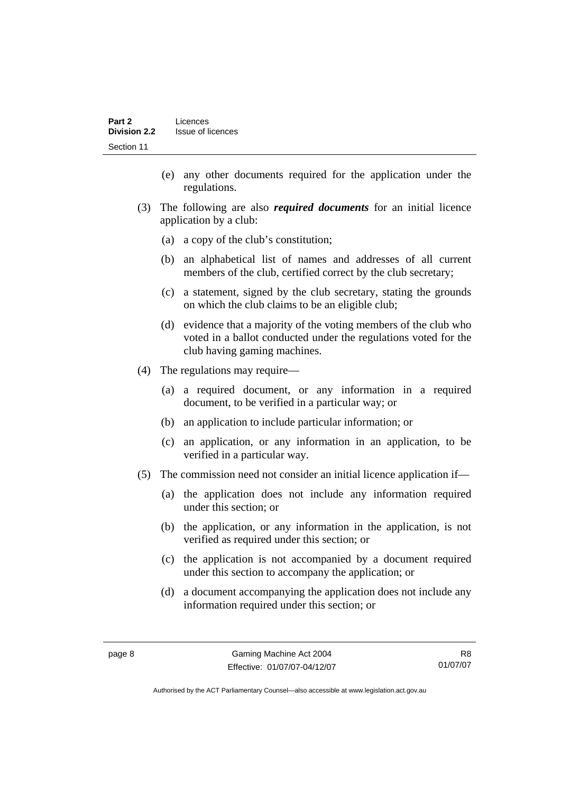- (e) any other documents required for the application under the regulations.
- (3) The following are also *required documents* for an initial licence application by a club:
	- (a) a copy of the club's constitution;
	- (b) an alphabetical list of names and addresses of all current members of the club, certified correct by the club secretary;
	- (c) a statement, signed by the club secretary, stating the grounds on which the club claims to be an eligible club;
	- (d) evidence that a majority of the voting members of the club who voted in a ballot conducted under the regulations voted for the club having gaming machines.
- (4) The regulations may require—
	- (a) a required document, or any information in a required document, to be verified in a particular way; or
	- (b) an application to include particular information; or
	- (c) an application, or any information in an application, to be verified in a particular way.
- (5) The commission need not consider an initial licence application if—
	- (a) the application does not include any information required under this section; or
	- (b) the application, or any information in the application, is not verified as required under this section; or
	- (c) the application is not accompanied by a document required under this section to accompany the application; or
	- (d) a document accompanying the application does not include any information required under this section; or

R8 01/07/07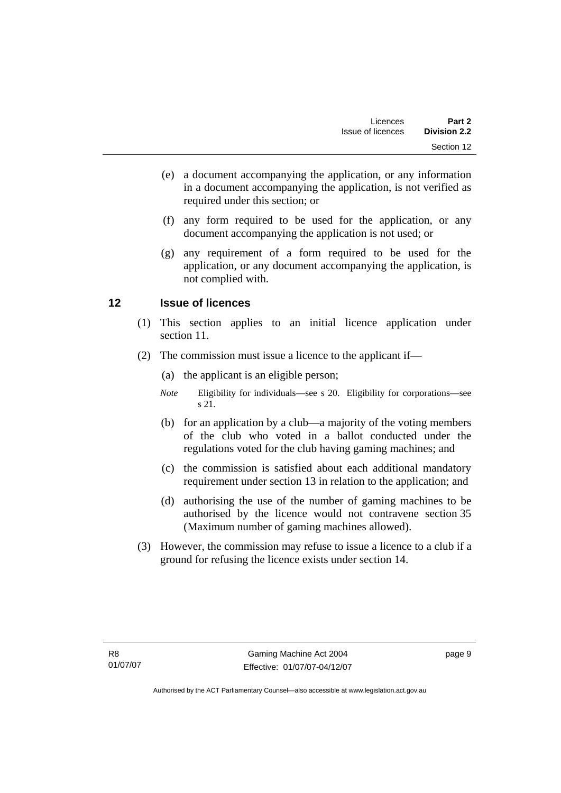- <span id="page-18-0"></span> (e) a document accompanying the application, or any information in a document accompanying the application, is not verified as required under this section; or
- (f) any form required to be used for the application, or any document accompanying the application is not used; or
- (g) any requirement of a form required to be used for the application, or any document accompanying the application, is not complied with.

# **12 Issue of licences**

- (1) This section applies to an initial licence application under section 11.
- (2) The commission must issue a licence to the applicant if—
	- (a) the applicant is an eligible person;
	- *Note* Eligibility for individuals—see s 20. Eligibility for corporations—see s 21.
	- (b) for an application by a club—a majority of the voting members of the club who voted in a ballot conducted under the regulations voted for the club having gaming machines; and
	- (c) the commission is satisfied about each additional mandatory requirement under section 13 in relation to the application; and
	- (d) authorising the use of the number of gaming machines to be authorised by the licence would not contravene section 35 (Maximum number of gaming machines allowed).
- (3) However, the commission may refuse to issue a licence to a club if a ground for refusing the licence exists under section 14.

page 9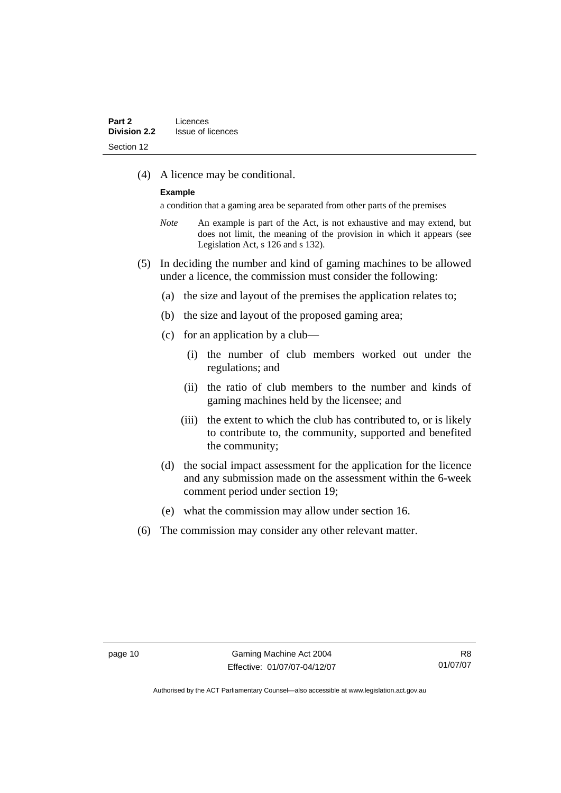(4) A licence may be conditional.

#### **Example**

a condition that a gaming area be separated from other parts of the premises

- *Note* An example is part of the Act, is not exhaustive and may extend, but does not limit, the meaning of the provision in which it appears (see Legislation Act, s 126 and s 132).
- (5) In deciding the number and kind of gaming machines to be allowed under a licence, the commission must consider the following:
	- (a) the size and layout of the premises the application relates to;
	- (b) the size and layout of the proposed gaming area;
	- (c) for an application by a club—
		- (i) the number of club members worked out under the regulations; and
		- (ii) the ratio of club members to the number and kinds of gaming machines held by the licensee; and
		- (iii) the extent to which the club has contributed to, or is likely to contribute to, the community, supported and benefited the community;
	- (d) the social impact assessment for the application for the licence and any submission made on the assessment within the 6-week comment period under section 19;
	- (e) what the commission may allow under section 16.
- (6) The commission may consider any other relevant matter.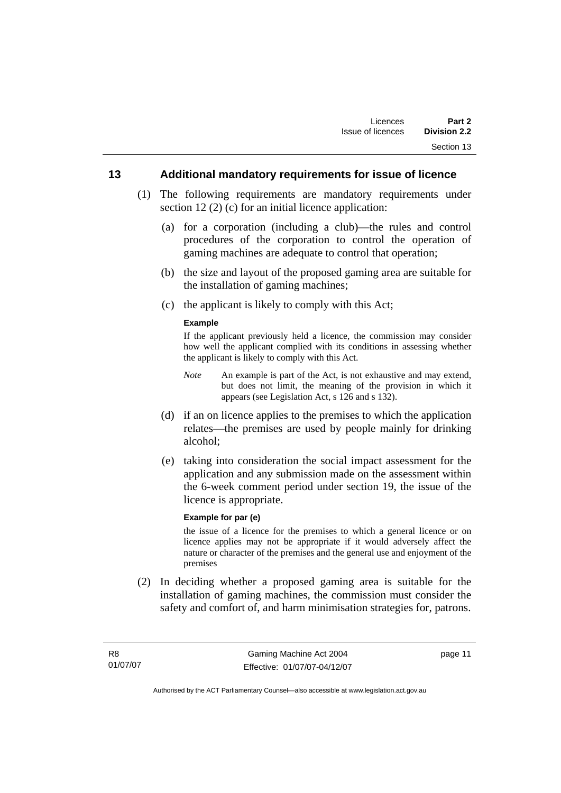## <span id="page-20-0"></span>**13 Additional mandatory requirements for issue of licence**

- (1) The following requirements are mandatory requirements under section 12 (2) (c) for an initial licence application:
	- (a) for a corporation (including a club)—the rules and control procedures of the corporation to control the operation of gaming machines are adequate to control that operation;
	- (b) the size and layout of the proposed gaming area are suitable for the installation of gaming machines;
	- (c) the applicant is likely to comply with this Act;

#### **Example**

If the applicant previously held a licence, the commission may consider how well the applicant complied with its conditions in assessing whether the applicant is likely to comply with this Act.

- *Note* An example is part of the Act, is not exhaustive and may extend, but does not limit, the meaning of the provision in which it appears (see Legislation Act, s 126 and s 132).
- (d) if an on licence applies to the premises to which the application relates—the premises are used by people mainly for drinking alcohol;
- (e) taking into consideration the social impact assessment for the application and any submission made on the assessment within the 6-week comment period under section 19, the issue of the licence is appropriate.

#### **Example for par (e)**

the issue of a licence for the premises to which a general licence or on licence applies may not be appropriate if it would adversely affect the nature or character of the premises and the general use and enjoyment of the premises

 (2) In deciding whether a proposed gaming area is suitable for the installation of gaming machines, the commission must consider the safety and comfort of, and harm minimisation strategies for, patrons.

page 11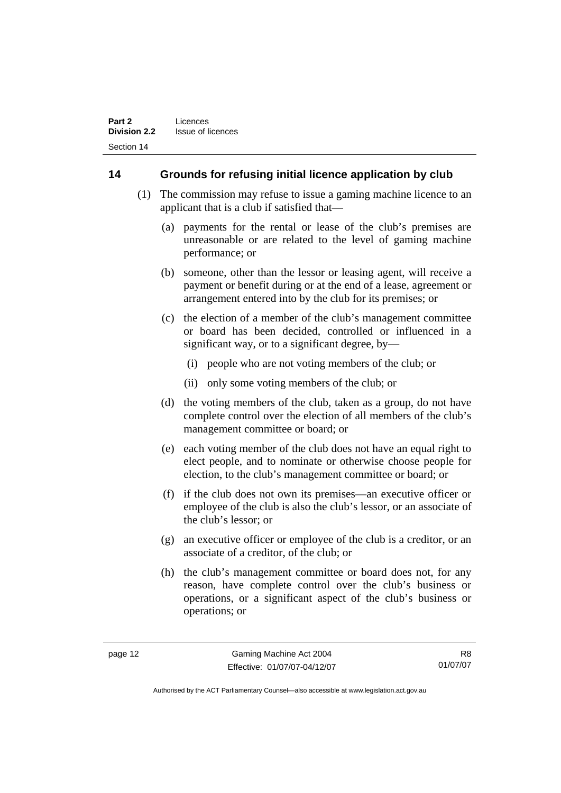# <span id="page-21-0"></span>**14 Grounds for refusing initial licence application by club**

- (1) The commission may refuse to issue a gaming machine licence to an applicant that is a club if satisfied that—
	- (a) payments for the rental or lease of the club's premises are unreasonable or are related to the level of gaming machine performance; or
	- (b) someone, other than the lessor or leasing agent, will receive a payment or benefit during or at the end of a lease, agreement or arrangement entered into by the club for its premises; or
	- (c) the election of a member of the club's management committee or board has been decided, controlled or influenced in a significant way, or to a significant degree, by—
		- (i) people who are not voting members of the club; or
		- (ii) only some voting members of the club; or
	- (d) the voting members of the club, taken as a group, do not have complete control over the election of all members of the club's management committee or board; or
	- (e) each voting member of the club does not have an equal right to elect people, and to nominate or otherwise choose people for election, to the club's management committee or board; or
	- (f) if the club does not own its premises—an executive officer or employee of the club is also the club's lessor, or an associate of the club's lessor; or
	- (g) an executive officer or employee of the club is a creditor, or an associate of a creditor, of the club; or
	- (h) the club's management committee or board does not, for any reason, have complete control over the club's business or operations, or a significant aspect of the club's business or operations; or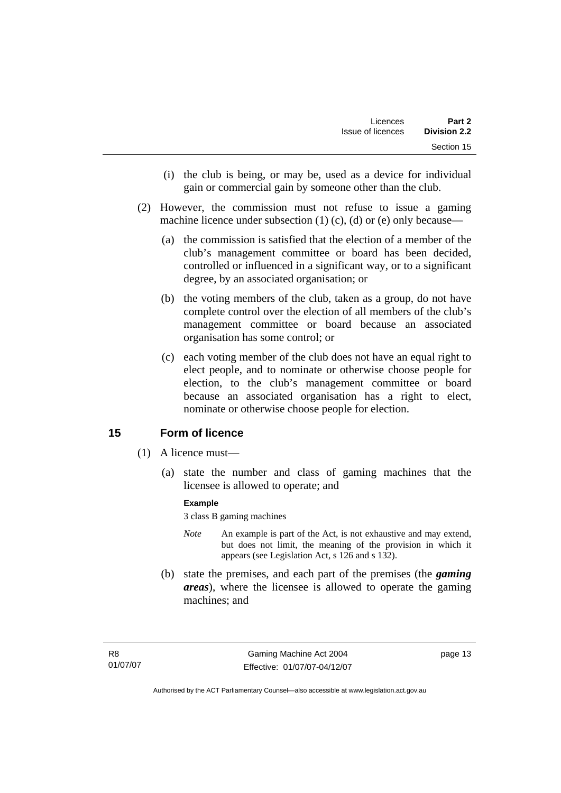- <span id="page-22-0"></span> (i) the club is being, or may be, used as a device for individual gain or commercial gain by someone other than the club.
- (2) However, the commission must not refuse to issue a gaming machine licence under subsection  $(1)$   $(c)$ ,  $(d)$  or  $(e)$  only because—
	- (a) the commission is satisfied that the election of a member of the club's management committee or board has been decided, controlled or influenced in a significant way, or to a significant degree, by an associated organisation; or
	- (b) the voting members of the club, taken as a group, do not have complete control over the election of all members of the club's management committee or board because an associated organisation has some control; or
	- (c) each voting member of the club does not have an equal right to elect people, and to nominate or otherwise choose people for election, to the club's management committee or board because an associated organisation has a right to elect, nominate or otherwise choose people for election.

# **15 Form of licence**

- (1) A licence must—
	- (a) state the number and class of gaming machines that the licensee is allowed to operate; and

### **Example**

3 class B gaming machines

- *Note* An example is part of the Act, is not exhaustive and may extend, but does not limit, the meaning of the provision in which it appears (see Legislation Act, s 126 and s 132).
- (b) state the premises, and each part of the premises (the *gaming areas*), where the licensee is allowed to operate the gaming machines; and

page 13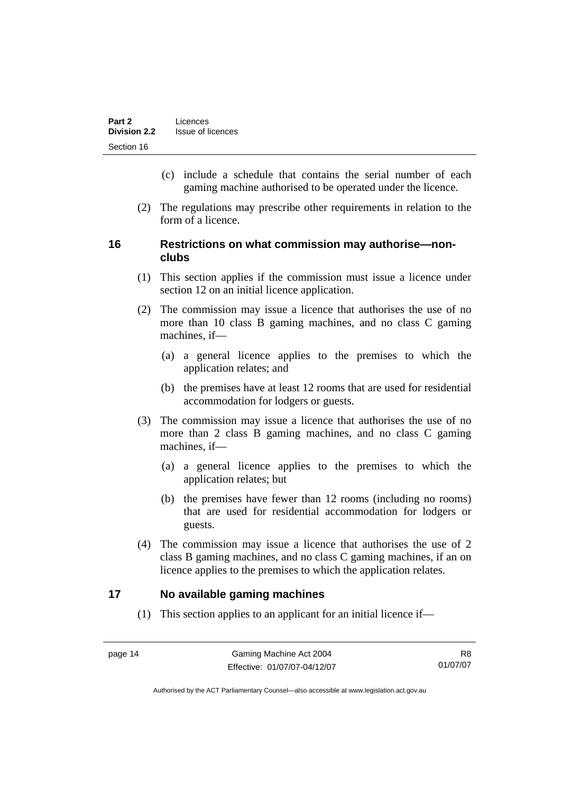- <span id="page-23-0"></span> (c) include a schedule that contains the serial number of each gaming machine authorised to be operated under the licence.
- (2) The regulations may prescribe other requirements in relation to the form of a licence.

# **16 Restrictions on what commission may authorise—nonclubs**

- (1) This section applies if the commission must issue a licence under section 12 on an initial licence application.
- (2) The commission may issue a licence that authorises the use of no more than 10 class B gaming machines, and no class C gaming machines, if—
	- (a) a general licence applies to the premises to which the application relates; and
	- (b) the premises have at least 12 rooms that are used for residential accommodation for lodgers or guests.
- (3) The commission may issue a licence that authorises the use of no more than 2 class B gaming machines, and no class C gaming machines, if—
	- (a) a general licence applies to the premises to which the application relates; but
	- (b) the premises have fewer than 12 rooms (including no rooms) that are used for residential accommodation for lodgers or guests.
- (4) The commission may issue a licence that authorises the use of 2 class B gaming machines, and no class C gaming machines, if an on licence applies to the premises to which the application relates.

# **17 No available gaming machines**

(1) This section applies to an applicant for an initial licence if—

R8 01/07/07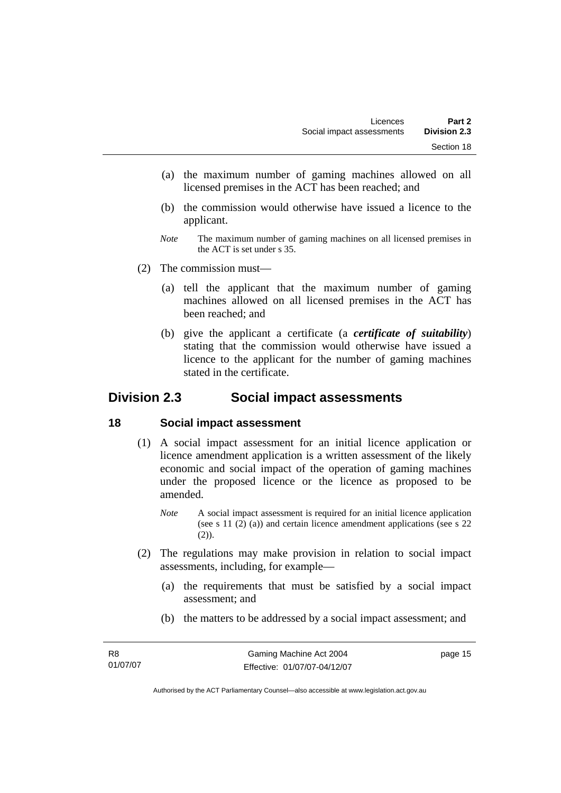- <span id="page-24-0"></span> (a) the maximum number of gaming machines allowed on all licensed premises in the ACT has been reached; and
- (b) the commission would otherwise have issued a licence to the applicant.
- *Note* The maximum number of gaming machines on all licensed premises in the ACT is set under s 35.
- (2) The commission must—
	- (a) tell the applicant that the maximum number of gaming machines allowed on all licensed premises in the ACT has been reached; and
	- (b) give the applicant a certificate (a *certificate of suitability*) stating that the commission would otherwise have issued a licence to the applicant for the number of gaming machines stated in the certificate.

# **Division 2.3 Social impact assessments**

# **18 Social impact assessment**

- (1) A social impact assessment for an initial licence application or licence amendment application is a written assessment of the likely economic and social impact of the operation of gaming machines under the proposed licence or the licence as proposed to be amended.
	- *Note* A social impact assessment is required for an initial licence application (see s 11 (2) (a)) and certain licence amendment applications (see s 22  $(2)$ ).
- (2) The regulations may make provision in relation to social impact assessments, including, for example—
	- (a) the requirements that must be satisfied by a social impact assessment; and
	- (b) the matters to be addressed by a social impact assessment; and

page 15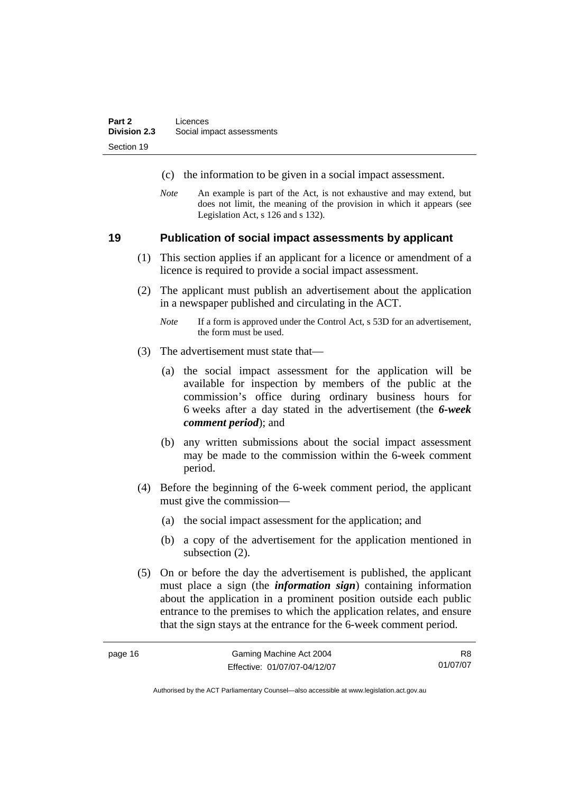- <span id="page-25-0"></span>(c) the information to be given in a social impact assessment.
- *Note* An example is part of the Act, is not exhaustive and may extend, but does not limit, the meaning of the provision in which it appears (see Legislation Act, s 126 and s 132).

### **19 Publication of social impact assessments by applicant**

- (1) This section applies if an applicant for a licence or amendment of a licence is required to provide a social impact assessment.
- (2) The applicant must publish an advertisement about the application in a newspaper published and circulating in the ACT.
	- *Note* If a form is approved under the Control Act, s 53D for an advertisement, the form must be used.
- (3) The advertisement must state that—
	- (a) the social impact assessment for the application will be available for inspection by members of the public at the commission's office during ordinary business hours for 6 weeks after a day stated in the advertisement (the *6-week comment period*); and
	- (b) any written submissions about the social impact assessment may be made to the commission within the 6-week comment period.
- (4) Before the beginning of the 6-week comment period, the applicant must give the commission—
	- (a) the social impact assessment for the application; and
	- (b) a copy of the advertisement for the application mentioned in subsection  $(2)$ .
- (5) On or before the day the advertisement is published, the applicant must place a sign (the *information sign*) containing information about the application in a prominent position outside each public entrance to the premises to which the application relates, and ensure that the sign stays at the entrance for the 6-week comment period.

R8 01/07/07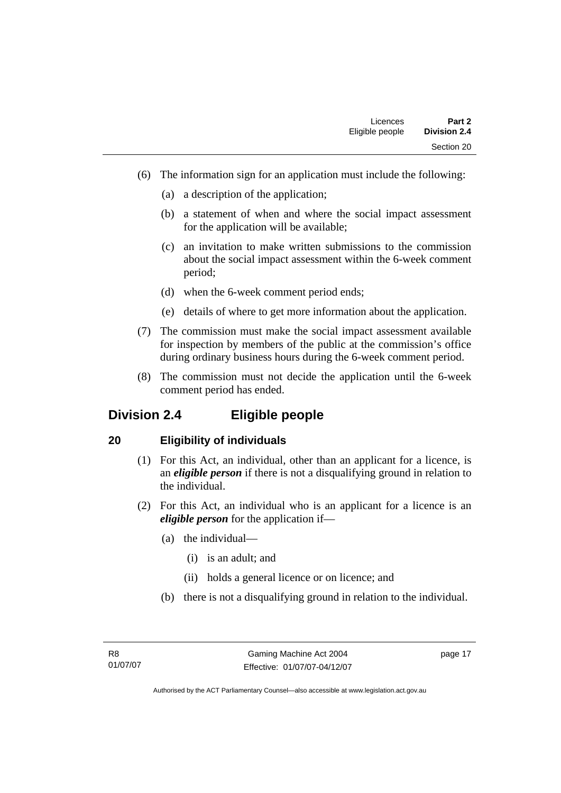- <span id="page-26-0"></span> (6) The information sign for an application must include the following:
	- (a) a description of the application;
	- (b) a statement of when and where the social impact assessment for the application will be available;
	- (c) an invitation to make written submissions to the commission about the social impact assessment within the 6-week comment period;
	- (d) when the 6-week comment period ends;
	- (e) details of where to get more information about the application.
- (7) The commission must make the social impact assessment available for inspection by members of the public at the commission's office during ordinary business hours during the 6-week comment period.
- (8) The commission must not decide the application until the 6-week comment period has ended.

# **Division 2.4 Eligible people**

# **20 Eligibility of individuals**

- (1) For this Act, an individual, other than an applicant for a licence, is an *eligible person* if there is not a disqualifying ground in relation to the individual.
- (2) For this Act, an individual who is an applicant for a licence is an *eligible person* for the application if—
	- (a) the individual—
		- (i) is an adult; and
		- (ii) holds a general licence or on licence; and
	- (b) there is not a disqualifying ground in relation to the individual.

page 17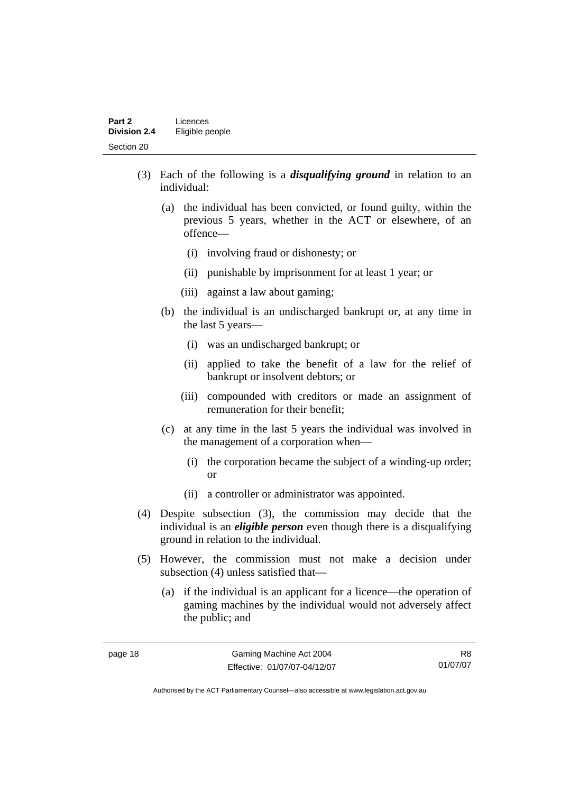- (3) Each of the following is a *disqualifying ground* in relation to an individual:
	- (a) the individual has been convicted, or found guilty, within the previous 5 years, whether in the ACT or elsewhere, of an offence—
		- (i) involving fraud or dishonesty; or
		- (ii) punishable by imprisonment for at least 1 year; or
		- (iii) against a law about gaming;
	- (b) the individual is an undischarged bankrupt or, at any time in the last 5 years—
		- (i) was an undischarged bankrupt; or
		- (ii) applied to take the benefit of a law for the relief of bankrupt or insolvent debtors; or
		- (iii) compounded with creditors or made an assignment of remuneration for their benefit;
	- (c) at any time in the last 5 years the individual was involved in the management of a corporation when—
		- (i) the corporation became the subject of a winding-up order; or
		- (ii) a controller or administrator was appointed.
- (4) Despite subsection (3), the commission may decide that the individual is an *eligible person* even though there is a disqualifying ground in relation to the individual.
- (5) However, the commission must not make a decision under subsection (4) unless satisfied that—
	- (a) if the individual is an applicant for a licence—the operation of gaming machines by the individual would not adversely affect the public; and

R8 01/07/07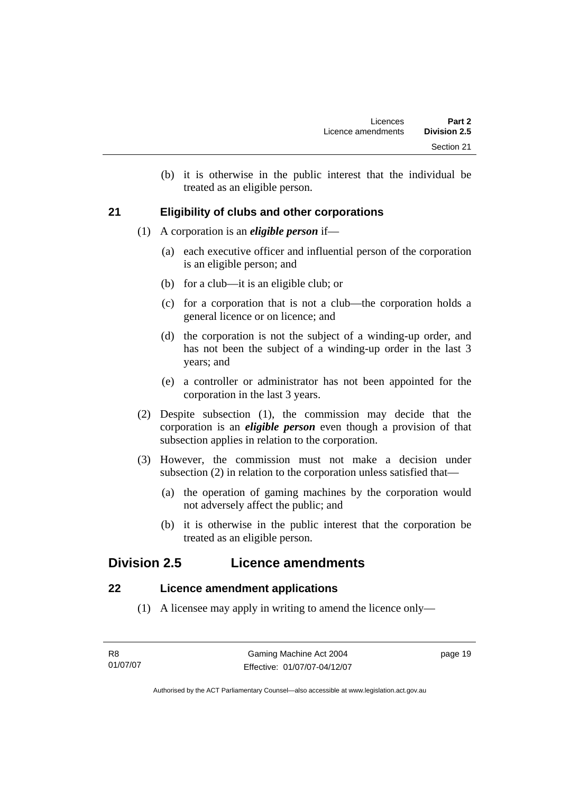(b) it is otherwise in the public interest that the individual be treated as an eligible person.

# <span id="page-28-0"></span>**21 Eligibility of clubs and other corporations**

- (1) A corporation is an *eligible person* if—
	- (a) each executive officer and influential person of the corporation is an eligible person; and
	- (b) for a club—it is an eligible club; or
	- (c) for a corporation that is not a club—the corporation holds a general licence or on licence; and
	- (d) the corporation is not the subject of a winding-up order, and has not been the subject of a winding-up order in the last 3 years; and
	- (e) a controller or administrator has not been appointed for the corporation in the last 3 years.
- (2) Despite subsection (1), the commission may decide that the corporation is an *eligible person* even though a provision of that subsection applies in relation to the corporation.
- (3) However, the commission must not make a decision under subsection (2) in relation to the corporation unless satisfied that—
	- (a) the operation of gaming machines by the corporation would not adversely affect the public; and
	- (b) it is otherwise in the public interest that the corporation be treated as an eligible person.

# **Division 2.5 Licence amendments**

# **22 Licence amendment applications**

(1) A licensee may apply in writing to amend the licence only—

page 19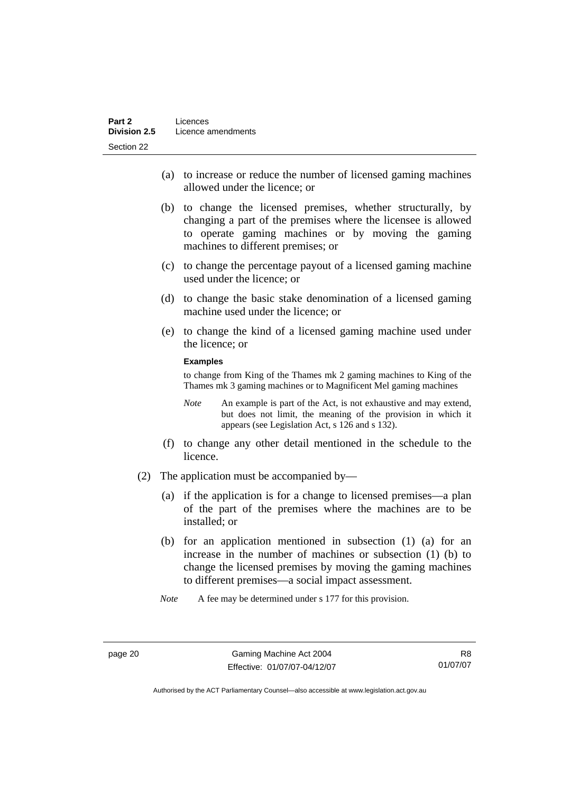- (a) to increase or reduce the number of licensed gaming machines allowed under the licence; or
- (b) to change the licensed premises, whether structurally, by changing a part of the premises where the licensee is allowed to operate gaming machines or by moving the gaming machines to different premises; or
- (c) to change the percentage payout of a licensed gaming machine used under the licence; or
- (d) to change the basic stake denomination of a licensed gaming machine used under the licence; or
- (e) to change the kind of a licensed gaming machine used under the licence; or

#### **Examples**

to change from King of the Thames mk 2 gaming machines to King of the Thames mk 3 gaming machines or to Magnificent Mel gaming machines

- *Note* An example is part of the Act, is not exhaustive and may extend, but does not limit, the meaning of the provision in which it appears (see Legislation Act, s 126 and s 132).
- (f) to change any other detail mentioned in the schedule to the licence.
- (2) The application must be accompanied by—
	- (a) if the application is for a change to licensed premises—a plan of the part of the premises where the machines are to be installed; or
	- (b) for an application mentioned in subsection (1) (a) for an increase in the number of machines or subsection (1) (b) to change the licensed premises by moving the gaming machines to different premises—a social impact assessment.
	- *Note* A fee may be determined under s 177 for this provision.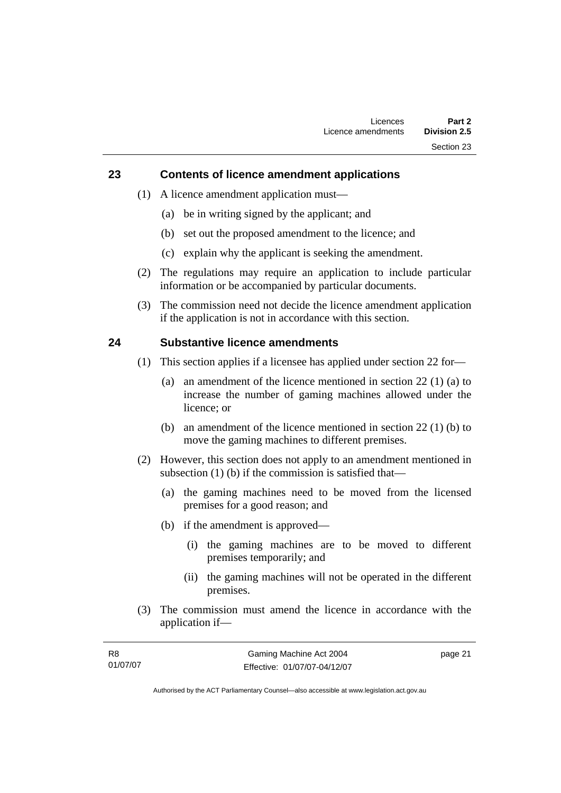## <span id="page-30-0"></span>**23 Contents of licence amendment applications**

- (1) A licence amendment application must—
	- (a) be in writing signed by the applicant; and
	- (b) set out the proposed amendment to the licence; and
	- (c) explain why the applicant is seeking the amendment.
- (2) The regulations may require an application to include particular information or be accompanied by particular documents.
- (3) The commission need not decide the licence amendment application if the application is not in accordance with this section.

## **24 Substantive licence amendments**

- (1) This section applies if a licensee has applied under section 22 for—
	- (a) an amendment of the licence mentioned in section 22 (1) (a) to increase the number of gaming machines allowed under the licence; or
	- (b) an amendment of the licence mentioned in section 22 (1) (b) to move the gaming machines to different premises.
- (2) However, this section does not apply to an amendment mentioned in subsection (1) (b) if the commission is satisfied that—
	- (a) the gaming machines need to be moved from the licensed premises for a good reason; and
	- (b) if the amendment is approved—
		- (i) the gaming machines are to be moved to different premises temporarily; and
		- (ii) the gaming machines will not be operated in the different premises.
- (3) The commission must amend the licence in accordance with the application if—

| R8       | Gaming Machine Act 2004      | page 21 |
|----------|------------------------------|---------|
| 01/07/07 | Effective: 01/07/07-04/12/07 |         |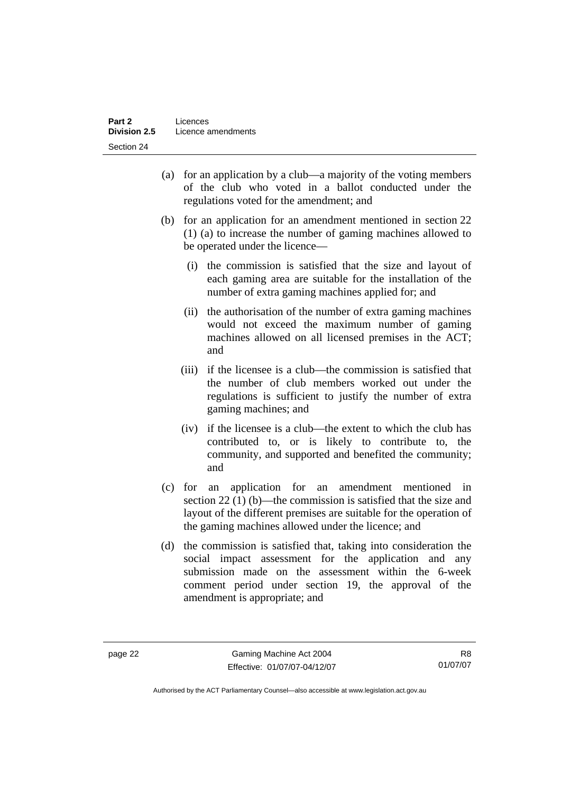- (a) for an application by a club—a majority of the voting members of the club who voted in a ballot conducted under the regulations voted for the amendment; and
- (b) for an application for an amendment mentioned in section 22 (1) (a) to increase the number of gaming machines allowed to be operated under the licence—
	- (i) the commission is satisfied that the size and layout of each gaming area are suitable for the installation of the number of extra gaming machines applied for; and
	- (ii) the authorisation of the number of extra gaming machines would not exceed the maximum number of gaming machines allowed on all licensed premises in the ACT; and
	- (iii) if the licensee is a club—the commission is satisfied that the number of club members worked out under the regulations is sufficient to justify the number of extra gaming machines; and
	- (iv) if the licensee is a club—the extent to which the club has contributed to, or is likely to contribute to, the community, and supported and benefited the community; and
- (c) for an application for an amendment mentioned in section 22 (1) (b)—the commission is satisfied that the size and layout of the different premises are suitable for the operation of the gaming machines allowed under the licence; and
- (d) the commission is satisfied that, taking into consideration the social impact assessment for the application and any submission made on the assessment within the 6-week comment period under section 19, the approval of the amendment is appropriate; and

R8 01/07/07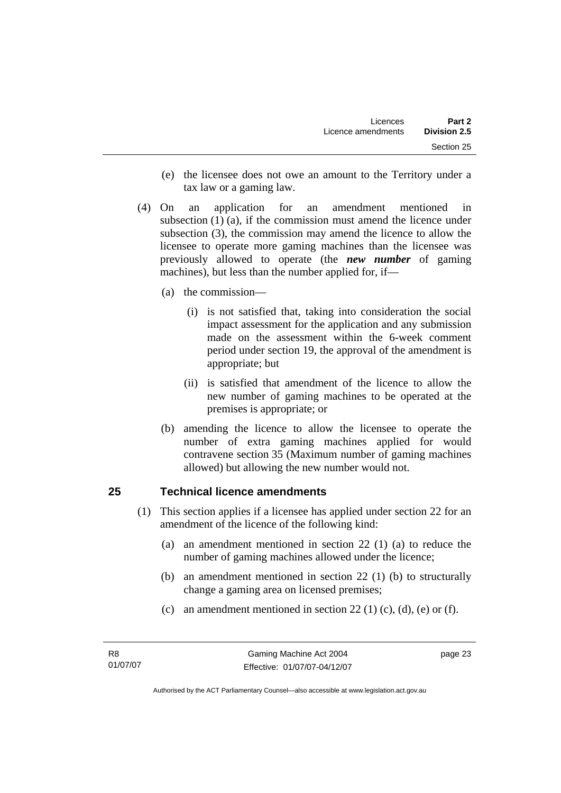- <span id="page-32-0"></span> (e) the licensee does not owe an amount to the Territory under a tax law or a gaming law.
- (4) On an application for an amendment mentioned in subsection (1) (a), if the commission must amend the licence under subsection (3), the commission may amend the licence to allow the licensee to operate more gaming machines than the licensee was previously allowed to operate (the *new number* of gaming machines), but less than the number applied for, if—
	- (a) the commission—
		- (i) is not satisfied that, taking into consideration the social impact assessment for the application and any submission made on the assessment within the 6-week comment period under section 19, the approval of the amendment is appropriate; but
		- (ii) is satisfied that amendment of the licence to allow the new number of gaming machines to be operated at the premises is appropriate; or
	- (b) amending the licence to allow the licensee to operate the number of extra gaming machines applied for would contravene section 35 (Maximum number of gaming machines allowed) but allowing the new number would not.

# **25 Technical licence amendments**

- (1) This section applies if a licensee has applied under section 22 for an amendment of the licence of the following kind:
	- (a) an amendment mentioned in section 22 (1) (a) to reduce the number of gaming machines allowed under the licence;
	- (b) an amendment mentioned in section 22 (1) (b) to structurally change a gaming area on licensed premises;
	- (c) an amendment mentioned in section 22 (1) (c), (d), (e) or (f).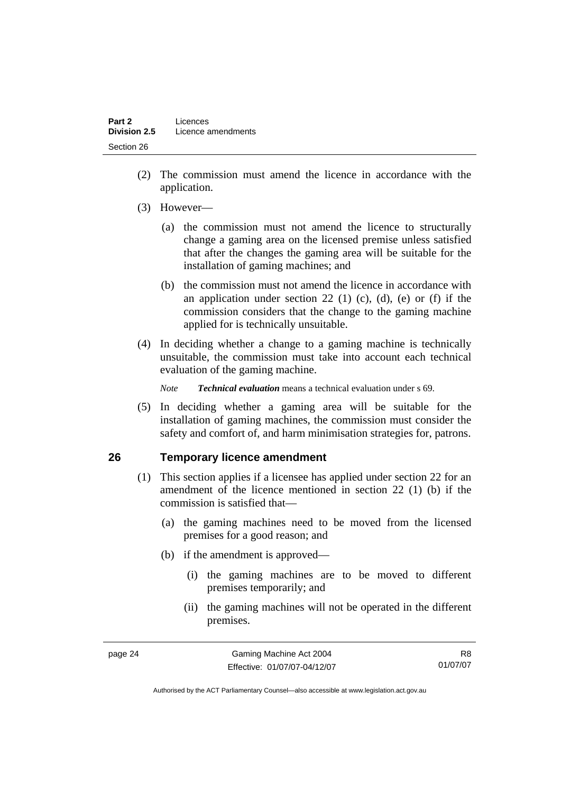- <span id="page-33-0"></span> (2) The commission must amend the licence in accordance with the application.
- (3) However—
	- (a) the commission must not amend the licence to structurally change a gaming area on the licensed premise unless satisfied that after the changes the gaming area will be suitable for the installation of gaming machines; and
	- (b) the commission must not amend the licence in accordance with an application under section 22 (1) (c), (d), (e) or (f) if the commission considers that the change to the gaming machine applied for is technically unsuitable.
- (4) In deciding whether a change to a gaming machine is technically unsuitable, the commission must take into account each technical evaluation of the gaming machine.

*Note Technical evaluation* means a technical evaluation under s 69.

 (5) In deciding whether a gaming area will be suitable for the installation of gaming machines, the commission must consider the safety and comfort of, and harm minimisation strategies for, patrons.

# **26 Temporary licence amendment**

- (1) This section applies if a licensee has applied under section 22 for an amendment of the licence mentioned in section 22 (1) (b) if the commission is satisfied that—
	- (a) the gaming machines need to be moved from the licensed premises for a good reason; and
	- (b) if the amendment is approved—
		- (i) the gaming machines are to be moved to different premises temporarily; and
		- (ii) the gaming machines will not be operated in the different premises.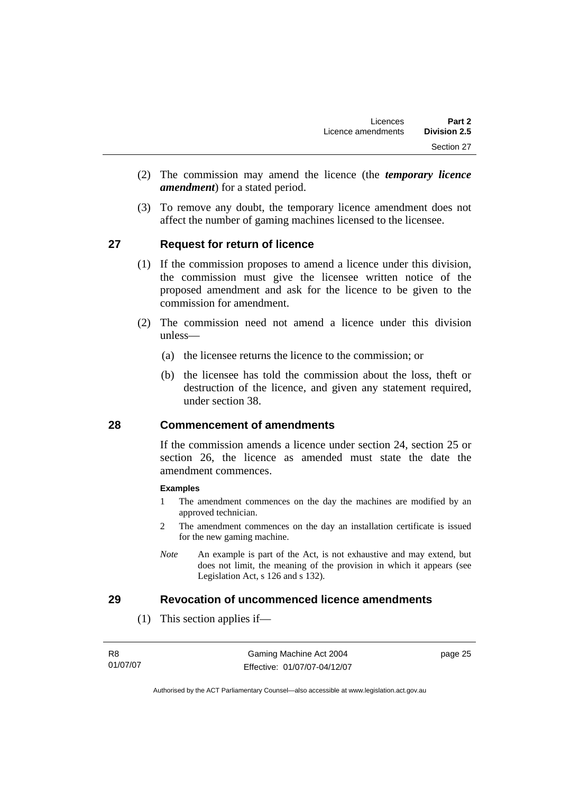- <span id="page-34-0"></span> (2) The commission may amend the licence (the *temporary licence amendment*) for a stated period.
- (3) To remove any doubt, the temporary licence amendment does not affect the number of gaming machines licensed to the licensee.

# **27 Request for return of licence**

- (1) If the commission proposes to amend a licence under this division, the commission must give the licensee written notice of the proposed amendment and ask for the licence to be given to the commission for amendment.
- (2) The commission need not amend a licence under this division unless—
	- (a) the licensee returns the licence to the commission; or
	- (b) the licensee has told the commission about the loss, theft or destruction of the licence, and given any statement required, under section 38.

# **28 Commencement of amendments**

If the commission amends a licence under section 24, section 25 or section 26, the licence as amended must state the date the amendment commences.

### **Examples**

- 1 The amendment commences on the day the machines are modified by an approved technician.
- 2 The amendment commences on the day an installation certificate is issued for the new gaming machine.
- *Note* An example is part of the Act, is not exhaustive and may extend, but does not limit, the meaning of the provision in which it appears (see Legislation Act, s 126 and s 132).

# **29 Revocation of uncommenced licence amendments**

(1) This section applies if—

page 25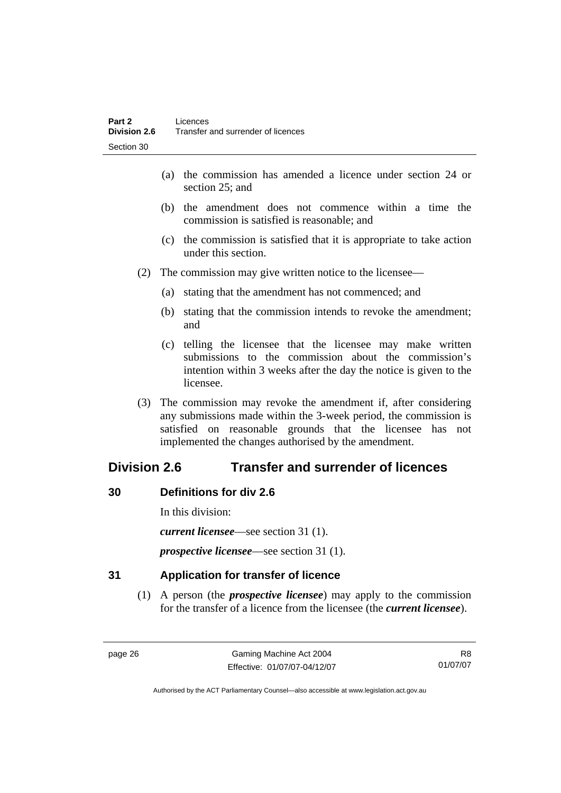- <span id="page-35-0"></span> (a) the commission has amended a licence under section 24 or section 25; and
- (b) the amendment does not commence within a time the commission is satisfied is reasonable; and
- (c) the commission is satisfied that it is appropriate to take action under this section.
- (2) The commission may give written notice to the licensee—
	- (a) stating that the amendment has not commenced; and
	- (b) stating that the commission intends to revoke the amendment; and
	- (c) telling the licensee that the licensee may make written submissions to the commission about the commission's intention within 3 weeks after the day the notice is given to the licensee.
- (3) The commission may revoke the amendment if, after considering any submissions made within the 3-week period, the commission is satisfied on reasonable grounds that the licensee has not implemented the changes authorised by the amendment.

# **Division 2.6 Transfer and surrender of licences**

# **30 Definitions for div 2.6**

In this division:

*current licensee*—see section 31 (1).

*prospective licensee*—see section 31 (1).

# **31 Application for transfer of licence**

 (1) A person (the *prospective licensee*) may apply to the commission for the transfer of a licence from the licensee (the *current licensee*).

R8 01/07/07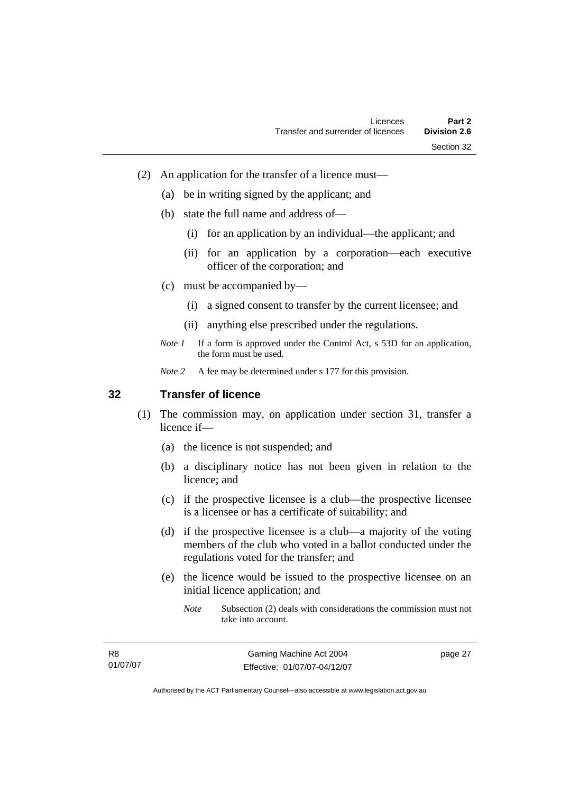- (2) An application for the transfer of a licence must—
	- (a) be in writing signed by the applicant; and
	- (b) state the full name and address of—
		- (i) for an application by an individual—the applicant; and
		- (ii) for an application by a corporation—each executive officer of the corporation; and
	- (c) must be accompanied by—
		- (i) a signed consent to transfer by the current licensee; and
		- (ii) anything else prescribed under the regulations.
	- *Note 1* If a form is approved under the Control Act, s 53D for an application, the form must be used.
	- *Note 2* A fee may be determined under s 177 for this provision.

#### **32 Transfer of licence**

- (1) The commission may, on application under section 31, transfer a licence if—
	- (a) the licence is not suspended; and
	- (b) a disciplinary notice has not been given in relation to the licence; and
	- (c) if the prospective licensee is a club—the prospective licensee is a licensee or has a certificate of suitability; and
	- (d) if the prospective licensee is a club—a majority of the voting members of the club who voted in a ballot conducted under the regulations voted for the transfer; and
	- (e) the licence would be issued to the prospective licensee on an initial licence application; and
		- *Note* Subsection (2) deals with considerations the commission must not take into account.

R8 01/07/07 page 27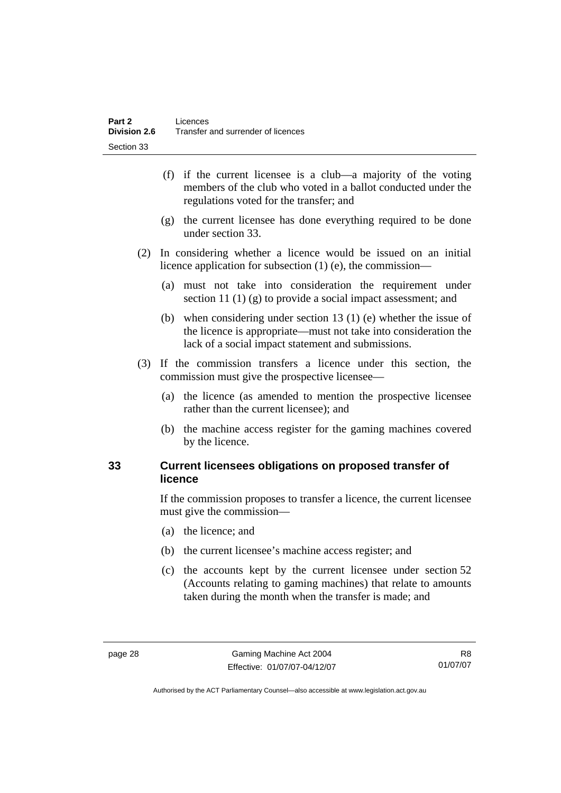- (f) if the current licensee is a club—a majority of the voting members of the club who voted in a ballot conducted under the regulations voted for the transfer; and
- (g) the current licensee has done everything required to be done under section 33.
- (2) In considering whether a licence would be issued on an initial licence application for subsection (1) (e), the commission—
	- (a) must not take into consideration the requirement under section 11 (1) (g) to provide a social impact assessment; and
	- (b) when considering under section 13 (1) (e) whether the issue of the licence is appropriate—must not take into consideration the lack of a social impact statement and submissions.
- (3) If the commission transfers a licence under this section, the commission must give the prospective licensee—
	- (a) the licence (as amended to mention the prospective licensee rather than the current licensee); and
	- (b) the machine access register for the gaming machines covered by the licence.

# **33 Current licensees obligations on proposed transfer of licence**

If the commission proposes to transfer a licence, the current licensee must give the commission—

- (a) the licence; and
- (b) the current licensee's machine access register; and
- (c) the accounts kept by the current licensee under section 52 (Accounts relating to gaming machines) that relate to amounts taken during the month when the transfer is made; and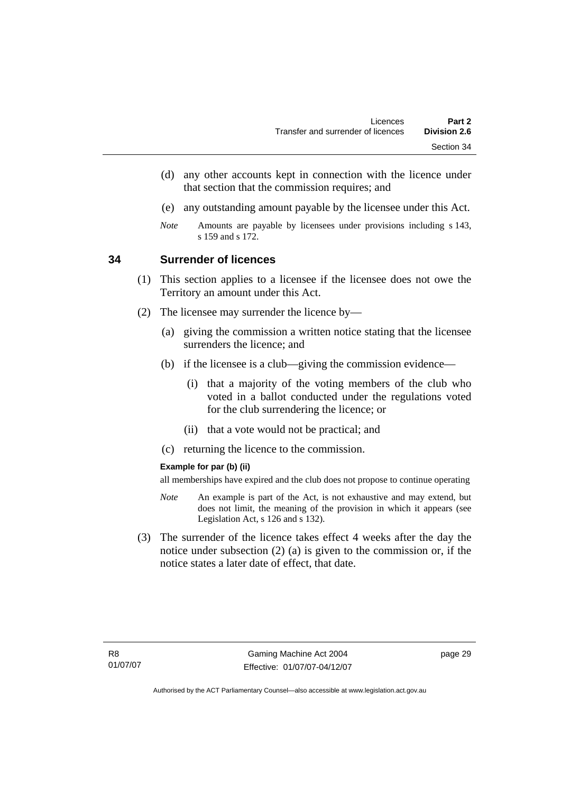- (d) any other accounts kept in connection with the licence under that section that the commission requires; and
- (e) any outstanding amount payable by the licensee under this Act.
- *Note* Amounts are payable by licensees under provisions including s 143, s 159 and s 172.

#### **34 Surrender of licences**

- (1) This section applies to a licensee if the licensee does not owe the Territory an amount under this Act.
- (2) The licensee may surrender the licence by—
	- (a) giving the commission a written notice stating that the licensee surrenders the licence; and
	- (b) if the licensee is a club—giving the commission evidence—
		- (i) that a majority of the voting members of the club who voted in a ballot conducted under the regulations voted for the club surrendering the licence; or
		- (ii) that a vote would not be practical; and
	- (c) returning the licence to the commission.

#### **Example for par (b) (ii)**

all memberships have expired and the club does not propose to continue operating

- *Note* An example is part of the Act, is not exhaustive and may extend, but does not limit, the meaning of the provision in which it appears (see Legislation Act, s 126 and s 132).
- (3) The surrender of the licence takes effect 4 weeks after the day the notice under subsection (2) (a) is given to the commission or, if the notice states a later date of effect, that date.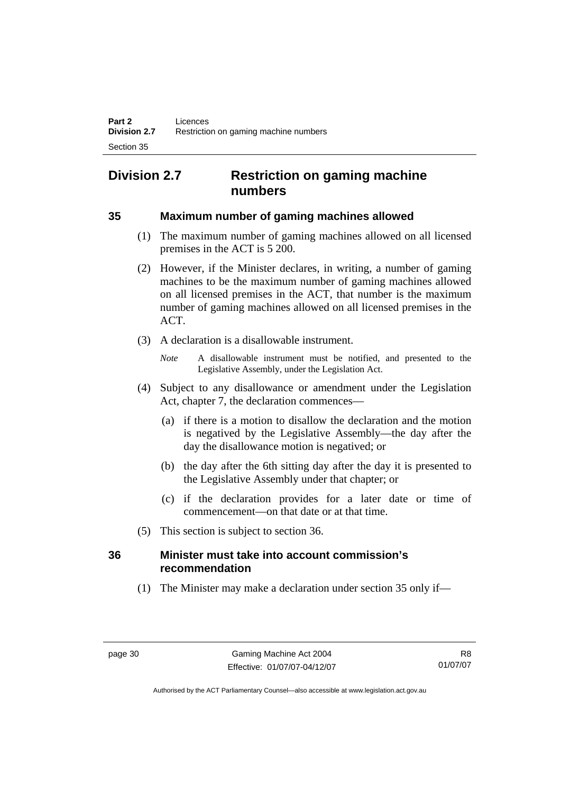# **Division 2.7 Restriction on gaming machine numbers**

#### **35 Maximum number of gaming machines allowed**

- (1) The maximum number of gaming machines allowed on all licensed premises in the ACT is 5 200.
- (2) However, if the Minister declares, in writing, a number of gaming machines to be the maximum number of gaming machines allowed on all licensed premises in the ACT, that number is the maximum number of gaming machines allowed on all licensed premises in the ACT.
- (3) A declaration is a disallowable instrument.

*Note* A disallowable instrument must be notified, and presented to the Legislative Assembly, under the Legislation Act.

- (4) Subject to any disallowance or amendment under the Legislation Act, chapter 7, the declaration commences—
	- (a) if there is a motion to disallow the declaration and the motion is negatived by the Legislative Assembly—the day after the day the disallowance motion is negatived; or
	- (b) the day after the 6th sitting day after the day it is presented to the Legislative Assembly under that chapter; or
	- (c) if the declaration provides for a later date or time of commencement—on that date or at that time.
- (5) This section is subject to section 36.

# **36 Minister must take into account commission's recommendation**

(1) The Minister may make a declaration under section 35 only if—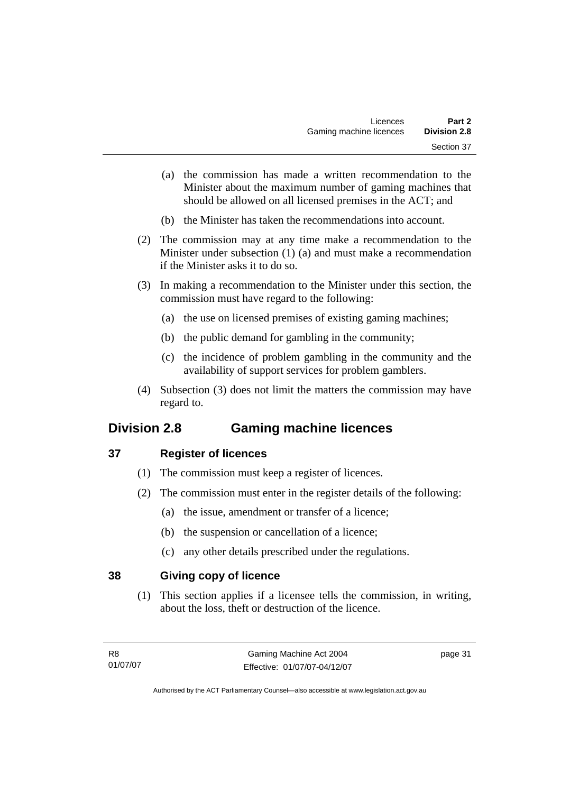- (a) the commission has made a written recommendation to the Minister about the maximum number of gaming machines that should be allowed on all licensed premises in the ACT; and
- (b) the Minister has taken the recommendations into account.
- (2) The commission may at any time make a recommendation to the Minister under subsection (1) (a) and must make a recommendation if the Minister asks it to do so.
- (3) In making a recommendation to the Minister under this section, the commission must have regard to the following:
	- (a) the use on licensed premises of existing gaming machines;
	- (b) the public demand for gambling in the community;
	- (c) the incidence of problem gambling in the community and the availability of support services for problem gamblers.
- (4) Subsection (3) does not limit the matters the commission may have regard to.

# **Division 2.8 Gaming machine licences**

# **37 Register of licences**

- (1) The commission must keep a register of licences.
- (2) The commission must enter in the register details of the following:
	- (a) the issue, amendment or transfer of a licence;
	- (b) the suspension or cancellation of a licence;
	- (c) any other details prescribed under the regulations.

# **38 Giving copy of licence**

 (1) This section applies if a licensee tells the commission, in writing, about the loss, theft or destruction of the licence.

page 31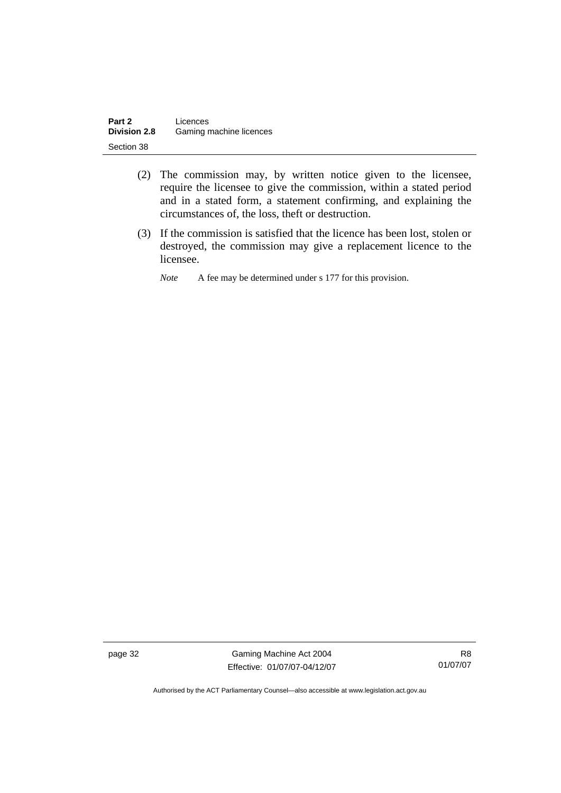| Part 2              | Licences                |
|---------------------|-------------------------|
| <b>Division 2.8</b> | Gaming machine licences |
| Section 38          |                         |

- (2) The commission may, by written notice given to the licensee, require the licensee to give the commission, within a stated period and in a stated form, a statement confirming, and explaining the circumstances of, the loss, theft or destruction.
- (3) If the commission is satisfied that the licence has been lost, stolen or destroyed, the commission may give a replacement licence to the licensee.

*Note* A fee may be determined under s 177 for this provision.

page 32 Gaming Machine Act 2004 Effective: 01/07/07-04/12/07

R8 01/07/07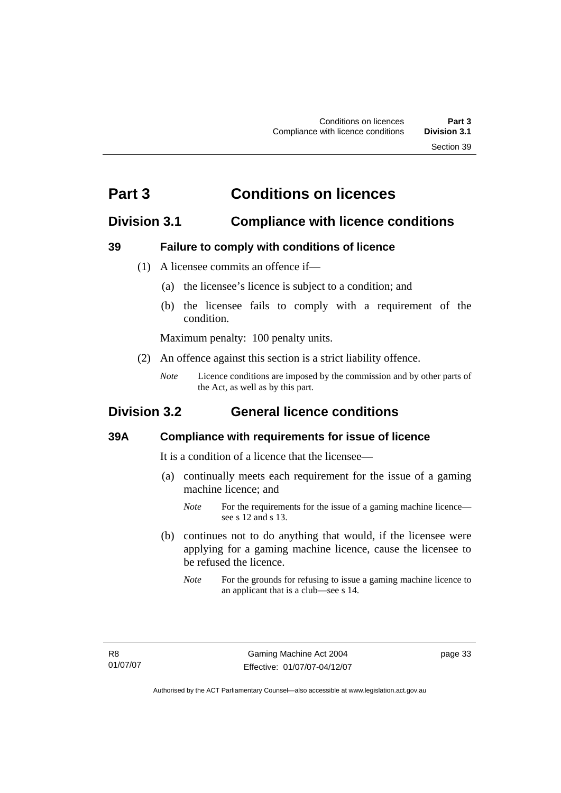# **Part 3 Conditions on licences**

# **Division 3.1 Compliance with licence conditions**

# **39 Failure to comply with conditions of licence**

- (1) A licensee commits an offence if—
	- (a) the licensee's licence is subject to a condition; and
	- (b) the licensee fails to comply with a requirement of the condition.

Maximum penalty: 100 penalty units.

- (2) An offence against this section is a strict liability offence.
	- *Note* Licence conditions are imposed by the commission and by other parts of the Act, as well as by this part.

# **Division 3.2 General licence conditions**

# **39A Compliance with requirements for issue of licence**

It is a condition of a licence that the licensee—

- (a) continually meets each requirement for the issue of a gaming machine licence; and
	- *Note* For the requirements for the issue of a gaming machine licence see s 12 and s 13.
- (b) continues not to do anything that would, if the licensee were applying for a gaming machine licence, cause the licensee to be refused the licence.
	- *Note* For the grounds for refusing to issue a gaming machine licence to an applicant that is a club—see s 14.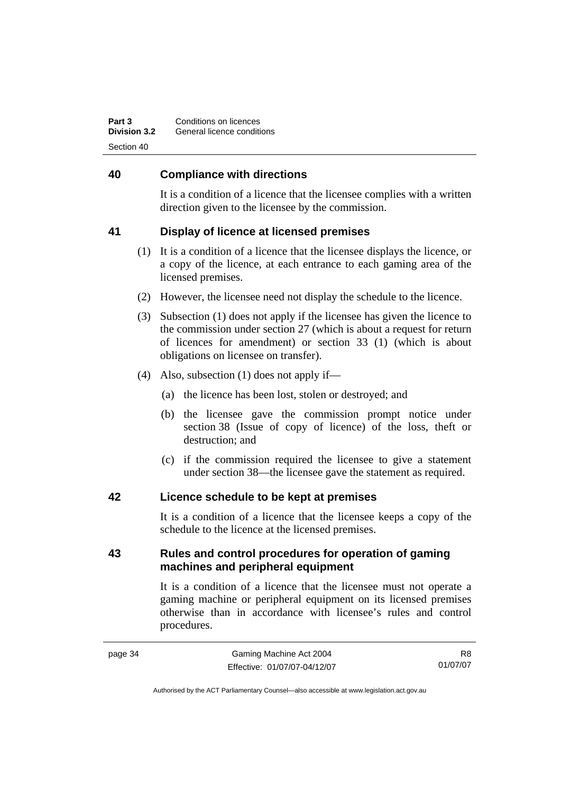| Part 3              | Conditions on licences     |
|---------------------|----------------------------|
| <b>Division 3.2</b> | General licence conditions |
| Section 40          |                            |

#### **40 Compliance with directions**

It is a condition of a licence that the licensee complies with a written direction given to the licensee by the commission.

## **41 Display of licence at licensed premises**

- (1) It is a condition of a licence that the licensee displays the licence, or a copy of the licence, at each entrance to each gaming area of the licensed premises.
- (2) However, the licensee need not display the schedule to the licence.
- (3) Subsection (1) does not apply if the licensee has given the licence to the commission under section 27 (which is about a request for return of licences for amendment) or section 33 (1) (which is about obligations on licensee on transfer).
- (4) Also, subsection (1) does not apply if—
	- (a) the licence has been lost, stolen or destroyed; and
	- (b) the licensee gave the commission prompt notice under section 38 (Issue of copy of licence) of the loss, theft or destruction; and
	- (c) if the commission required the licensee to give a statement under section 38—the licensee gave the statement as required.

#### **42 Licence schedule to be kept at premises**

It is a condition of a licence that the licensee keeps a copy of the schedule to the licence at the licensed premises.

## **43 Rules and control procedures for operation of gaming machines and peripheral equipment**

It is a condition of a licence that the licensee must not operate a gaming machine or peripheral equipment on its licensed premises otherwise than in accordance with licensee's rules and control procedures.

R8 01/07/07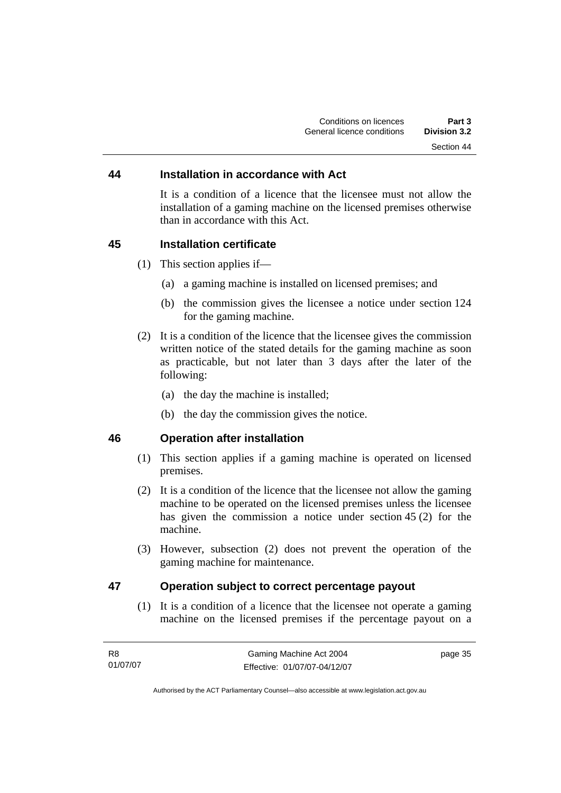#### **44 Installation in accordance with Act**

It is a condition of a licence that the licensee must not allow the installation of a gaming machine on the licensed premises otherwise than in accordance with this Act.

#### **45 Installation certificate**

- (1) This section applies if—
	- (a) a gaming machine is installed on licensed premises; and
	- (b) the commission gives the licensee a notice under section 124 for the gaming machine.
- (2) It is a condition of the licence that the licensee gives the commission written notice of the stated details for the gaming machine as soon as practicable, but not later than 3 days after the later of the following:
	- (a) the day the machine is installed;
	- (b) the day the commission gives the notice.

# **46 Operation after installation**

- (1) This section applies if a gaming machine is operated on licensed premises.
- (2) It is a condition of the licence that the licensee not allow the gaming machine to be operated on the licensed premises unless the licensee has given the commission a notice under section 45 (2) for the machine.
- (3) However, subsection (2) does not prevent the operation of the gaming machine for maintenance.

## **47 Operation subject to correct percentage payout**

 (1) It is a condition of a licence that the licensee not operate a gaming machine on the licensed premises if the percentage payout on a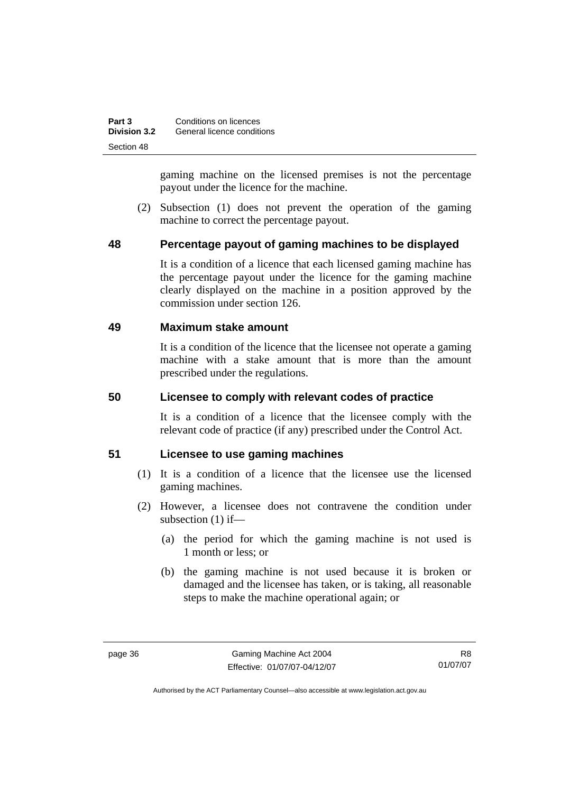| Part 3              | Conditions on licences     |
|---------------------|----------------------------|
| <b>Division 3.2</b> | General licence conditions |
| Section 48          |                            |

gaming machine on the licensed premises is not the percentage payout under the licence for the machine.

 (2) Subsection (1) does not prevent the operation of the gaming machine to correct the percentage payout.

## **48 Percentage payout of gaming machines to be displayed**

It is a condition of a licence that each licensed gaming machine has the percentage payout under the licence for the gaming machine clearly displayed on the machine in a position approved by the commission under section 126.

#### **49 Maximum stake amount**

It is a condition of the licence that the licensee not operate a gaming machine with a stake amount that is more than the amount prescribed under the regulations.

#### **50 Licensee to comply with relevant codes of practice**

It is a condition of a licence that the licensee comply with the relevant code of practice (if any) prescribed under the Control Act.

#### **51 Licensee to use gaming machines**

- (1) It is a condition of a licence that the licensee use the licensed gaming machines.
- (2) However, a licensee does not contravene the condition under subsection (1) if—
	- (a) the period for which the gaming machine is not used is 1 month or less; or
	- (b) the gaming machine is not used because it is broken or damaged and the licensee has taken, or is taking, all reasonable steps to make the machine operational again; or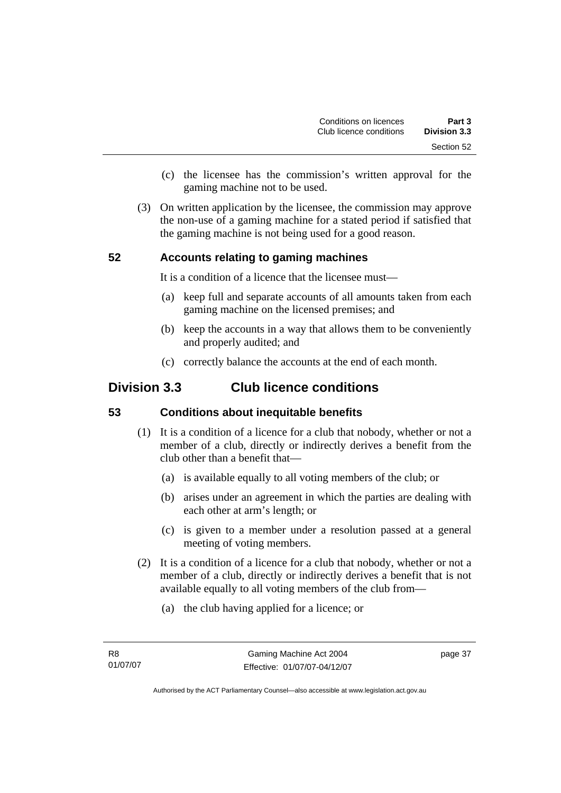- (c) the licensee has the commission's written approval for the gaming machine not to be used.
- (3) On written application by the licensee, the commission may approve the non-use of a gaming machine for a stated period if satisfied that the gaming machine is not being used for a good reason.

# **52 Accounts relating to gaming machines**

It is a condition of a licence that the licensee must—

- (a) keep full and separate accounts of all amounts taken from each gaming machine on the licensed premises; and
- (b) keep the accounts in a way that allows them to be conveniently and properly audited; and
- (c) correctly balance the accounts at the end of each month.

# **Division 3.3 Club licence conditions**

#### **53 Conditions about inequitable benefits**

- (1) It is a condition of a licence for a club that nobody, whether or not a member of a club, directly or indirectly derives a benefit from the club other than a benefit that—
	- (a) is available equally to all voting members of the club; or
	- (b) arises under an agreement in which the parties are dealing with each other at arm's length; or
	- (c) is given to a member under a resolution passed at a general meeting of voting members.
- (2) It is a condition of a licence for a club that nobody, whether or not a member of a club, directly or indirectly derives a benefit that is not available equally to all voting members of the club from—
	- (a) the club having applied for a licence; or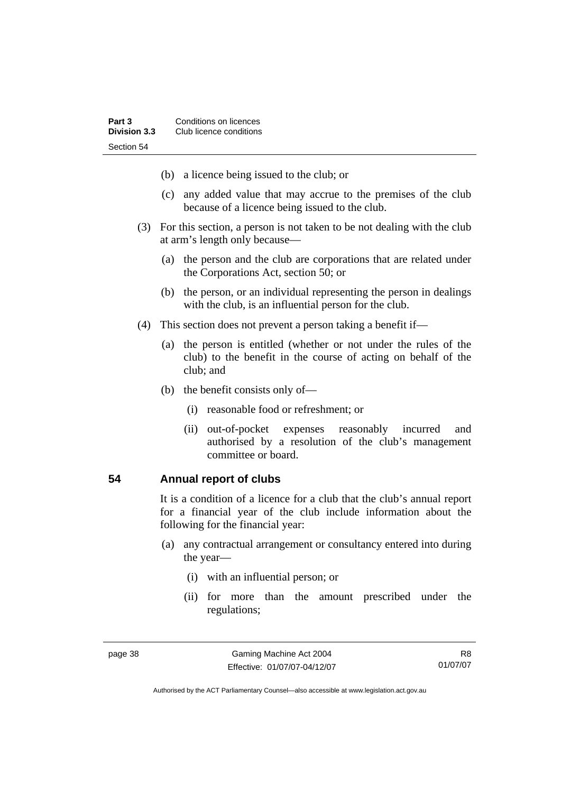- (b) a licence being issued to the club; or
- (c) any added value that may accrue to the premises of the club because of a licence being issued to the club.
- (3) For this section, a person is not taken to be not dealing with the club at arm's length only because—
	- (a) the person and the club are corporations that are related under the Corporations Act, section 50; or
	- (b) the person, or an individual representing the person in dealings with the club, is an influential person for the club.
- (4) This section does not prevent a person taking a benefit if—
	- (a) the person is entitled (whether or not under the rules of the club) to the benefit in the course of acting on behalf of the club; and
	- (b) the benefit consists only of—
		- (i) reasonable food or refreshment; or
		- (ii) out-of-pocket expenses reasonably incurred and authorised by a resolution of the club's management committee or board.

#### **54 Annual report of clubs**

It is a condition of a licence for a club that the club's annual report for a financial year of the club include information about the following for the financial year:

- (a) any contractual arrangement or consultancy entered into during the year—
	- (i) with an influential person; or
	- (ii) for more than the amount prescribed under the regulations;

R8 01/07/07

Authorised by the ACT Parliamentary Counsel—also accessible at www.legislation.act.gov.au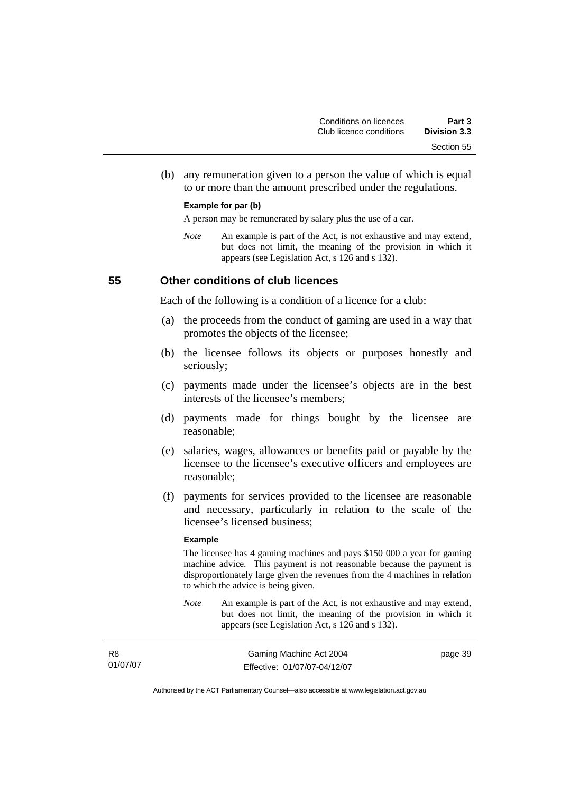(b) any remuneration given to a person the value of which is equal to or more than the amount prescribed under the regulations.

#### **Example for par (b)**

A person may be remunerated by salary plus the use of a car.

*Note* An example is part of the Act, is not exhaustive and may extend, but does not limit, the meaning of the provision in which it appears (see Legislation Act, s 126 and s 132).

#### **55 Other conditions of club licences**

Each of the following is a condition of a licence for a club:

- (a) the proceeds from the conduct of gaming are used in a way that promotes the objects of the licensee;
- (b) the licensee follows its objects or purposes honestly and seriously;
- (c) payments made under the licensee's objects are in the best interests of the licensee's members;
- (d) payments made for things bought by the licensee are reasonable;
- (e) salaries, wages, allowances or benefits paid or payable by the licensee to the licensee's executive officers and employees are reasonable;
- (f) payments for services provided to the licensee are reasonable and necessary, particularly in relation to the scale of the licensee's licensed business;

#### **Example**

The licensee has 4 gaming machines and pays \$150 000 a year for gaming machine advice. This payment is not reasonable because the payment is disproportionately large given the revenues from the 4 machines in relation to which the advice is being given.

*Note* An example is part of the Act, is not exhaustive and may extend, but does not limit, the meaning of the provision in which it appears (see Legislation Act, s 126 and s 132).

| R8       | Gaming Machine Act 2004      | page 39 |
|----------|------------------------------|---------|
| 01/07/07 | Effective: 01/07/07-04/12/07 |         |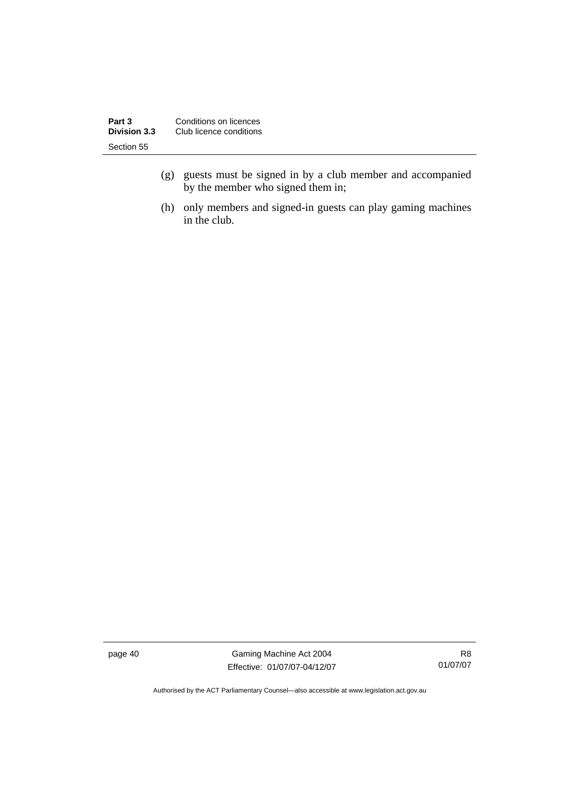| Part 3<br><b>Division 3.3</b> | Conditions on licences<br>Club licence conditions |
|-------------------------------|---------------------------------------------------|
| Section 55                    |                                                   |
|                               |                                                   |

- (g) guests must be signed in by a club member and accompanied by the member who signed them in;
- (h) only members and signed-in guests can play gaming machines in the club.

page 40 Gaming Machine Act 2004 Effective: 01/07/07-04/12/07

R8 01/07/07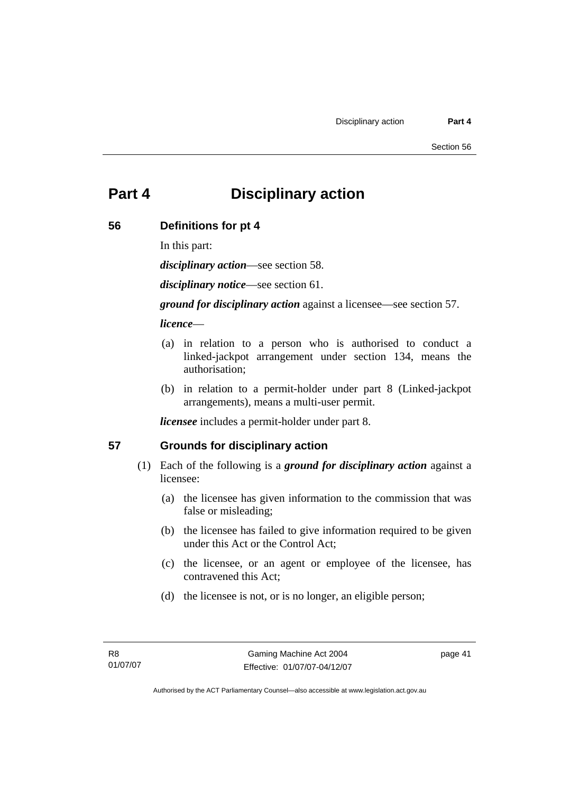# **Part 4 Disciplinary action**

#### **56 Definitions for pt 4**

In this part:

*disciplinary action*—see section 58.

*disciplinary notice*—see section 61.

*ground for disciplinary action* against a licensee—see section 57.

#### *licence*—

- (a) in relation to a person who is authorised to conduct a linked-jackpot arrangement under section 134, means the authorisation;
- (b) in relation to a permit-holder under part 8 (Linked-jackpot arrangements), means a multi-user permit.

*licensee* includes a permit-holder under part 8.

#### **57 Grounds for disciplinary action**

- (1) Each of the following is a *ground for disciplinary action* against a licensee:
	- (a) the licensee has given information to the commission that was false or misleading;
	- (b) the licensee has failed to give information required to be given under this Act or the Control Act;
	- (c) the licensee, or an agent or employee of the licensee, has contravened this Act;
	- (d) the licensee is not, or is no longer, an eligible person;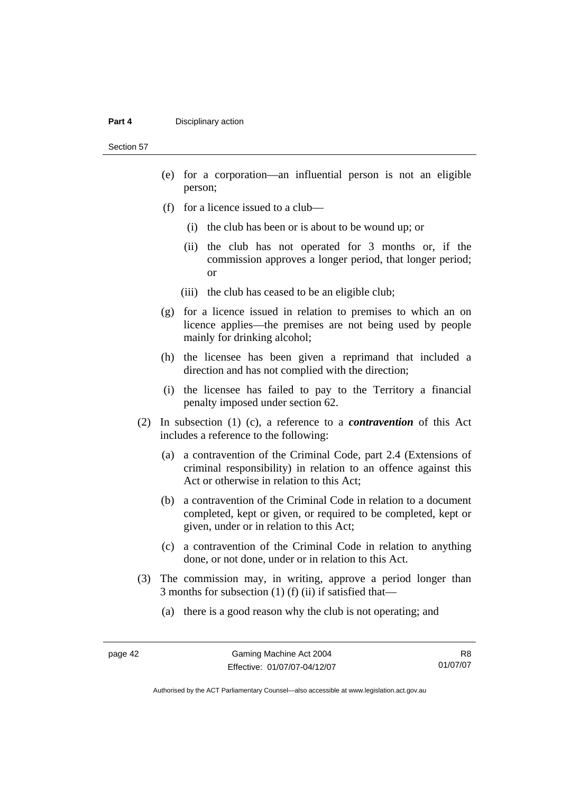#### **Part 4 Disciplinary action**

Section 57

- (e) for a corporation—an influential person is not an eligible person;
- (f) for a licence issued to a club—
	- (i) the club has been or is about to be wound up; or
	- (ii) the club has not operated for 3 months or, if the commission approves a longer period, that longer period; or
	- (iii) the club has ceased to be an eligible club;
- (g) for a licence issued in relation to premises to which an on licence applies—the premises are not being used by people mainly for drinking alcohol;
- (h) the licensee has been given a reprimand that included a direction and has not complied with the direction;
- (i) the licensee has failed to pay to the Territory a financial penalty imposed under section 62.
- (2) In subsection (1) (c), a reference to a *contravention* of this Act includes a reference to the following:
	- (a) a contravention of the Criminal Code, part 2.4 (Extensions of criminal responsibility) in relation to an offence against this Act or otherwise in relation to this Act;
	- (b) a contravention of the Criminal Code in relation to a document completed, kept or given, or required to be completed, kept or given, under or in relation to this Act;
	- (c) a contravention of the Criminal Code in relation to anything done, or not done, under or in relation to this Act.
- (3) The commission may, in writing, approve a period longer than 3 months for subsection (1) (f) (ii) if satisfied that—
	- (a) there is a good reason why the club is not operating; and

R8 01/07/07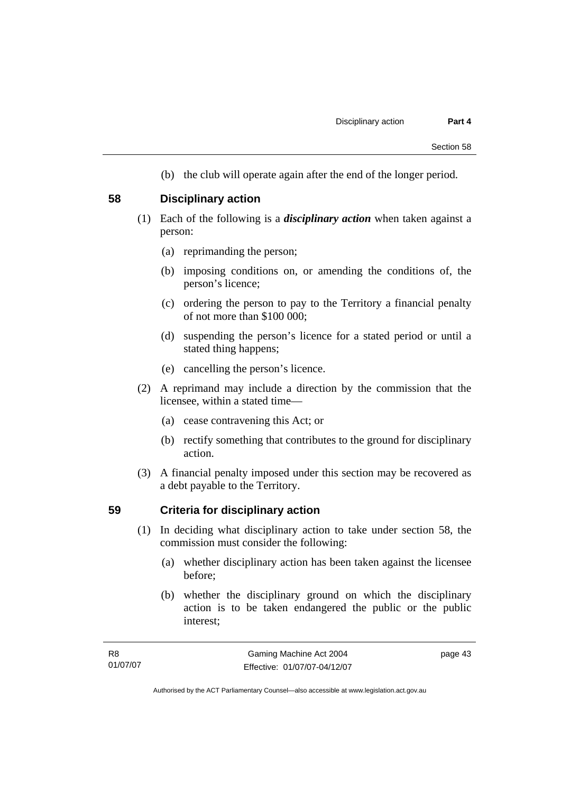(b) the club will operate again after the end of the longer period.

#### **58 Disciplinary action**

- (1) Each of the following is a *disciplinary action* when taken against a person:
	- (a) reprimanding the person;
	- (b) imposing conditions on, or amending the conditions of, the person's licence;
	- (c) ordering the person to pay to the Territory a financial penalty of not more than \$100 000;
	- (d) suspending the person's licence for a stated period or until a stated thing happens;
	- (e) cancelling the person's licence.
- (2) A reprimand may include a direction by the commission that the licensee, within a stated time—
	- (a) cease contravening this Act; or
	- (b) rectify something that contributes to the ground for disciplinary action.
- (3) A financial penalty imposed under this section may be recovered as a debt payable to the Territory.

#### **59 Criteria for disciplinary action**

- (1) In deciding what disciplinary action to take under section 58, the commission must consider the following:
	- (a) whether disciplinary action has been taken against the licensee before;
	- (b) whether the disciplinary ground on which the disciplinary action is to be taken endangered the public or the public interest;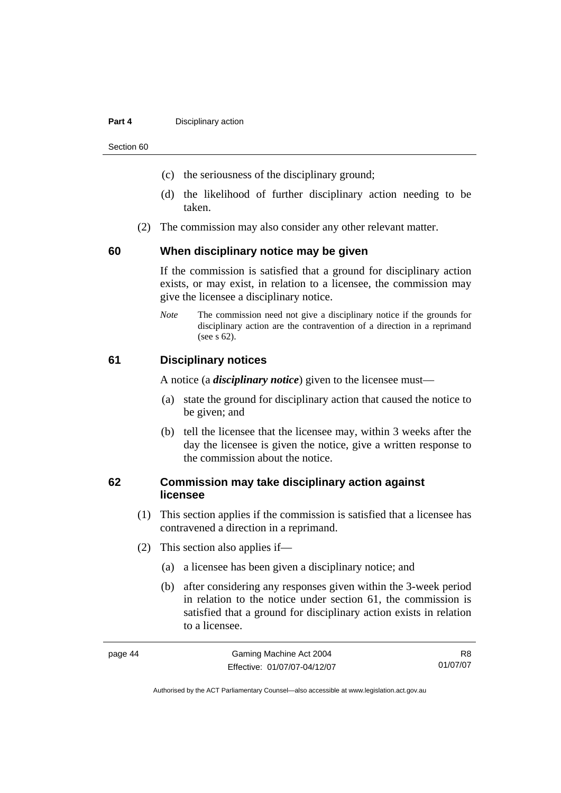#### **Part 4 Disciplinary action**

Section 60

- (c) the seriousness of the disciplinary ground;
- (d) the likelihood of further disciplinary action needing to be taken.
- (2) The commission may also consider any other relevant matter.

#### **60 When disciplinary notice may be given**

If the commission is satisfied that a ground for disciplinary action exists, or may exist, in relation to a licensee, the commission may give the licensee a disciplinary notice.

*Note* The commission need not give a disciplinary notice if the grounds for disciplinary action are the contravention of a direction in a reprimand (see s 62).

#### **61 Disciplinary notices**

A notice (a *disciplinary notice*) given to the licensee must—

- (a) state the ground for disciplinary action that caused the notice to be given; and
- (b) tell the licensee that the licensee may, within 3 weeks after the day the licensee is given the notice, give a written response to the commission about the notice.

## **62 Commission may take disciplinary action against licensee**

- (1) This section applies if the commission is satisfied that a licensee has contravened a direction in a reprimand.
- (2) This section also applies if—
	- (a) a licensee has been given a disciplinary notice; and
	- (b) after considering any responses given within the 3-week period in relation to the notice under section 61, the commission is satisfied that a ground for disciplinary action exists in relation to a licensee.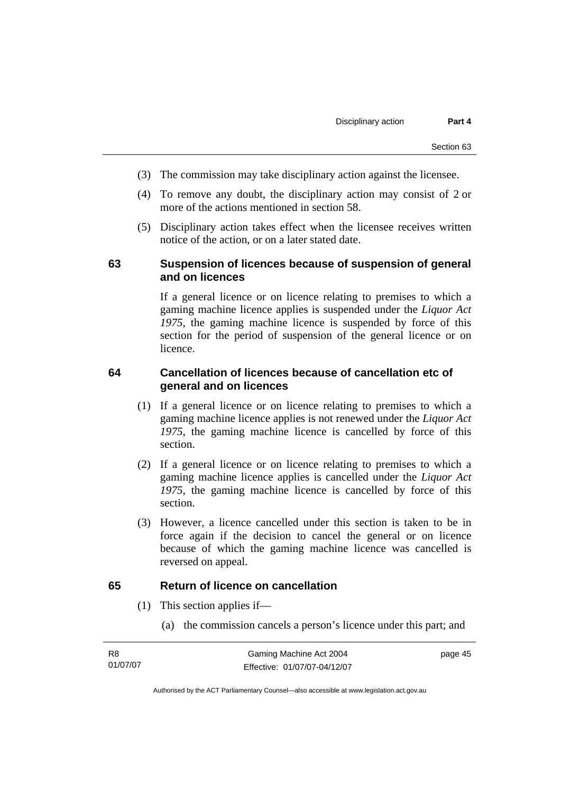- (3) The commission may take disciplinary action against the licensee.
- (4) To remove any doubt, the disciplinary action may consist of 2 or more of the actions mentioned in section 58.
- (5) Disciplinary action takes effect when the licensee receives written notice of the action, or on a later stated date.

#### **63 Suspension of licences because of suspension of general and on licences**

If a general licence or on licence relating to premises to which a gaming machine licence applies is suspended under the *Liquor Act 1975*, the gaming machine licence is suspended by force of this section for the period of suspension of the general licence or on licence.

#### **64 Cancellation of licences because of cancellation etc of general and on licences**

- (1) If a general licence or on licence relating to premises to which a gaming machine licence applies is not renewed under the *Liquor Act 1975*, the gaming machine licence is cancelled by force of this section.
- (2) If a general licence or on licence relating to premises to which a gaming machine licence applies is cancelled under the *Liquor Act 1975*, the gaming machine licence is cancelled by force of this section.
- (3) However, a licence cancelled under this section is taken to be in force again if the decision to cancel the general or on licence because of which the gaming machine licence was cancelled is reversed on appeal.

#### **65 Return of licence on cancellation**

- (1) This section applies if—
	- (a) the commission cancels a person's licence under this part; and

| R8       | Gaming Machine Act 2004      | page 45 |
|----------|------------------------------|---------|
| 01/07/07 | Effective: 01/07/07-04/12/07 |         |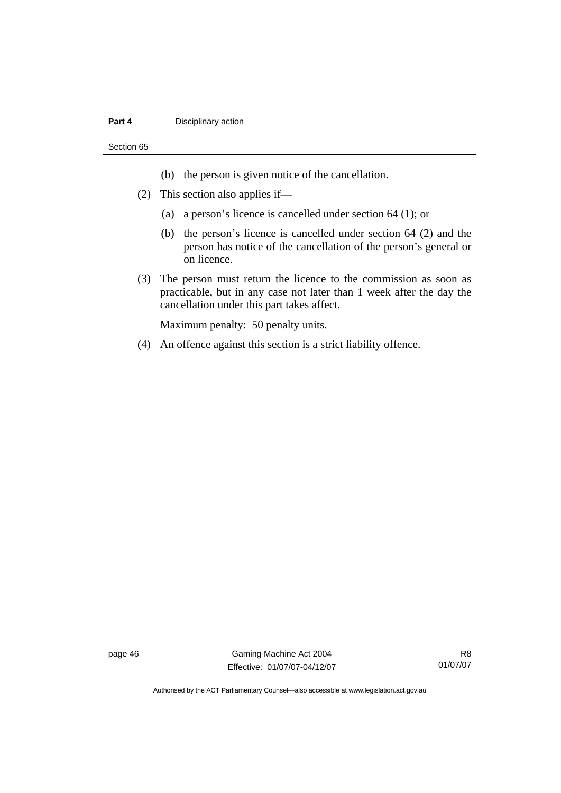#### **Part 4 Disciplinary action**

#### Section 65

- (b) the person is given notice of the cancellation.
- (2) This section also applies if—
	- (a) a person's licence is cancelled under section 64 (1); or
	- (b) the person's licence is cancelled under section 64 (2) and the person has notice of the cancellation of the person's general or on licence.
- (3) The person must return the licence to the commission as soon as practicable, but in any case not later than 1 week after the day the cancellation under this part takes affect.

Maximum penalty: 50 penalty units.

(4) An offence against this section is a strict liability offence.

page 46 Gaming Machine Act 2004 Effective: 01/07/07-04/12/07

R8 01/07/07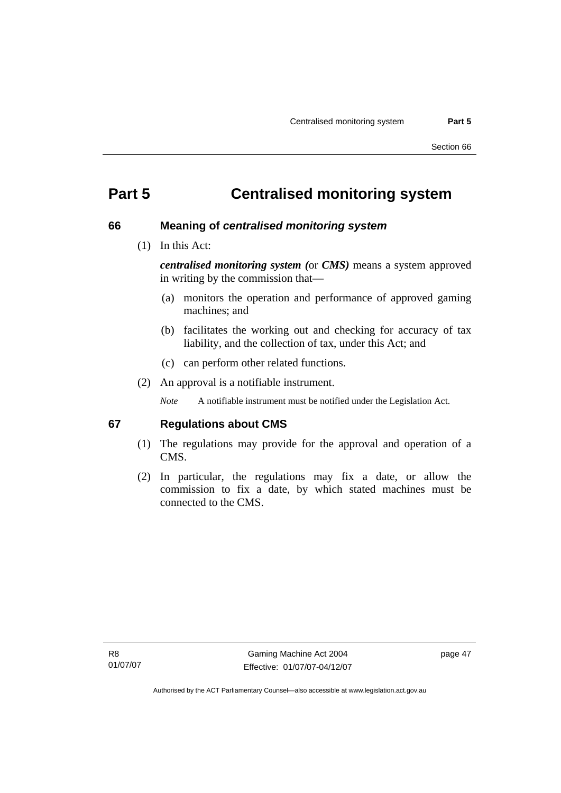# **Part 5 Centralised monitoring system**

#### **66 Meaning of** *centralised monitoring system*

(1) In this Act:

*centralised monitoring system (*or *CMS)* means a system approved in writing by the commission that—

- (a) monitors the operation and performance of approved gaming machines; and
- (b) facilitates the working out and checking for accuracy of tax liability, and the collection of tax, under this Act; and
- (c) can perform other related functions.
- (2) An approval is a notifiable instrument.

*Note* A notifiable instrument must be notified under the Legislation Act.

#### **67 Regulations about CMS**

- (1) The regulations may provide for the approval and operation of a CMS.
- (2) In particular, the regulations may fix a date, or allow the commission to fix a date, by which stated machines must be connected to the CMS.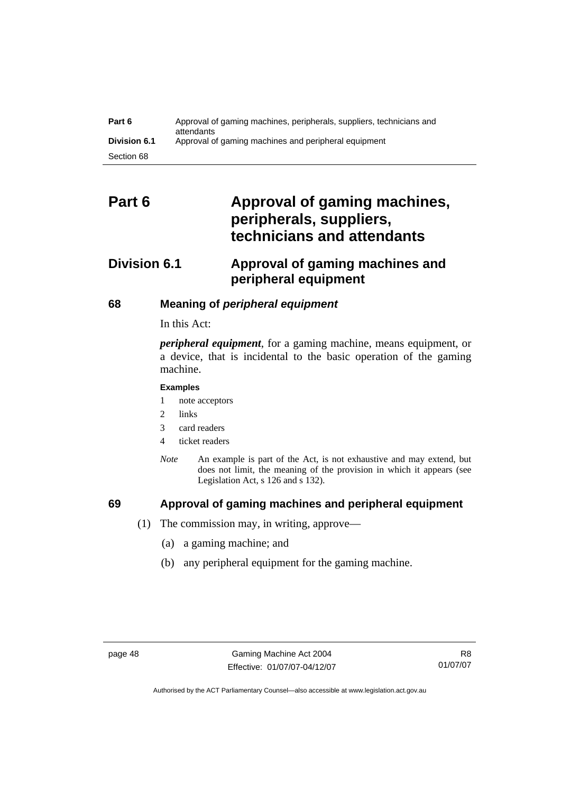| Part 6              | Approval of gaming machines, peripherals, suppliers, technicians and<br>attendants |
|---------------------|------------------------------------------------------------------------------------|
| <b>Division 6.1</b> | Approval of gaming machines and peripheral equipment                               |
| Section 68          |                                                                                    |

# Part 6 **Approval of gaming machines, peripherals, suppliers, technicians and attendants**

# **Division 6.1 Approval of gaming machines and peripheral equipment**

#### **68 Meaning of** *peripheral equipment*

#### In this Act:

*peripheral equipment*, for a gaming machine, means equipment, or a device, that is incidental to the basic operation of the gaming machine.

#### **Examples**

- 1 note acceptors
- 2 links
- 3 card readers
- 4 ticket readers
- *Note* An example is part of the Act, is not exhaustive and may extend, but does not limit, the meaning of the provision in which it appears (see Legislation Act, s 126 and s 132).

#### **69 Approval of gaming machines and peripheral equipment**

- (1) The commission may, in writing, approve—
	- (a) a gaming machine; and
	- (b) any peripheral equipment for the gaming machine.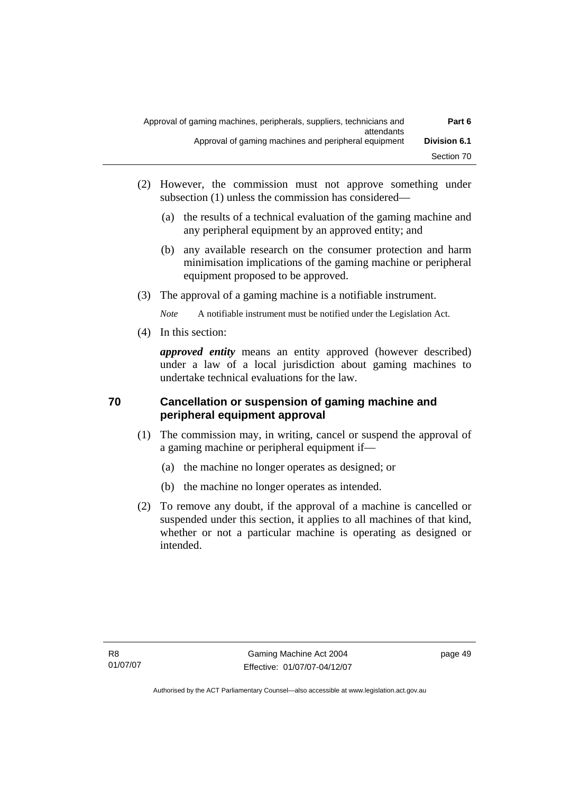| Part 6              | Approval of gaming machines, peripherals, suppliers, technicians and<br>attendants |
|---------------------|------------------------------------------------------------------------------------|
| <b>Division 6.1</b> | Approval of gaming machines and peripheral equipment                               |
| Section 70          |                                                                                    |

- (2) However, the commission must not approve something under subsection (1) unless the commission has considered—
	- (a) the results of a technical evaluation of the gaming machine and any peripheral equipment by an approved entity; and
	- (b) any available research on the consumer protection and harm minimisation implications of the gaming machine or peripheral equipment proposed to be approved.
- (3) The approval of a gaming machine is a notifiable instrument.

*Note* A notifiable instrument must be notified under the Legislation Act.

(4) In this section:

*approved entity* means an entity approved (however described) under a law of a local jurisdiction about gaming machines to undertake technical evaluations for the law.

# **70 Cancellation or suspension of gaming machine and peripheral equipment approval**

- (1) The commission may, in writing, cancel or suspend the approval of a gaming machine or peripheral equipment if—
	- (a) the machine no longer operates as designed; or
	- (b) the machine no longer operates as intended.
- (2) To remove any doubt, if the approval of a machine is cancelled or suspended under this section, it applies to all machines of that kind, whether or not a particular machine is operating as designed or intended.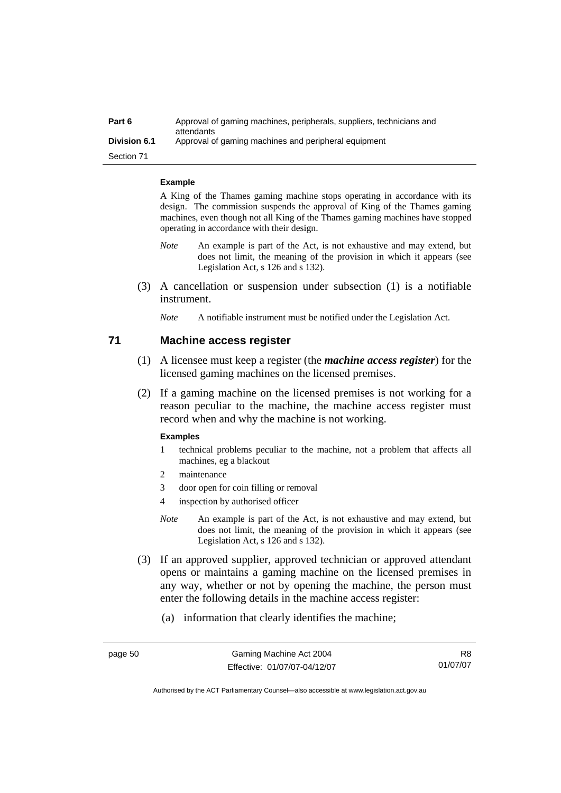| Part 6              | Approval of gaming machines, peripherals, suppliers, technicians and<br>attendants |
|---------------------|------------------------------------------------------------------------------------|
| <b>Division 6.1</b> | Approval of gaming machines and peripheral equipment                               |
| Section 71          |                                                                                    |

**Example** 

A King of the Thames gaming machine stops operating in accordance with its design. The commission suspends the approval of King of the Thames gaming machines, even though not all King of the Thames gaming machines have stopped operating in accordance with their design.

- *Note* An example is part of the Act, is not exhaustive and may extend, but does not limit, the meaning of the provision in which it appears (see Legislation Act, s 126 and s 132).
- (3) A cancellation or suspension under subsection (1) is a notifiable instrument.
	- *Note* A notifiable instrument must be notified under the Legislation Act.

#### **71 Machine access register**

- (1) A licensee must keep a register (the *machine access register*) for the licensed gaming machines on the licensed premises.
- (2) If a gaming machine on the licensed premises is not working for a reason peculiar to the machine, the machine access register must record when and why the machine is not working.

#### **Examples**

- 1 technical problems peculiar to the machine, not a problem that affects all machines, eg a blackout
- 2 maintenance
- 3 door open for coin filling or removal
- 4 inspection by authorised officer
- *Note* An example is part of the Act, is not exhaustive and may extend, but does not limit, the meaning of the provision in which it appears (see Legislation Act, s 126 and s 132).
- (3) If an approved supplier, approved technician or approved attendant opens or maintains a gaming machine on the licensed premises in any way, whether or not by opening the machine, the person must enter the following details in the machine access register:
	- (a) information that clearly identifies the machine;

R8 01/07/07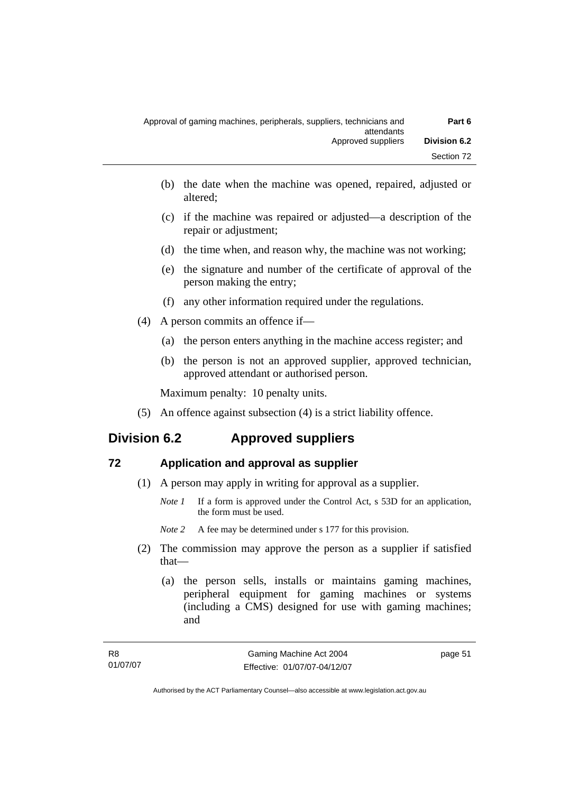| Part 6              | Approval of gaming machines, peripherals, suppliers, technicians and<br>attendants |
|---------------------|------------------------------------------------------------------------------------|
| <b>Division 6.2</b> | Approved suppliers                                                                 |
| Section 72          |                                                                                    |

- (b) the date when the machine was opened, repaired, adjusted or altered;
- (c) if the machine was repaired or adjusted—a description of the repair or adjustment;
- (d) the time when, and reason why, the machine was not working;
- (e) the signature and number of the certificate of approval of the person making the entry;
- (f) any other information required under the regulations.
- (4) A person commits an offence if—
	- (a) the person enters anything in the machine access register; and
	- (b) the person is not an approved supplier, approved technician, approved attendant or authorised person.

Maximum penalty: 10 penalty units.

(5) An offence against subsection (4) is a strict liability offence.

# **Division 6.2 Approved suppliers**

## **72 Application and approval as supplier**

- (1) A person may apply in writing for approval as a supplier.
	- *Note 1* If a form is approved under the Control Act, s 53D for an application, the form must be used.

*Note* 2 A fee may be determined under s 177 for this provision.

- (2) The commission may approve the person as a supplier if satisfied that—
	- (a) the person sells, installs or maintains gaming machines, peripheral equipment for gaming machines or systems (including a CMS) designed for use with gaming machines; and

page 51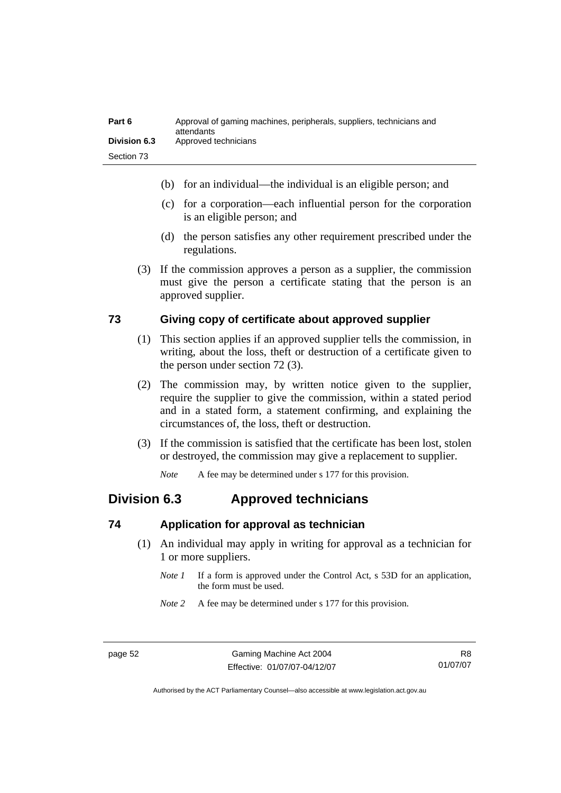| Part 6              | Approval of gaming machines, peripherals, suppliers, technicians and<br>attendants |
|---------------------|------------------------------------------------------------------------------------|
| <b>Division 6.3</b> | Approved technicians                                                               |
| Section 73          |                                                                                    |

- (b) for an individual—the individual is an eligible person; and
- (c) for a corporation—each influential person for the corporation is an eligible person; and
- (d) the person satisfies any other requirement prescribed under the regulations.
- (3) If the commission approves a person as a supplier, the commission must give the person a certificate stating that the person is an approved supplier.

#### **73 Giving copy of certificate about approved supplier**

- (1) This section applies if an approved supplier tells the commission, in writing, about the loss, theft or destruction of a certificate given to the person under section 72 (3).
- (2) The commission may, by written notice given to the supplier, require the supplier to give the commission, within a stated period and in a stated form, a statement confirming, and explaining the circumstances of, the loss, theft or destruction.
- (3) If the commission is satisfied that the certificate has been lost, stolen or destroyed, the commission may give a replacement to supplier.

*Note* A fee may be determined under s 177 for this provision.

# **Division 6.3 Approved technicians**

#### **74 Application for approval as technician**

- (1) An individual may apply in writing for approval as a technician for 1 or more suppliers.
	- *Note 1* If a form is approved under the Control Act, s 53D for an application, the form must be used.
	- *Note 2* A fee may be determined under s 177 for this provision.

R8 01/07/07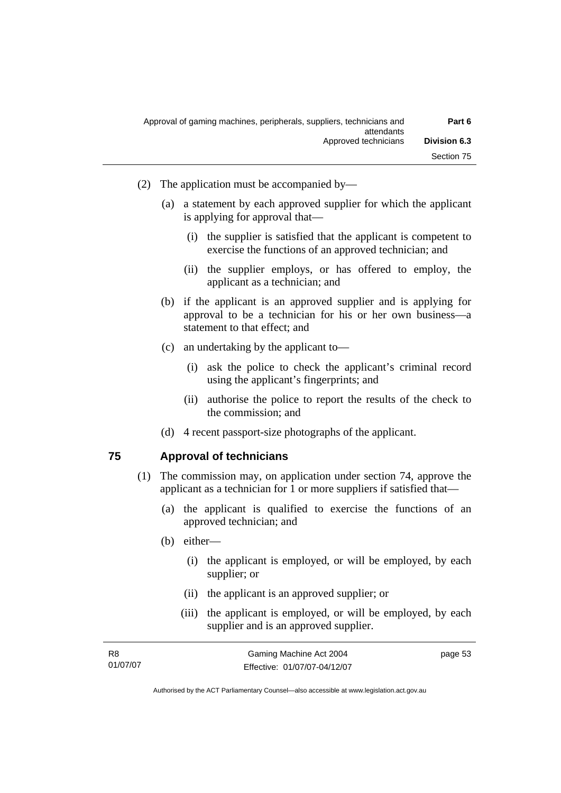| Part 6              | Approval of gaming machines, peripherals, suppliers, technicians and<br>attendants |
|---------------------|------------------------------------------------------------------------------------|
| <b>Division 6.3</b> | Approved technicians                                                               |
| Section 75          |                                                                                    |

- (2) The application must be accompanied by—
	- (a) a statement by each approved supplier for which the applicant is applying for approval that—
		- (i) the supplier is satisfied that the applicant is competent to exercise the functions of an approved technician; and
		- (ii) the supplier employs, or has offered to employ, the applicant as a technician; and
	- (b) if the applicant is an approved supplier and is applying for approval to be a technician for his or her own business—a statement to that effect; and
	- (c) an undertaking by the applicant to—
		- (i) ask the police to check the applicant's criminal record using the applicant's fingerprints; and
		- (ii) authorise the police to report the results of the check to the commission; and
	- (d) 4 recent passport-size photographs of the applicant.

#### **75 Approval of technicians**

- (1) The commission may, on application under section 74, approve the applicant as a technician for 1 or more suppliers if satisfied that—
	- (a) the applicant is qualified to exercise the functions of an approved technician; and
	- (b) either—
		- (i) the applicant is employed, or will be employed, by each supplier; or
		- (ii) the applicant is an approved supplier; or
		- (iii) the applicant is employed, or will be employed, by each supplier and is an approved supplier.

| R8       | Gaming Machine Act 2004      | page 53 |
|----------|------------------------------|---------|
| 01/07/07 | Effective: 01/07/07-04/12/07 |         |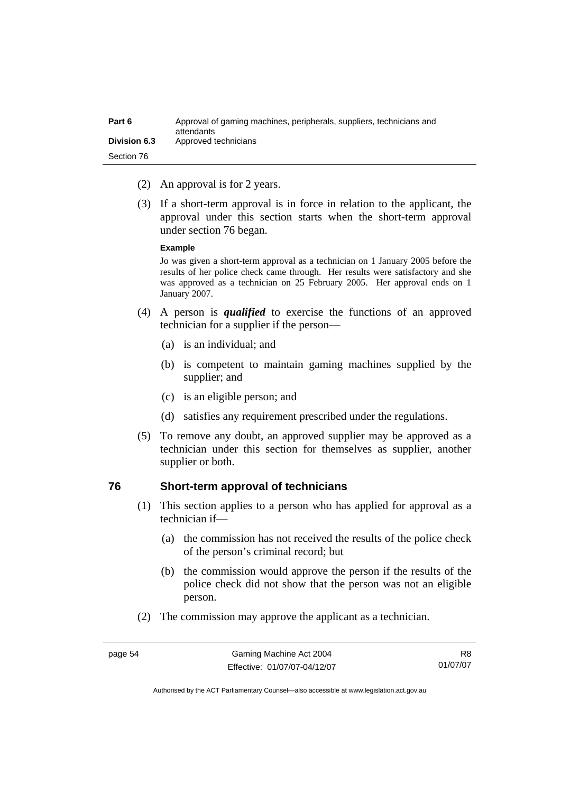| Part 6              | Approval of gaming machines, peripherals, suppliers, technicians and<br>attendants |
|---------------------|------------------------------------------------------------------------------------|
| <b>Division 6.3</b> | Approved technicians                                                               |
| Section 76          |                                                                                    |

- (2) An approval is for 2 years.
- (3) If a short-term approval is in force in relation to the applicant, the approval under this section starts when the short-term approval under section 76 began.

#### **Example**

Jo was given a short-term approval as a technician on 1 January 2005 before the results of her police check came through. Her results were satisfactory and she was approved as a technician on 25 February 2005. Her approval ends on 1 January 2007.

- (4) A person is *qualified* to exercise the functions of an approved technician for a supplier if the person—
	- (a) is an individual; and
	- (b) is competent to maintain gaming machines supplied by the supplier; and
	- (c) is an eligible person; and
	- (d) satisfies any requirement prescribed under the regulations.
- (5) To remove any doubt, an approved supplier may be approved as a technician under this section for themselves as supplier, another supplier or both.

#### **76 Short-term approval of technicians**

- (1) This section applies to a person who has applied for approval as a technician if—
	- (a) the commission has not received the results of the police check of the person's criminal record; but
	- (b) the commission would approve the person if the results of the police check did not show that the person was not an eligible person.
- (2) The commission may approve the applicant as a technician.

R8 01/07/07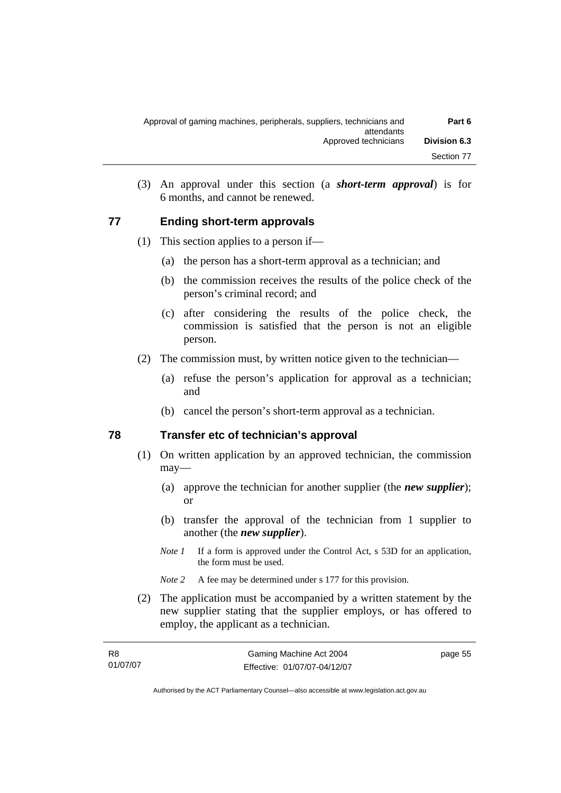| Approval of gaming machines, peripherals, suppliers, technicians and<br>attendants | Part 6              |
|------------------------------------------------------------------------------------|---------------------|
| Approved technicians                                                               | <b>Division 6.3</b> |
|                                                                                    | Section 77          |

 (3) An approval under this section (a *short-term approval*) is for 6 months, and cannot be renewed.

#### **77 Ending short-term approvals**

- (1) This section applies to a person if—
	- (a) the person has a short-term approval as a technician; and
	- (b) the commission receives the results of the police check of the person's criminal record; and
	- (c) after considering the results of the police check, the commission is satisfied that the person is not an eligible person.
- (2) The commission must, by written notice given to the technician—
	- (a) refuse the person's application for approval as a technician; and
	- (b) cancel the person's short-term approval as a technician.

## **78 Transfer etc of technician's approval**

- (1) On written application by an approved technician, the commission may—
	- (a) approve the technician for another supplier (the *new supplier*); or
	- (b) transfer the approval of the technician from 1 supplier to another (the *new supplier*).
	- *Note 1* If a form is approved under the Control Act, s 53D for an application, the form must be used.
	- *Note* 2 A fee may be determined under s 177 for this provision.
- (2) The application must be accompanied by a written statement by the new supplier stating that the supplier employs, or has offered to employ, the applicant as a technician.

| R8       | Gaming Machine Act 2004      | page 55 |
|----------|------------------------------|---------|
| 01/07/07 | Effective: 01/07/07-04/12/07 |         |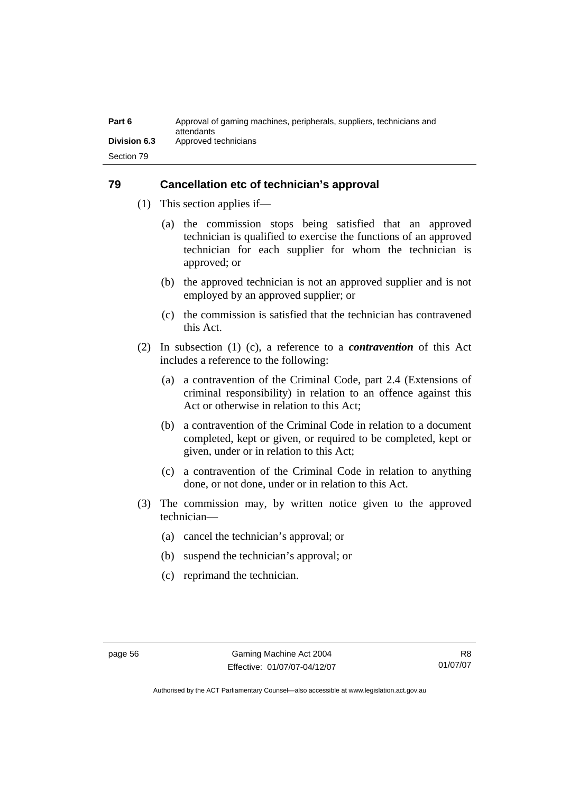| Part 6              | Approval of gaming machines, peripherals, suppliers, technicians and<br>attendants |
|---------------------|------------------------------------------------------------------------------------|
| <b>Division 6.3</b> | Approved technicians                                                               |
| Section 79          |                                                                                    |

## **79 Cancellation etc of technician's approval**

- (1) This section applies if—
	- (a) the commission stops being satisfied that an approved technician is qualified to exercise the functions of an approved technician for each supplier for whom the technician is approved; or
	- (b) the approved technician is not an approved supplier and is not employed by an approved supplier; or
	- (c) the commission is satisfied that the technician has contravened this Act.
- (2) In subsection (1) (c), a reference to a *contravention* of this Act includes a reference to the following:
	- (a) a contravention of the Criminal Code, part 2.4 (Extensions of criminal responsibility) in relation to an offence against this Act or otherwise in relation to this Act;
	- (b) a contravention of the Criminal Code in relation to a document completed, kept or given, or required to be completed, kept or given, under or in relation to this Act;
	- (c) a contravention of the Criminal Code in relation to anything done, or not done, under or in relation to this Act.
- (3) The commission may, by written notice given to the approved technician—
	- (a) cancel the technician's approval; or
	- (b) suspend the technician's approval; or
	- (c) reprimand the technician.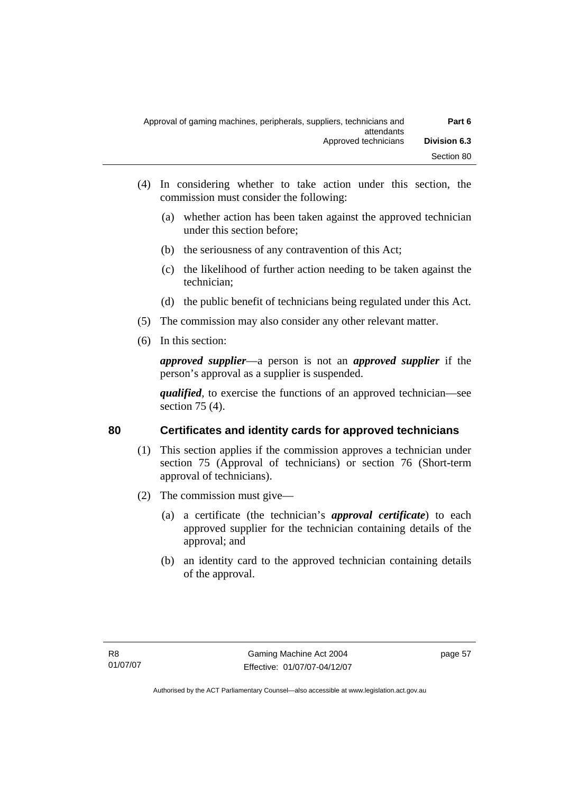| Approval of gaming machines, peripherals, suppliers, technicians and<br>attendants | Part 6              |
|------------------------------------------------------------------------------------|---------------------|
| Approved technicians                                                               | <b>Division 6.3</b> |
|                                                                                    | Section 80          |

- (4) In considering whether to take action under this section, the commission must consider the following:
	- (a) whether action has been taken against the approved technician under this section before;
	- (b) the seriousness of any contravention of this Act;
	- (c) the likelihood of further action needing to be taken against the technician;
	- (d) the public benefit of technicians being regulated under this Act.
- (5) The commission may also consider any other relevant matter.
- (6) In this section:

*approved supplier*—a person is not an *approved supplier* if the person's approval as a supplier is suspended.

*qualified*, to exercise the functions of an approved technician—see section 75 (4).

## **80 Certificates and identity cards for approved technicians**

- (1) This section applies if the commission approves a technician under section 75 (Approval of technicians) or section 76 (Short-term approval of technicians).
- (2) The commission must give—
	- (a) a certificate (the technician's *approval certificate*) to each approved supplier for the technician containing details of the approval; and
	- (b) an identity card to the approved technician containing details of the approval.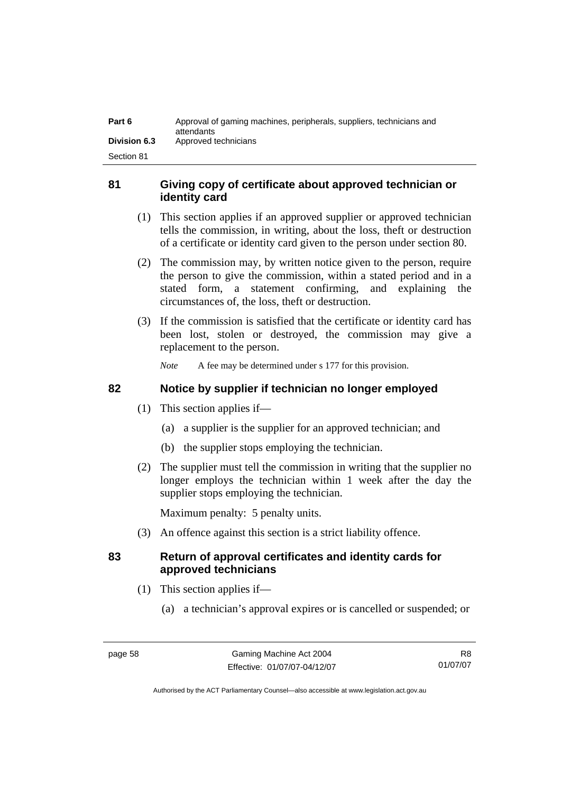| Part 6              | Approval of gaming machines, peripherals, suppliers, technicians and<br>attendants |
|---------------------|------------------------------------------------------------------------------------|
| <b>Division 6.3</b> | Approved technicians                                                               |
| Section 81          |                                                                                    |

## **81 Giving copy of certificate about approved technician or identity card**

- (1) This section applies if an approved supplier or approved technician tells the commission, in writing, about the loss, theft or destruction of a certificate or identity card given to the person under section 80.
- (2) The commission may, by written notice given to the person, require the person to give the commission, within a stated period and in a stated form, a statement confirming, and explaining the circumstances of, the loss, theft or destruction.
- (3) If the commission is satisfied that the certificate or identity card has been lost, stolen or destroyed, the commission may give a replacement to the person.

*Note* A fee may be determined under s 177 for this provision.

## **82 Notice by supplier if technician no longer employed**

- (1) This section applies if—
	- (a) a supplier is the supplier for an approved technician; and
	- (b) the supplier stops employing the technician.
- (2) The supplier must tell the commission in writing that the supplier no longer employs the technician within 1 week after the day the supplier stops employing the technician.

Maximum penalty: 5 penalty units.

(3) An offence against this section is a strict liability offence.

# **83 Return of approval certificates and identity cards for approved technicians**

- (1) This section applies if—
	- (a) a technician's approval expires or is cancelled or suspended; or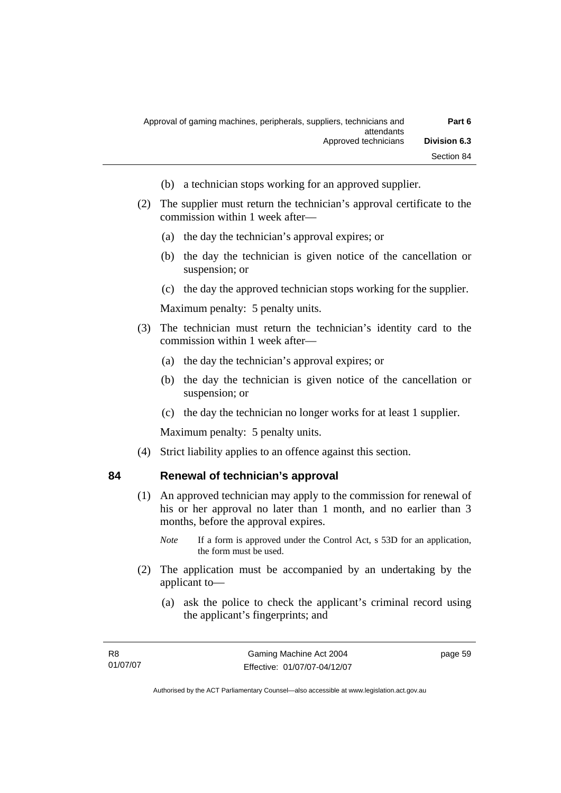| Part 6              | Approval of gaming machines, peripherals, suppliers, technicians and<br>attendants |
|---------------------|------------------------------------------------------------------------------------|
| <b>Division 6.3</b> | Approved technicians                                                               |
| Section 84          |                                                                                    |

- (b) a technician stops working for an approved supplier.
- (2) The supplier must return the technician's approval certificate to the commission within 1 week after—
	- (a) the day the technician's approval expires; or
	- (b) the day the technician is given notice of the cancellation or suspension; or
	- (c) the day the approved technician stops working for the supplier.

Maximum penalty: 5 penalty units.

- (3) The technician must return the technician's identity card to the commission within 1 week after—
	- (a) the day the technician's approval expires; or
	- (b) the day the technician is given notice of the cancellation or suspension; or
	- (c) the day the technician no longer works for at least 1 supplier.

Maximum penalty: 5 penalty units.

(4) Strict liability applies to an offence against this section.

#### **84 Renewal of technician's approval**

- (1) An approved technician may apply to the commission for renewal of his or her approval no later than 1 month, and no earlier than 3 months, before the approval expires.
	- *Note* If a form is approved under the Control Act, s 53D for an application, the form must be used.
- (2) The application must be accompanied by an undertaking by the applicant to—
	- (a) ask the police to check the applicant's criminal record using the applicant's fingerprints; and

page 59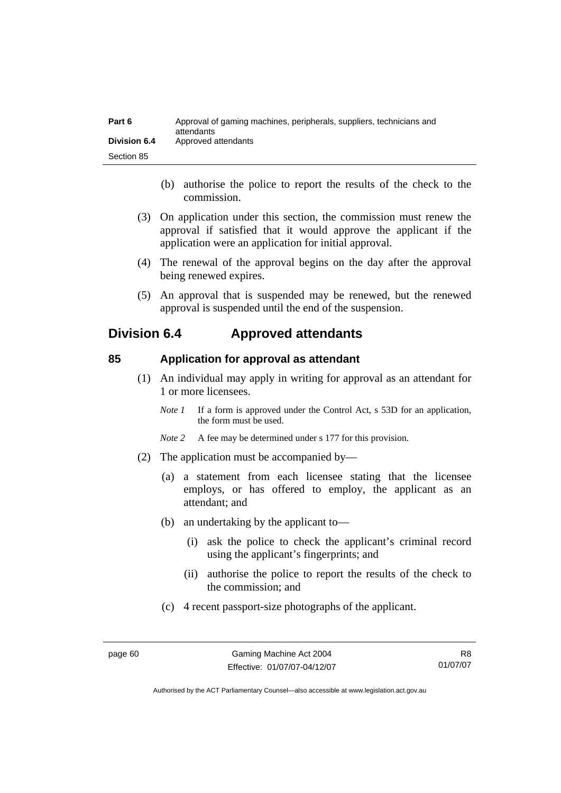| Part 6              | Approval of gaming machines, peripherals, suppliers, technicians and<br>attendants |
|---------------------|------------------------------------------------------------------------------------|
| <b>Division 6.4</b> | Approved attendants                                                                |
| Section 85          |                                                                                    |

- (b) authorise the police to report the results of the check to the commission.
- (3) On application under this section, the commission must renew the approval if satisfied that it would approve the applicant if the application were an application for initial approval.
- (4) The renewal of the approval begins on the day after the approval being renewed expires.
- (5) An approval that is suspended may be renewed, but the renewed approval is suspended until the end of the suspension.

# **Division 6.4 Approved attendants**

#### **85 Application for approval as attendant**

- (1) An individual may apply in writing for approval as an attendant for 1 or more licensees.
	- *Note 1* If a form is approved under the Control Act, s 53D for an application, the form must be used.
	- *Note* 2 A fee may be determined under s 177 for this provision.
- (2) The application must be accompanied by—
	- (a) a statement from each licensee stating that the licensee employs, or has offered to employ, the applicant as an attendant; and
	- (b) an undertaking by the applicant to—
		- (i) ask the police to check the applicant's criminal record using the applicant's fingerprints; and
		- (ii) authorise the police to report the results of the check to the commission; and
	- (c) 4 recent passport-size photographs of the applicant.

R8 01/07/07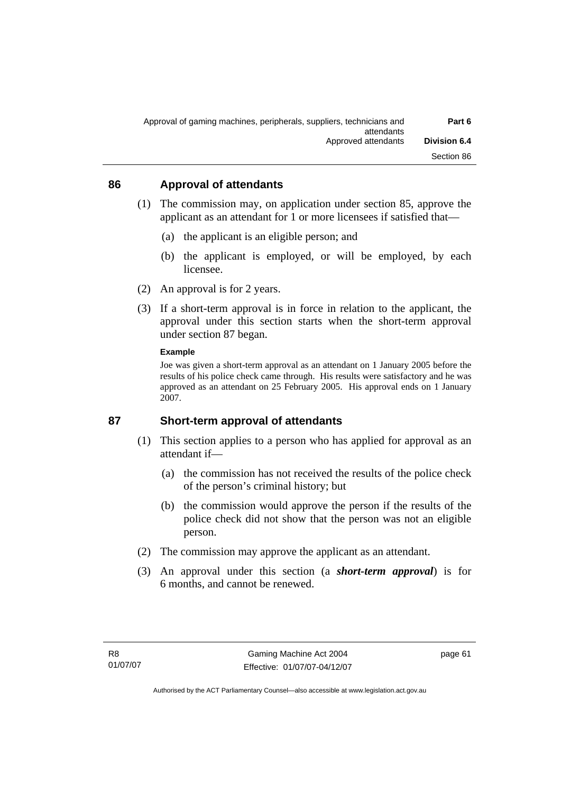| Part 6              | Approval of gaming machines, peripherals, suppliers, technicians and<br>attendants |
|---------------------|------------------------------------------------------------------------------------|
| <b>Division 6.4</b> | Approved attendants                                                                |
| Section 86          |                                                                                    |

#### **86 Approval of attendants**

- (1) The commission may, on application under section 85, approve the applicant as an attendant for 1 or more licensees if satisfied that—
	- (a) the applicant is an eligible person; and
	- (b) the applicant is employed, or will be employed, by each licensee.
- (2) An approval is for 2 years.
- (3) If a short-term approval is in force in relation to the applicant, the approval under this section starts when the short-term approval under section 87 began.

#### **Example**

Joe was given a short-term approval as an attendant on 1 January 2005 before the results of his police check came through. His results were satisfactory and he was approved as an attendant on 25 February 2005. His approval ends on 1 January 2007.

#### **87 Short-term approval of attendants**

- (1) This section applies to a person who has applied for approval as an attendant if—
	- (a) the commission has not received the results of the police check of the person's criminal history; but
	- (b) the commission would approve the person if the results of the police check did not show that the person was not an eligible person.
- (2) The commission may approve the applicant as an attendant.
- (3) An approval under this section (a *short-term approval*) is for 6 months, and cannot be renewed.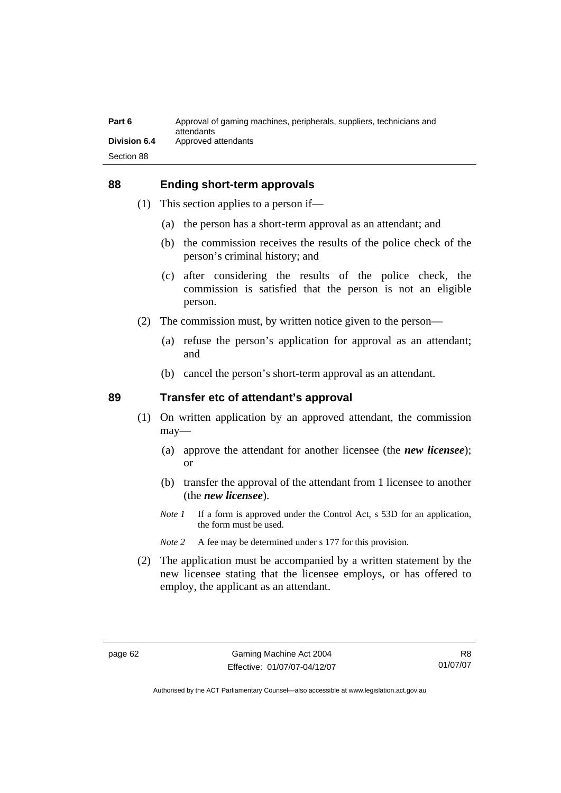| Part 6              | Approval of gaming machines, peripherals, suppliers, technicians and<br>attendants |
|---------------------|------------------------------------------------------------------------------------|
| <b>Division 6.4</b> | Approved attendants                                                                |
| Section 88          |                                                                                    |

#### **88 Ending short-term approvals**

- (1) This section applies to a person if—
	- (a) the person has a short-term approval as an attendant; and
	- (b) the commission receives the results of the police check of the person's criminal history; and
	- (c) after considering the results of the police check, the commission is satisfied that the person is not an eligible person.
- (2) The commission must, by written notice given to the person—
	- (a) refuse the person's application for approval as an attendant; and
	- (b) cancel the person's short-term approval as an attendant.

#### **89 Transfer etc of attendant's approval**

- (1) On written application by an approved attendant, the commission may—
	- (a) approve the attendant for another licensee (the *new licensee*); or
	- (b) transfer the approval of the attendant from 1 licensee to another (the *new licensee*).
	- *Note 1* If a form is approved under the Control Act, s 53D for an application, the form must be used.
	- *Note 2* A fee may be determined under s 177 for this provision.
- (2) The application must be accompanied by a written statement by the new licensee stating that the licensee employs, or has offered to employ, the applicant as an attendant.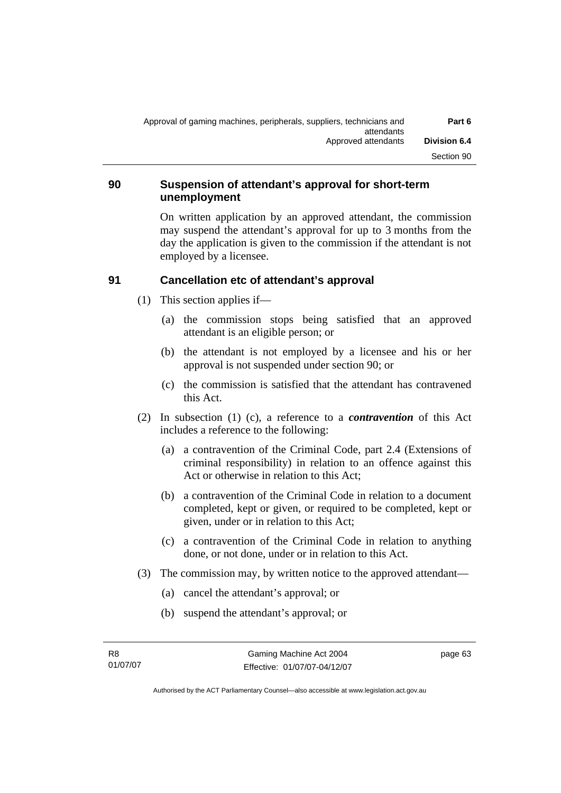| Part 6              | Approval of gaming machines, peripherals, suppliers, technicians and<br>attendants |
|---------------------|------------------------------------------------------------------------------------|
| <b>Division 6.4</b> | Approved attendants                                                                |
| Section 90          |                                                                                    |

## **90 Suspension of attendant's approval for short-term unemployment**

On written application by an approved attendant, the commission may suspend the attendant's approval for up to 3 months from the day the application is given to the commission if the attendant is not employed by a licensee.

## **91 Cancellation etc of attendant's approval**

- (1) This section applies if—
	- (a) the commission stops being satisfied that an approved attendant is an eligible person; or
	- (b) the attendant is not employed by a licensee and his or her approval is not suspended under section 90; or
	- (c) the commission is satisfied that the attendant has contravened this Act.
- (2) In subsection (1) (c), a reference to a *contravention* of this Act includes a reference to the following:
	- (a) a contravention of the Criminal Code, part 2.4 (Extensions of criminal responsibility) in relation to an offence against this Act or otherwise in relation to this Act;
	- (b) a contravention of the Criminal Code in relation to a document completed, kept or given, or required to be completed, kept or given, under or in relation to this Act;
	- (c) a contravention of the Criminal Code in relation to anything done, or not done, under or in relation to this Act.
- (3) The commission may, by written notice to the approved attendant—
	- (a) cancel the attendant's approval; or
	- (b) suspend the attendant's approval; or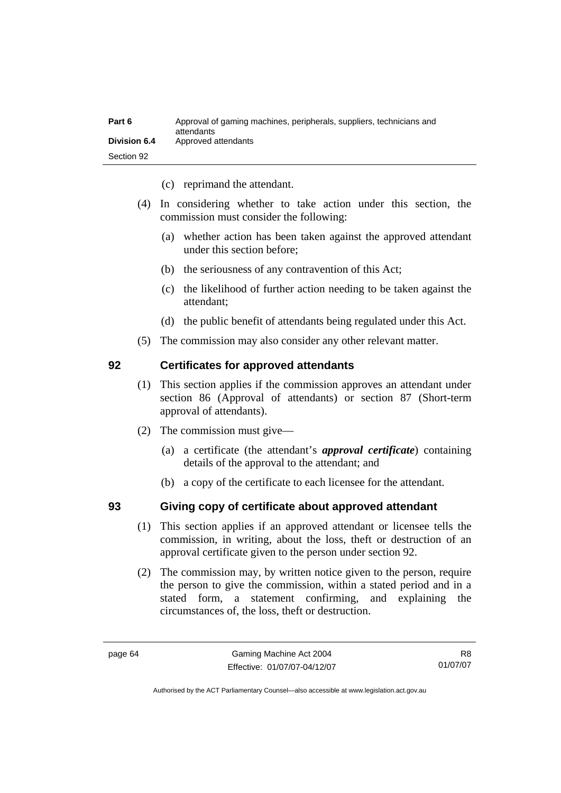| Part 6              | Approval of gaming machines, peripherals, suppliers, technicians and<br>attendants |
|---------------------|------------------------------------------------------------------------------------|
| <b>Division 6.4</b> | Approved attendants                                                                |
| Section 92          |                                                                                    |

- (c) reprimand the attendant.
- (4) In considering whether to take action under this section, the commission must consider the following:
	- (a) whether action has been taken against the approved attendant under this section before;
	- (b) the seriousness of any contravention of this Act;
	- (c) the likelihood of further action needing to be taken against the attendant;
	- (d) the public benefit of attendants being regulated under this Act.
- (5) The commission may also consider any other relevant matter.

#### **92 Certificates for approved attendants**

- (1) This section applies if the commission approves an attendant under section 86 (Approval of attendants) or section 87 (Short-term approval of attendants).
- (2) The commission must give—
	- (a) a certificate (the attendant's *approval certificate*) containing details of the approval to the attendant; and
	- (b) a copy of the certificate to each licensee for the attendant.

## **93 Giving copy of certificate about approved attendant**

- (1) This section applies if an approved attendant or licensee tells the commission, in writing, about the loss, theft or destruction of an approval certificate given to the person under section 92.
- (2) The commission may, by written notice given to the person, require the person to give the commission, within a stated period and in a stated form, a statement confirming, and explaining the circumstances of, the loss, theft or destruction.

R8 01/07/07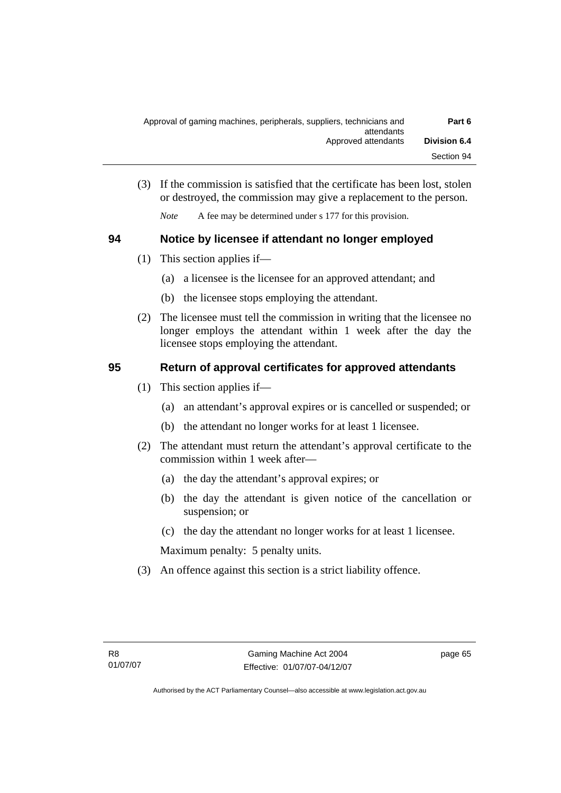| Part 6              | Approval of gaming machines, peripherals, suppliers, technicians and |
|---------------------|----------------------------------------------------------------------|
| <b>Division 6.4</b> | attendants<br>Approved attendants                                    |
| Section 94          |                                                                      |

 (3) If the commission is satisfied that the certificate has been lost, stolen or destroyed, the commission may give a replacement to the person.

*Note* A fee may be determined under s 177 for this provision.

## **94 Notice by licensee if attendant no longer employed**

- (1) This section applies if—
	- (a) a licensee is the licensee for an approved attendant; and
	- (b) the licensee stops employing the attendant.
- (2) The licensee must tell the commission in writing that the licensee no longer employs the attendant within 1 week after the day the licensee stops employing the attendant.

## **95 Return of approval certificates for approved attendants**

- (1) This section applies if—
	- (a) an attendant's approval expires or is cancelled or suspended; or
	- (b) the attendant no longer works for at least 1 licensee.
- (2) The attendant must return the attendant's approval certificate to the commission within 1 week after—
	- (a) the day the attendant's approval expires; or
	- (b) the day the attendant is given notice of the cancellation or suspension; or
	- (c) the day the attendant no longer works for at least 1 licensee.

Maximum penalty: 5 penalty units.

(3) An offence against this section is a strict liability offence.

page 65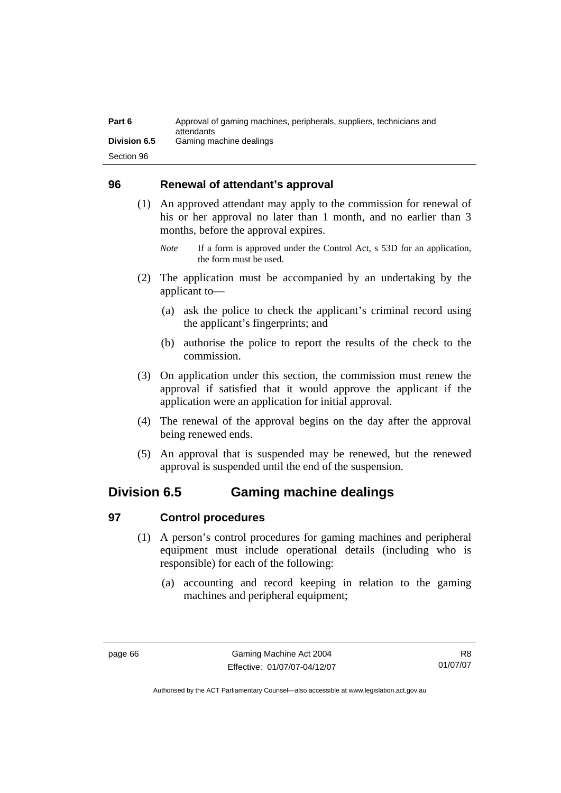| Part 6              | Approval of gaming machines, peripherals, suppliers, technicians and<br>attendants |
|---------------------|------------------------------------------------------------------------------------|
| <b>Division 6.5</b> | Gaming machine dealings                                                            |
| Section 96          |                                                                                    |

## **96 Renewal of attendant's approval**

- (1) An approved attendant may apply to the commission for renewal of his or her approval no later than 1 month, and no earlier than 3 months, before the approval expires.
	- *Note* If a form is approved under the Control Act, s 53D for an application, the form must be used.
- (2) The application must be accompanied by an undertaking by the applicant to—
	- (a) ask the police to check the applicant's criminal record using the applicant's fingerprints; and
	- (b) authorise the police to report the results of the check to the commission.
- (3) On application under this section, the commission must renew the approval if satisfied that it would approve the applicant if the application were an application for initial approval.
- (4) The renewal of the approval begins on the day after the approval being renewed ends.
- (5) An approval that is suspended may be renewed, but the renewed approval is suspended until the end of the suspension.

## **Division 6.5 Gaming machine dealings**

## **97 Control procedures**

- (1) A person's control procedures for gaming machines and peripheral equipment must include operational details (including who is responsible) for each of the following:
	- (a) accounting and record keeping in relation to the gaming machines and peripheral equipment;

R8 01/07/07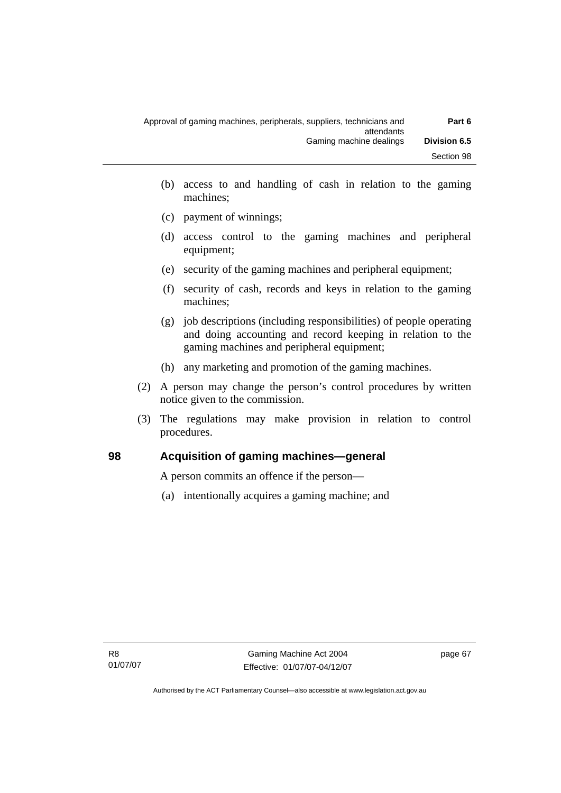| Approval of gaming machines, peripherals, suppliers, technicians and | Part 6              |
|----------------------------------------------------------------------|---------------------|
| attendants<br>Gaming machine dealings                                | <b>Division 6.5</b> |
|                                                                      | Section 98          |

- (b) access to and handling of cash in relation to the gaming machines;
- (c) payment of winnings;
- (d) access control to the gaming machines and peripheral equipment;
- (e) security of the gaming machines and peripheral equipment;
- (f) security of cash, records and keys in relation to the gaming machines;
- (g) job descriptions (including responsibilities) of people operating and doing accounting and record keeping in relation to the gaming machines and peripheral equipment;
- (h) any marketing and promotion of the gaming machines.
- (2) A person may change the person's control procedures by written notice given to the commission.
- (3) The regulations may make provision in relation to control procedures.

## **98 Acquisition of gaming machines—general**

A person commits an offence if the person—

(a) intentionally acquires a gaming machine; and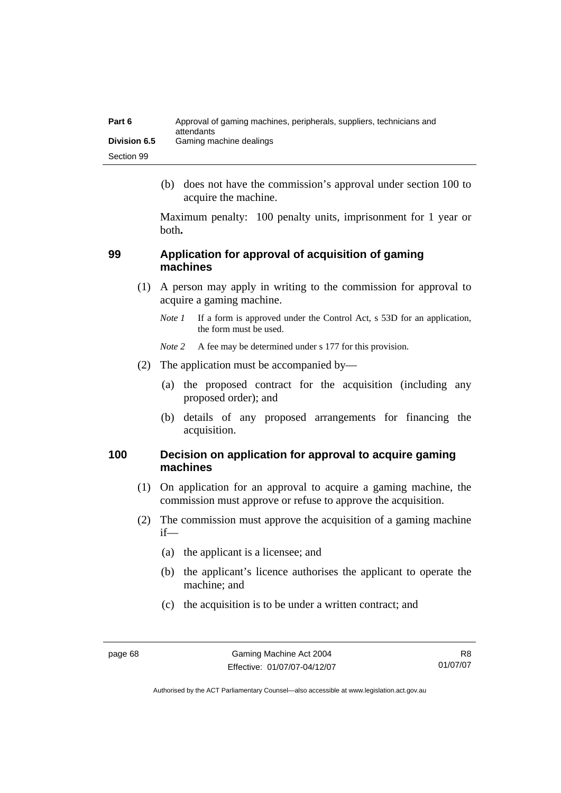| Part 6              | Approval of gaming machines, peripherals, suppliers, technicians and<br>attendants |
|---------------------|------------------------------------------------------------------------------------|
| <b>Division 6.5</b> | Gaming machine dealings                                                            |
| Section 99          |                                                                                    |

 (b) does not have the commission's approval under section 100 to acquire the machine.

Maximum penalty: 100 penalty units, imprisonment for 1 year or both**.**

## **99 Application for approval of acquisition of gaming machines**

- (1) A person may apply in writing to the commission for approval to acquire a gaming machine.
	- *Note 1* If a form is approved under the Control Act, s 53D for an application, the form must be used.
	- *Note* 2 A fee may be determined under s 177 for this provision.
- (2) The application must be accompanied by—
	- (a) the proposed contract for the acquisition (including any proposed order); and
	- (b) details of any proposed arrangements for financing the acquisition.

## **100 Decision on application for approval to acquire gaming machines**

- (1) On application for an approval to acquire a gaming machine, the commission must approve or refuse to approve the acquisition.
- (2) The commission must approve the acquisition of a gaming machine if—
	- (a) the applicant is a licensee; and
	- (b) the applicant's licence authorises the applicant to operate the machine; and
	- (c) the acquisition is to be under a written contract; and

R8 01/07/07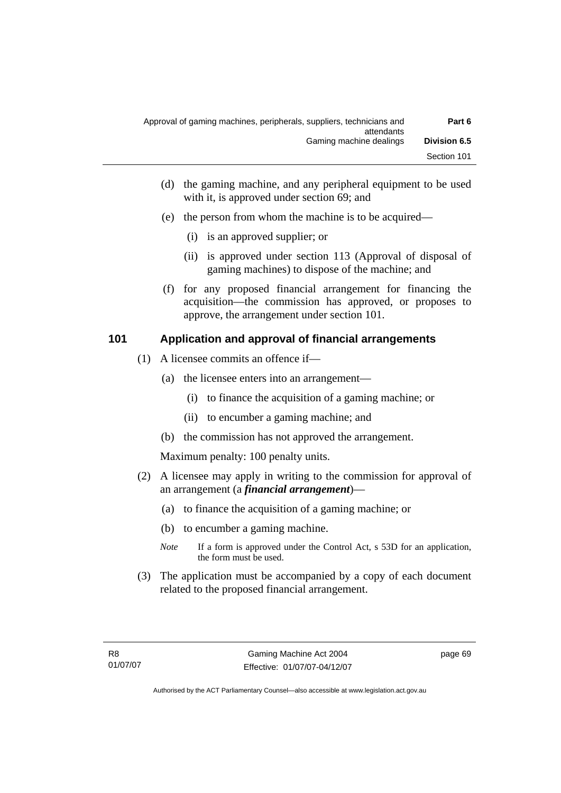| Part 6              | Approval of gaming machines, peripherals, suppliers, technicians and<br>attendants |
|---------------------|------------------------------------------------------------------------------------|
| <b>Division 6.5</b> | Gaming machine dealings                                                            |
| Section 101         |                                                                                    |

- (d) the gaming machine, and any peripheral equipment to be used with it, is approved under section 69; and
- (e) the person from whom the machine is to be acquired—
	- (i) is an approved supplier; or
	- (ii) is approved under section 113 (Approval of disposal of gaming machines) to dispose of the machine; and
- (f) for any proposed financial arrangement for financing the acquisition—the commission has approved, or proposes to approve, the arrangement under section 101.

#### **101 Application and approval of financial arrangements**

- (1) A licensee commits an offence if—
	- (a) the licensee enters into an arrangement—
		- (i) to finance the acquisition of a gaming machine; or
		- (ii) to encumber a gaming machine; and
	- (b) the commission has not approved the arrangement.

Maximum penalty: 100 penalty units.

- (2) A licensee may apply in writing to the commission for approval of an arrangement (a *financial arrangement*)—
	- (a) to finance the acquisition of a gaming machine; or
	- (b) to encumber a gaming machine.
	- *Note* If a form is approved under the Control Act, s 53D for an application, the form must be used.
- (3) The application must be accompanied by a copy of each document related to the proposed financial arrangement.

page 69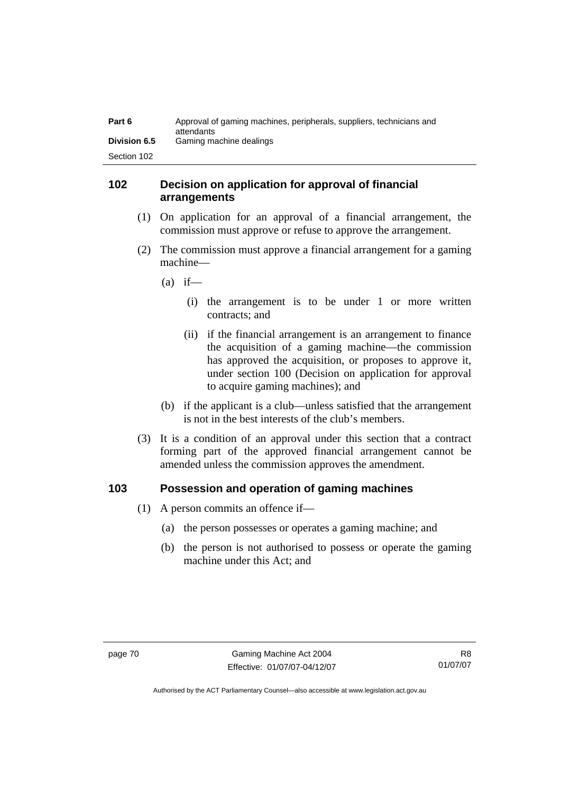| Part 6              | Approval of gaming machines, peripherals, suppliers, technicians and<br>attendants |
|---------------------|------------------------------------------------------------------------------------|
| <b>Division 6.5</b> | Gaming machine dealings                                                            |
| Section 102         |                                                                                    |

## **102 Decision on application for approval of financial arrangements**

- (1) On application for an approval of a financial arrangement, the commission must approve or refuse to approve the arrangement.
- (2) The commission must approve a financial arrangement for a gaming machine—
	- $(a)$  if—
		- (i) the arrangement is to be under 1 or more written contracts; and
		- (ii) if the financial arrangement is an arrangement to finance the acquisition of a gaming machine—the commission has approved the acquisition, or proposes to approve it, under section 100 (Decision on application for approval to acquire gaming machines); and
	- (b) if the applicant is a club—unless satisfied that the arrangement is not in the best interests of the club's members.
- (3) It is a condition of an approval under this section that a contract forming part of the approved financial arrangement cannot be amended unless the commission approves the amendment.

#### **103 Possession and operation of gaming machines**

- (1) A person commits an offence if—
	- (a) the person possesses or operates a gaming machine; and
	- (b) the person is not authorised to possess or operate the gaming machine under this Act; and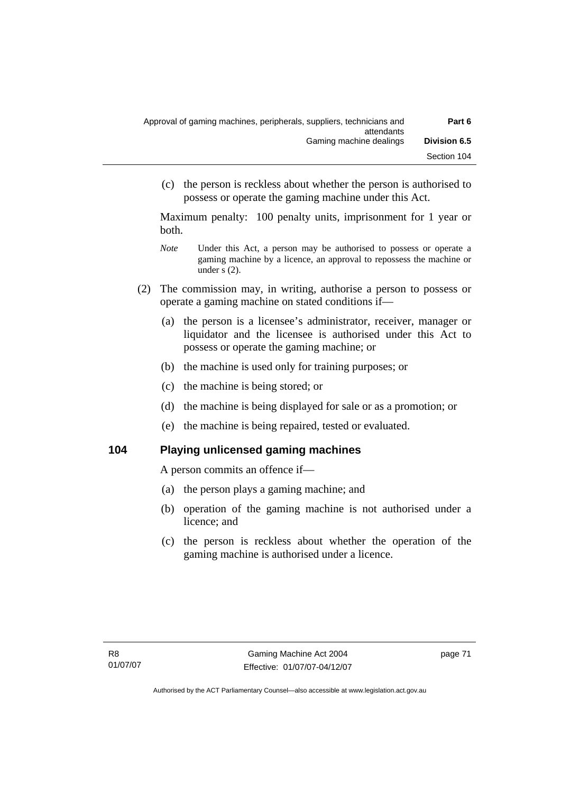| Part 6              | Approval of gaming machines, peripherals, suppliers, technicians and<br>attendants |
|---------------------|------------------------------------------------------------------------------------|
| <b>Division 6.5</b> | Gaming machine dealings                                                            |
| Section 104         |                                                                                    |

 (c) the person is reckless about whether the person is authorised to possess or operate the gaming machine under this Act.

Maximum penalty: 100 penalty units, imprisonment for 1 year or both.

- *Note* **Under this Act, a person may be authorised to possess or operate a** gaming machine by a licence, an approval to repossess the machine or under s (2).
- (2) The commission may, in writing, authorise a person to possess or operate a gaming machine on stated conditions if—
	- (a) the person is a licensee's administrator, receiver, manager or liquidator and the licensee is authorised under this Act to possess or operate the gaming machine; or
	- (b) the machine is used only for training purposes; or
	- (c) the machine is being stored; or
	- (d) the machine is being displayed for sale or as a promotion; or
	- (e) the machine is being repaired, tested or evaluated.

#### **104 Playing unlicensed gaming machines**

A person commits an offence if—

- (a) the person plays a gaming machine; and
- (b) operation of the gaming machine is not authorised under a licence; and
- (c) the person is reckless about whether the operation of the gaming machine is authorised under a licence.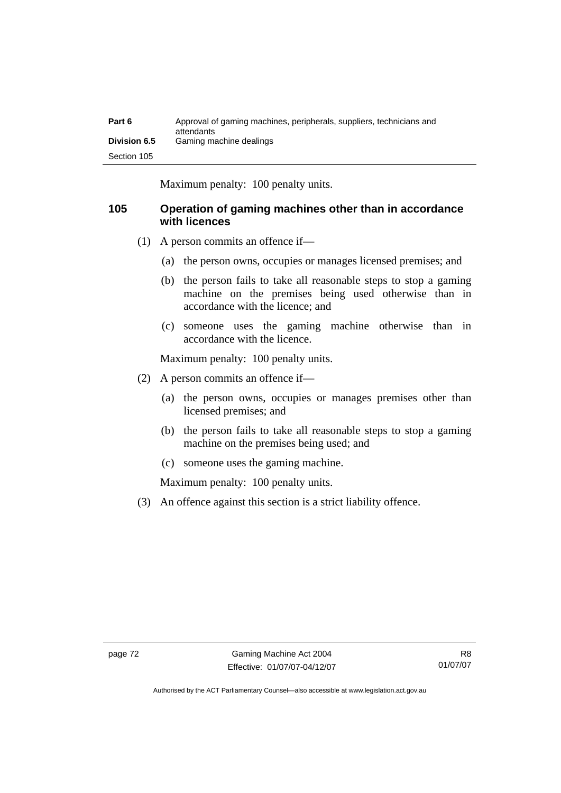| Part 6              | Approval of gaming machines, peripherals, suppliers, technicians and<br>attendants |
|---------------------|------------------------------------------------------------------------------------|
| <b>Division 6.5</b> | Gaming machine dealings                                                            |
| Section 105         |                                                                                    |

Maximum penalty: 100 penalty units.

## **105 Operation of gaming machines other than in accordance with licences**

- (1) A person commits an offence if—
	- (a) the person owns, occupies or manages licensed premises; and
	- (b) the person fails to take all reasonable steps to stop a gaming machine on the premises being used otherwise than in accordance with the licence; and
	- (c) someone uses the gaming machine otherwise than in accordance with the licence.

Maximum penalty: 100 penalty units.

- (2) A person commits an offence if—
	- (a) the person owns, occupies or manages premises other than licensed premises; and
	- (b) the person fails to take all reasonable steps to stop a gaming machine on the premises being used; and
	- (c) someone uses the gaming machine.

Maximum penalty: 100 penalty units.

(3) An offence against this section is a strict liability offence.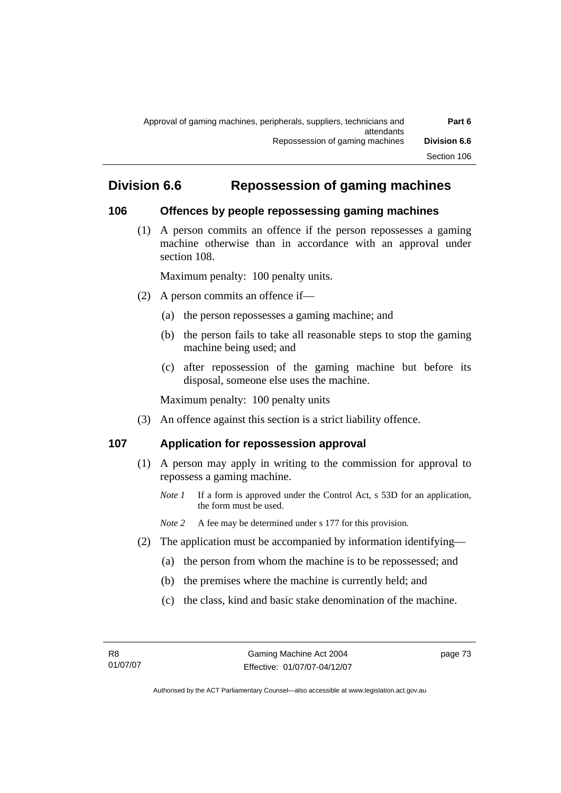# **Division 6.6 Repossession of gaming machines**

## **106 Offences by people repossessing gaming machines**

 (1) A person commits an offence if the person repossesses a gaming machine otherwise than in accordance with an approval under section 108.

Maximum penalty: 100 penalty units.

- (2) A person commits an offence if—
	- (a) the person repossesses a gaming machine; and
	- (b) the person fails to take all reasonable steps to stop the gaming machine being used; and
	- (c) after repossession of the gaming machine but before its disposal, someone else uses the machine.

Maximum penalty: 100 penalty units

(3) An offence against this section is a strict liability offence.

## **107 Application for repossession approval**

- (1) A person may apply in writing to the commission for approval to repossess a gaming machine.
	- *Note 1* If a form is approved under the Control Act, s 53D for an application, the form must be used.

*Note 2* A fee may be determined under s 177 for this provision.

- (2) The application must be accompanied by information identifying—
	- (a) the person from whom the machine is to be repossessed; and
	- (b) the premises where the machine is currently held; and
	- (c) the class, kind and basic stake denomination of the machine.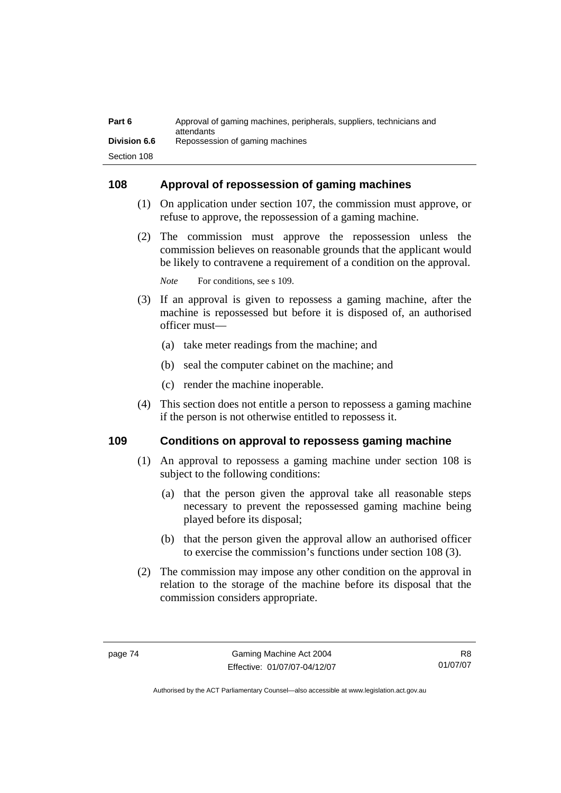| Part 6              | Approval of gaming machines, peripherals, suppliers, technicians and<br>attendants |
|---------------------|------------------------------------------------------------------------------------|
| <b>Division 6.6</b> | Repossession of gaming machines                                                    |
| Section 108         |                                                                                    |

#### **108 Approval of repossession of gaming machines**

- (1) On application under section 107, the commission must approve, or refuse to approve, the repossession of a gaming machine.
- (2) The commission must approve the repossession unless the commission believes on reasonable grounds that the applicant would be likely to contravene a requirement of a condition on the approval.

*Note* For conditions, see s 109.

- (3) If an approval is given to repossess a gaming machine, after the machine is repossessed but before it is disposed of, an authorised officer must—
	- (a) take meter readings from the machine; and
	- (b) seal the computer cabinet on the machine; and
	- (c) render the machine inoperable.
- (4) This section does not entitle a person to repossess a gaming machine if the person is not otherwise entitled to repossess it.

## **109 Conditions on approval to repossess gaming machine**

- (1) An approval to repossess a gaming machine under section 108 is subject to the following conditions:
	- (a) that the person given the approval take all reasonable steps necessary to prevent the repossessed gaming machine being played before its disposal;
	- (b) that the person given the approval allow an authorised officer to exercise the commission's functions under section 108 (3).
- (2) The commission may impose any other condition on the approval in relation to the storage of the machine before its disposal that the commission considers appropriate.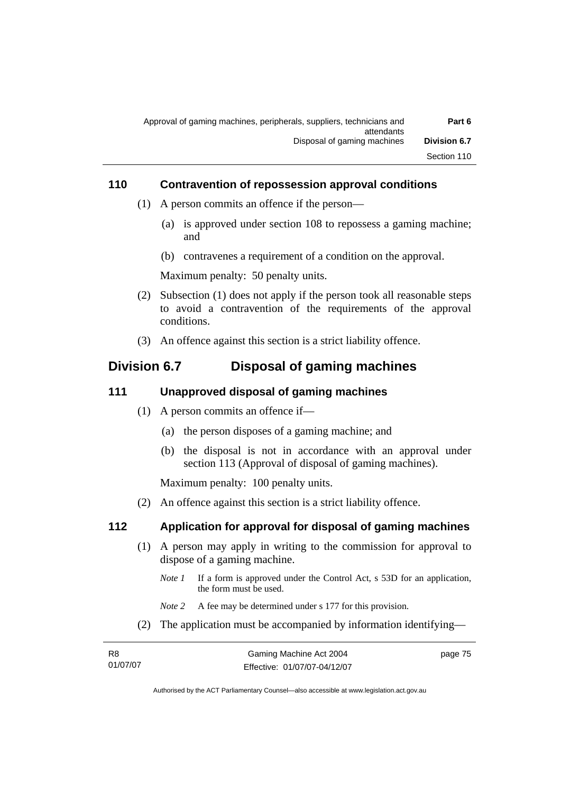| Part 6              | Approval of gaming machines, peripherals, suppliers, technicians and |
|---------------------|----------------------------------------------------------------------|
| <b>Division 6.7</b> | attendants<br>Disposal of gaming machines                            |
| Section 110         |                                                                      |

#### **110 Contravention of repossession approval conditions**

- (1) A person commits an offence if the person—
	- (a) is approved under section 108 to repossess a gaming machine; and
	- (b) contravenes a requirement of a condition on the approval.

Maximum penalty: 50 penalty units.

- (2) Subsection (1) does not apply if the person took all reasonable steps to avoid a contravention of the requirements of the approval conditions.
- (3) An offence against this section is a strict liability offence.

## **Division 6.7 Disposal of gaming machines**

#### **111 Unapproved disposal of gaming machines**

- (1) A person commits an offence if—
	- (a) the person disposes of a gaming machine; and
	- (b) the disposal is not in accordance with an approval under section 113 (Approval of disposal of gaming machines).

Maximum penalty: 100 penalty units.

(2) An offence against this section is a strict liability offence.

#### **112 Application for approval for disposal of gaming machines**

- (1) A person may apply in writing to the commission for approval to dispose of a gaming machine.
	- *Note 1* If a form is approved under the Control Act, s 53D for an application, the form must be used.
	- *Note 2* A fee may be determined under s 177 for this provision.
- (2) The application must be accompanied by information identifying—

| -R8      | Gaming Machine Act 2004      | page 75 |
|----------|------------------------------|---------|
| 01/07/07 | Effective: 01/07/07-04/12/07 |         |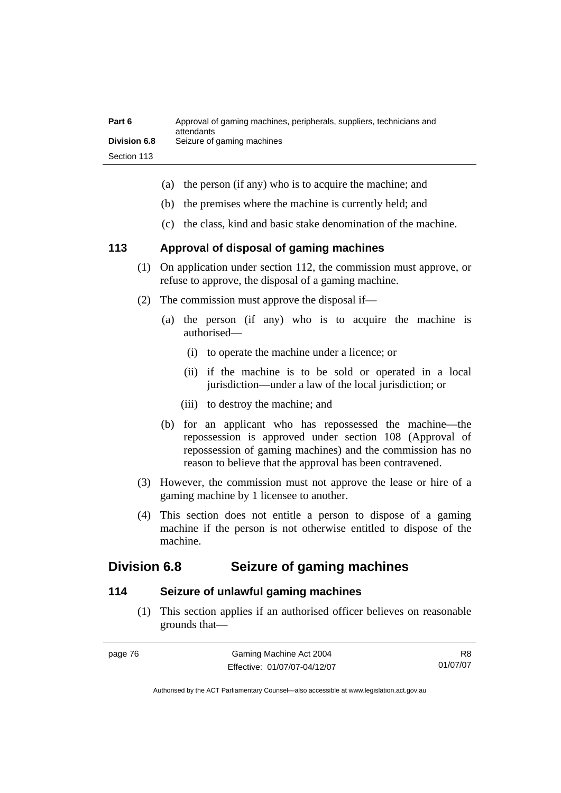| Part 6              | Approval of gaming machines, peripherals, suppliers, technicians and<br>attendants |
|---------------------|------------------------------------------------------------------------------------|
| <b>Division 6.8</b> | Seizure of gaming machines                                                         |
| Section 113         |                                                                                    |

- (a) the person (if any) who is to acquire the machine; and
- (b) the premises where the machine is currently held; and
- (c) the class, kind and basic stake denomination of the machine.

#### **113 Approval of disposal of gaming machines**

- (1) On application under section 112, the commission must approve, or refuse to approve, the disposal of a gaming machine.
- (2) The commission must approve the disposal if—
	- (a) the person (if any) who is to acquire the machine is authorised—
		- (i) to operate the machine under a licence; or
		- (ii) if the machine is to be sold or operated in a local jurisdiction—under a law of the local jurisdiction; or
		- (iii) to destroy the machine; and
	- (b) for an applicant who has repossessed the machine—the repossession is approved under section 108 (Approval of repossession of gaming machines) and the commission has no reason to believe that the approval has been contravened.
- (3) However, the commission must not approve the lease or hire of a gaming machine by 1 licensee to another.
- (4) This section does not entitle a person to dispose of a gaming machine if the person is not otherwise entitled to dispose of the machine.

## **Division 6.8 Seizure of gaming machines**

## **114 Seizure of unlawful gaming machines**

 (1) This section applies if an authorised officer believes on reasonable grounds that—

| page /6 |  |
|---------|--|
|---------|--|

R8 01/07/07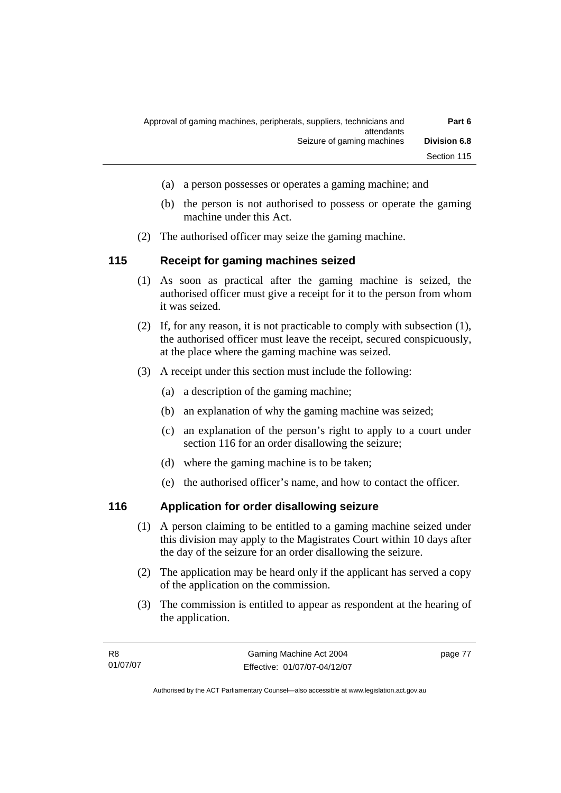| Part 6              | Approval of gaming machines, peripherals, suppliers, technicians and<br>attendants |
|---------------------|------------------------------------------------------------------------------------|
| <b>Division 6.8</b> | Seizure of gaming machines                                                         |
| Section 115         |                                                                                    |

- (a) a person possesses or operates a gaming machine; and
- (b) the person is not authorised to possess or operate the gaming machine under this Act.
- (2) The authorised officer may seize the gaming machine.

#### **115 Receipt for gaming machines seized**

- (1) As soon as practical after the gaming machine is seized, the authorised officer must give a receipt for it to the person from whom it was seized.
- (2) If, for any reason, it is not practicable to comply with subsection (1), the authorised officer must leave the receipt, secured conspicuously, at the place where the gaming machine was seized.
- (3) A receipt under this section must include the following:
	- (a) a description of the gaming machine;
	- (b) an explanation of why the gaming machine was seized;
	- (c) an explanation of the person's right to apply to a court under section 116 for an order disallowing the seizure;
	- (d) where the gaming machine is to be taken;
	- (e) the authorised officer's name, and how to contact the officer.

## **116 Application for order disallowing seizure**

- (1) A person claiming to be entitled to a gaming machine seized under this division may apply to the Magistrates Court within 10 days after the day of the seizure for an order disallowing the seizure.
- (2) The application may be heard only if the applicant has served a copy of the application on the commission.
- (3) The commission is entitled to appear as respondent at the hearing of the application.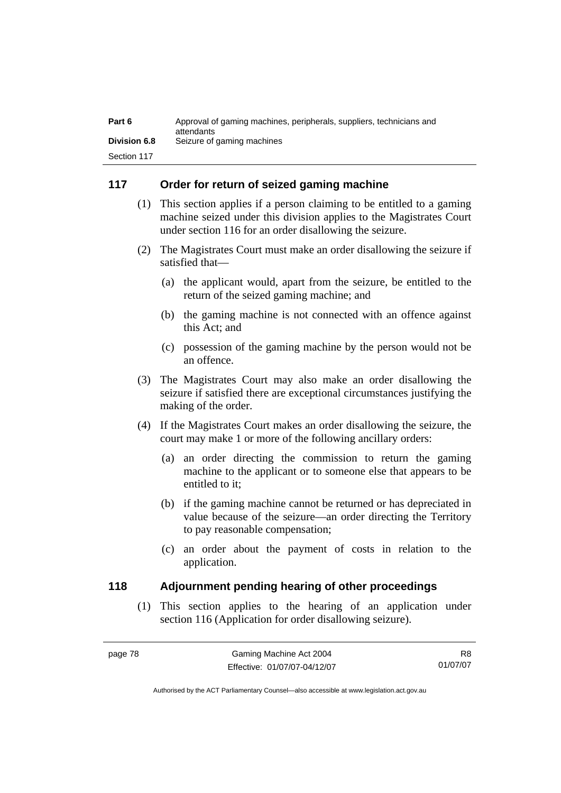| Part 6              | Approval of gaming machines, peripherals, suppliers, technicians and<br>attendants |
|---------------------|------------------------------------------------------------------------------------|
| <b>Division 6.8</b> | Seizure of gaming machines                                                         |
| Section 117         |                                                                                    |

## **117 Order for return of seized gaming machine**

- (1) This section applies if a person claiming to be entitled to a gaming machine seized under this division applies to the Magistrates Court under section 116 for an order disallowing the seizure.
- (2) The Magistrates Court must make an order disallowing the seizure if satisfied that—
	- (a) the applicant would, apart from the seizure, be entitled to the return of the seized gaming machine; and
	- (b) the gaming machine is not connected with an offence against this Act; and
	- (c) possession of the gaming machine by the person would not be an offence.
- (3) The Magistrates Court may also make an order disallowing the seizure if satisfied there are exceptional circumstances justifying the making of the order.
- (4) If the Magistrates Court makes an order disallowing the seizure, the court may make 1 or more of the following ancillary orders:
	- (a) an order directing the commission to return the gaming machine to the applicant or to someone else that appears to be entitled to it;
	- (b) if the gaming machine cannot be returned or has depreciated in value because of the seizure—an order directing the Territory to pay reasonable compensation;
	- (c) an order about the payment of costs in relation to the application.

## **118 Adjournment pending hearing of other proceedings**

 (1) This section applies to the hearing of an application under section 116 (Application for order disallowing seizure).

R8 01/07/07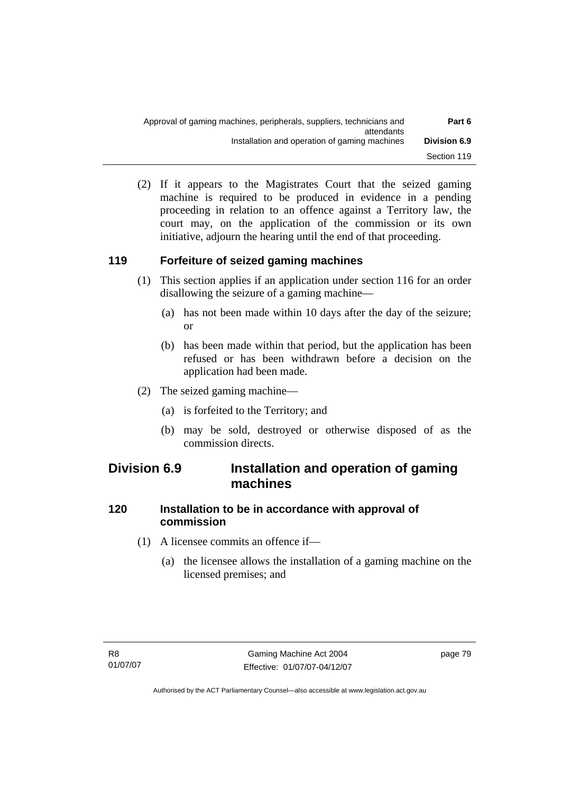| Part 6              | Approval of gaming machines, peripherals, suppliers, technicians and<br>attendants |
|---------------------|------------------------------------------------------------------------------------|
| <b>Division 6.9</b> | Installation and operation of gaming machines                                      |
| Section 119         |                                                                                    |

 (2) If it appears to the Magistrates Court that the seized gaming machine is required to be produced in evidence in a pending proceeding in relation to an offence against a Territory law, the court may, on the application of the commission or its own initiative, adjourn the hearing until the end of that proceeding.

## **119 Forfeiture of seized gaming machines**

- (1) This section applies if an application under section 116 for an order disallowing the seizure of a gaming machine—
	- (a) has not been made within 10 days after the day of the seizure; or
	- (b) has been made within that period, but the application has been refused or has been withdrawn before a decision on the application had been made.
- (2) The seized gaming machine—
	- (a) is forfeited to the Territory; and
	- (b) may be sold, destroyed or otherwise disposed of as the commission directs.

## **Division 6.9 Installation and operation of gaming machines**

## **120 Installation to be in accordance with approval of commission**

- (1) A licensee commits an offence if—
	- (a) the licensee allows the installation of a gaming machine on the licensed premises; and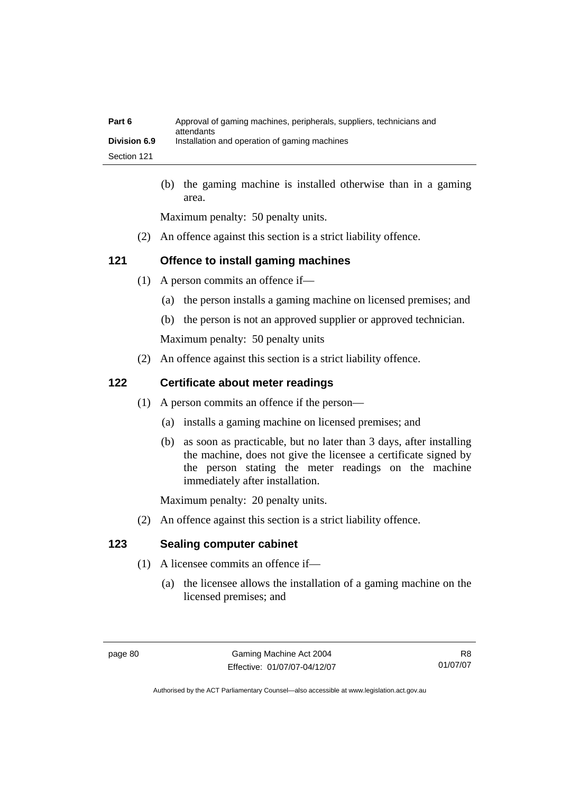| Part 6              | Approval of gaming machines, peripherals, suppliers, technicians and<br>attendants |
|---------------------|------------------------------------------------------------------------------------|
| <b>Division 6.9</b> | Installation and operation of gaming machines                                      |
| Section 121         |                                                                                    |

 (b) the gaming machine is installed otherwise than in a gaming area.

Maximum penalty: 50 penalty units.

(2) An offence against this section is a strict liability offence.

## **121 Offence to install gaming machines**

- (1) A person commits an offence if—
	- (a) the person installs a gaming machine on licensed premises; and
	- (b) the person is not an approved supplier or approved technician.

Maximum penalty: 50 penalty units

(2) An offence against this section is a strict liability offence.

## **122 Certificate about meter readings**

- (1) A person commits an offence if the person—
	- (a) installs a gaming machine on licensed premises; and
	- (b) as soon as practicable, but no later than 3 days, after installing the machine, does not give the licensee a certificate signed by the person stating the meter readings on the machine immediately after installation.

Maximum penalty: 20 penalty units.

(2) An offence against this section is a strict liability offence.

## **123 Sealing computer cabinet**

- (1) A licensee commits an offence if—
	- (a) the licensee allows the installation of a gaming machine on the licensed premises; and

R8 01/07/07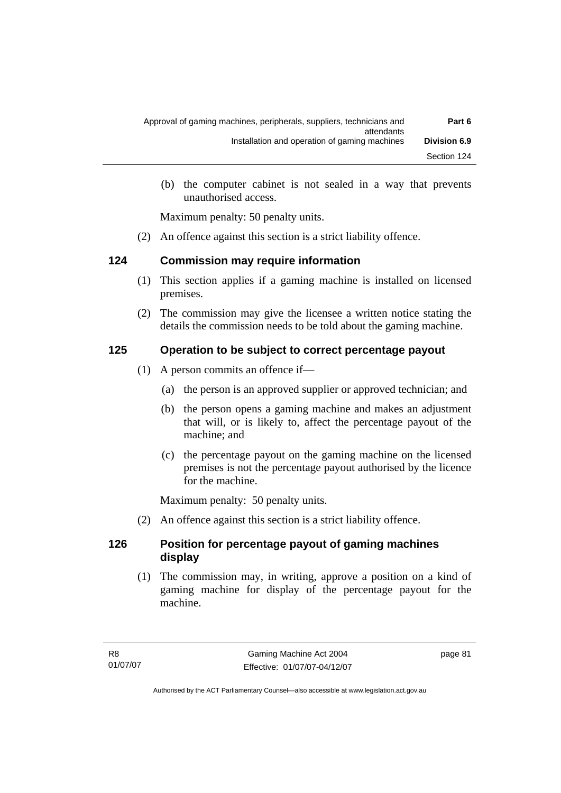| Part 6              | Approval of gaming machines, peripherals, suppliers, technicians and |
|---------------------|----------------------------------------------------------------------|
| <b>Division 6.9</b> | attendants<br>Installation and operation of gaming machines          |
| Section 124         |                                                                      |

 (b) the computer cabinet is not sealed in a way that prevents unauthorised access.

Maximum penalty: 50 penalty units.

(2) An offence against this section is a strict liability offence.

## **124 Commission may require information**

- (1) This section applies if a gaming machine is installed on licensed premises.
- (2) The commission may give the licensee a written notice stating the details the commission needs to be told about the gaming machine.

## **125 Operation to be subject to correct percentage payout**

- (1) A person commits an offence if—
	- (a) the person is an approved supplier or approved technician; and
	- (b) the person opens a gaming machine and makes an adjustment that will, or is likely to, affect the percentage payout of the machine; and
	- (c) the percentage payout on the gaming machine on the licensed premises is not the percentage payout authorised by the licence for the machine.

Maximum penalty: 50 penalty units.

(2) An offence against this section is a strict liability offence.

## **126 Position for percentage payout of gaming machines display**

 (1) The commission may, in writing, approve a position on a kind of gaming machine for display of the percentage payout for the machine.

page 81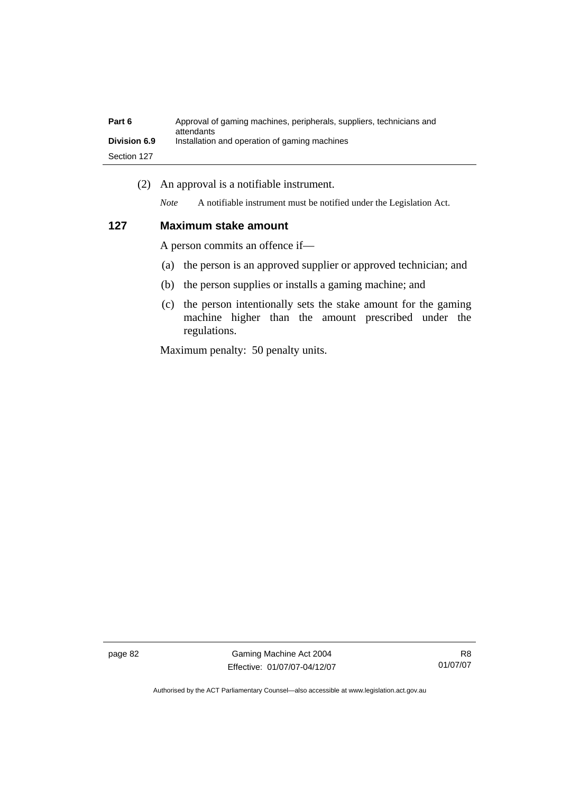| Part 6              | Approval of gaming machines, peripherals, suppliers, technicians and<br>attendants |
|---------------------|------------------------------------------------------------------------------------|
| <b>Division 6.9</b> | Installation and operation of gaming machines                                      |
| Section 127         |                                                                                    |

(2) An approval is a notifiable instrument.

*Note* A notifiable instrument must be notified under the Legislation Act.

#### **127 Maximum stake amount**

A person commits an offence if—

- (a) the person is an approved supplier or approved technician; and
- (b) the person supplies or installs a gaming machine; and
- (c) the person intentionally sets the stake amount for the gaming machine higher than the amount prescribed under the regulations.

Maximum penalty: 50 penalty units.

page 82 Gaming Machine Act 2004 Effective: 01/07/07-04/12/07

R8 01/07/07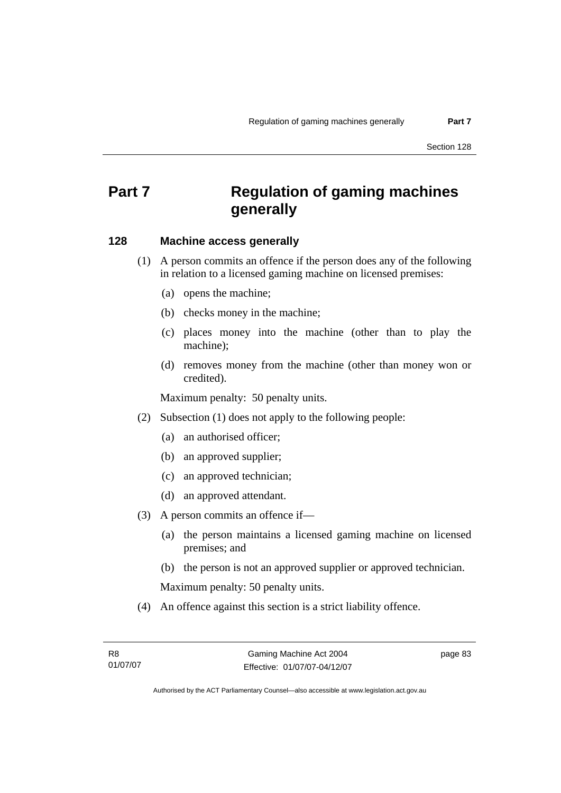# **Part 7 Regulation of gaming machines generally**

#### **128 Machine access generally**

 (1) A person commits an offence if the person does any of the following in relation to a licensed gaming machine on licensed premises:

- (a) opens the machine;
- (b) checks money in the machine;
- (c) places money into the machine (other than to play the machine);
- (d) removes money from the machine (other than money won or credited).

Maximum penalty: 50 penalty units.

- (2) Subsection (1) does not apply to the following people:
	- (a) an authorised officer;
	- (b) an approved supplier;
	- (c) an approved technician;
	- (d) an approved attendant.
- (3) A person commits an offence if—
	- (a) the person maintains a licensed gaming machine on licensed premises; and
	- (b) the person is not an approved supplier or approved technician.

Maximum penalty: 50 penalty units.

(4) An offence against this section is a strict liability offence.

page 83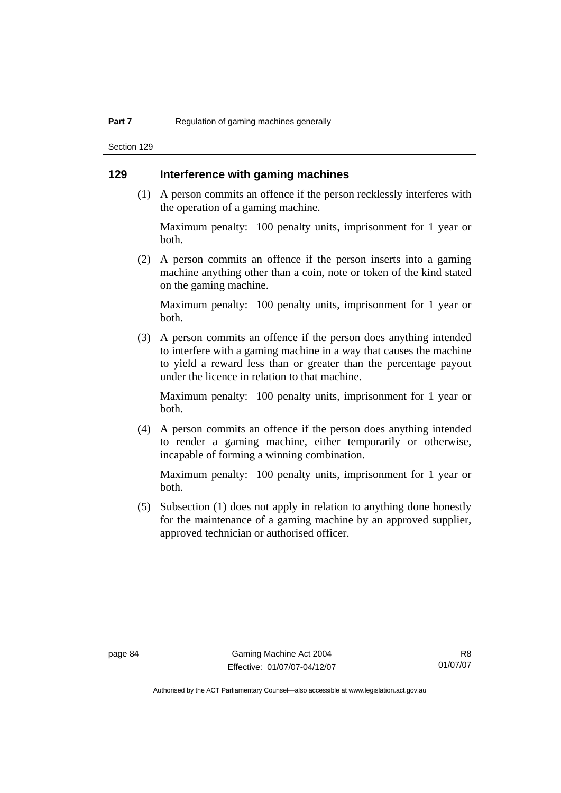Section 129

#### **129 Interference with gaming machines**

 (1) A person commits an offence if the person recklessly interferes with the operation of a gaming machine.

Maximum penalty: 100 penalty units, imprisonment for 1 year or both.

 (2) A person commits an offence if the person inserts into a gaming machine anything other than a coin, note or token of the kind stated on the gaming machine.

Maximum penalty: 100 penalty units, imprisonment for 1 year or both.

 (3) A person commits an offence if the person does anything intended to interfere with a gaming machine in a way that causes the machine to yield a reward less than or greater than the percentage payout under the licence in relation to that machine.

Maximum penalty: 100 penalty units, imprisonment for 1 year or both.

 (4) A person commits an offence if the person does anything intended to render a gaming machine, either temporarily or otherwise, incapable of forming a winning combination.

Maximum penalty: 100 penalty units, imprisonment for 1 year or both.

 (5) Subsection (1) does not apply in relation to anything done honestly for the maintenance of a gaming machine by an approved supplier, approved technician or authorised officer.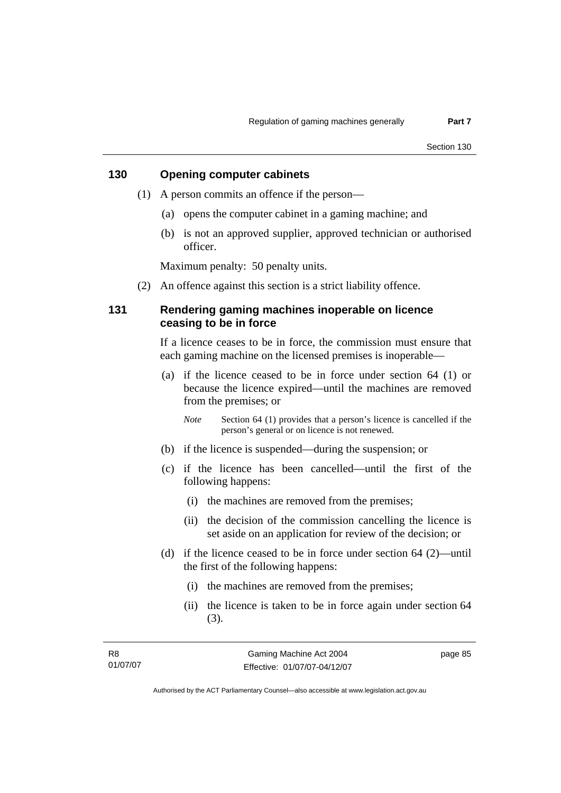## **130 Opening computer cabinets**

- (1) A person commits an offence if the person—
	- (a) opens the computer cabinet in a gaming machine; and
	- (b) is not an approved supplier, approved technician or authorised officer.

Maximum penalty: 50 penalty units.

(2) An offence against this section is a strict liability offence.

## **131 Rendering gaming machines inoperable on licence ceasing to be in force**

If a licence ceases to be in force, the commission must ensure that each gaming machine on the licensed premises is inoperable—

 (a) if the licence ceased to be in force under section 64 (1) or because the licence expired—until the machines are removed from the premises; or

*Note* Section 64 (1) provides that a person's licence is cancelled if the person's general or on licence is not renewed.

- (b) if the licence is suspended—during the suspension; or
- (c) if the licence has been cancelled—until the first of the following happens:
	- (i) the machines are removed from the premises;
	- (ii) the decision of the commission cancelling the licence is set aside on an application for review of the decision; or
- (d) if the licence ceased to be in force under section 64 (2)—until the first of the following happens:
	- (i) the machines are removed from the premises;
	- (ii) the licence is taken to be in force again under section 64 (3).

page 85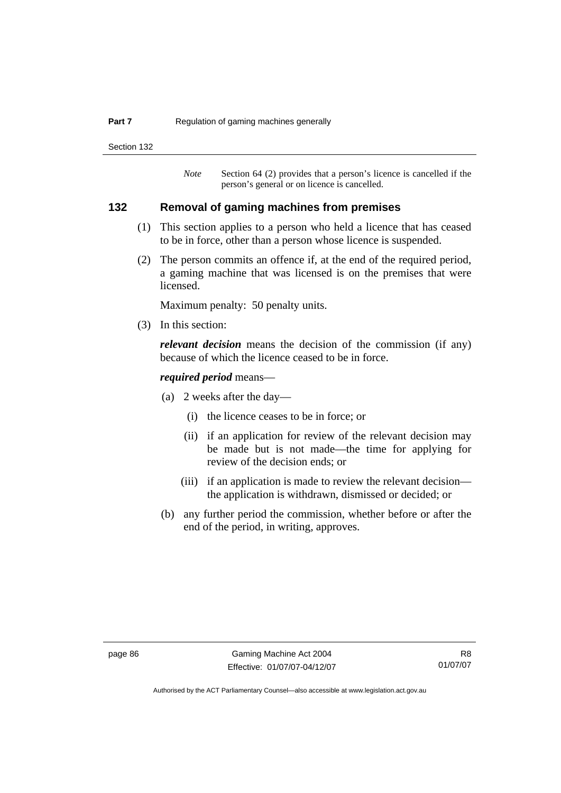#### **Part 7 Regulation of gaming machines generally**

Section 132

*Note* Section 64 (2) provides that a person's licence is cancelled if the person's general or on licence is cancelled.

## **132 Removal of gaming machines from premises**

- (1) This section applies to a person who held a licence that has ceased to be in force, other than a person whose licence is suspended.
- (2) The person commits an offence if, at the end of the required period, a gaming machine that was licensed is on the premises that were licensed.

Maximum penalty: 50 penalty units.

(3) In this section:

*relevant decision* means the decision of the commission (if any) because of which the licence ceased to be in force.

#### *required period* means—

- (a) 2 weeks after the day—
	- (i) the licence ceases to be in force; or
	- (ii) if an application for review of the relevant decision may be made but is not made—the time for applying for review of the decision ends; or
	- (iii) if an application is made to review the relevant decision the application is withdrawn, dismissed or decided; or
- (b) any further period the commission, whether before or after the end of the period, in writing, approves.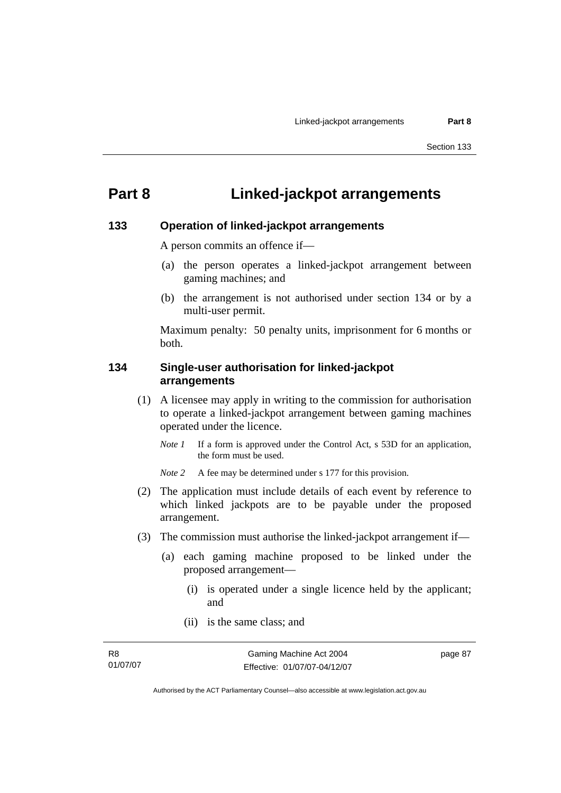# **Part 8 Linked-jackpot arrangements**

#### **133 Operation of linked-jackpot arrangements**

A person commits an offence if—

- (a) the person operates a linked-jackpot arrangement between gaming machines; and
- (b) the arrangement is not authorised under section 134 or by a multi-user permit.

Maximum penalty: 50 penalty units, imprisonment for 6 months or both.

#### **134 Single-user authorisation for linked-jackpot arrangements**

- (1) A licensee may apply in writing to the commission for authorisation to operate a linked-jackpot arrangement between gaming machines operated under the licence.
	- *Note 1* If a form is approved under the Control Act, s 53D for an application, the form must be used.

*Note 2* A fee may be determined under s 177 for this provision.

- (2) The application must include details of each event by reference to which linked jackpots are to be payable under the proposed arrangement.
- (3) The commission must authorise the linked-jackpot arrangement if—
	- (a) each gaming machine proposed to be linked under the proposed arrangement—
		- (i) is operated under a single licence held by the applicant; and
		- (ii) is the same class; and

page 87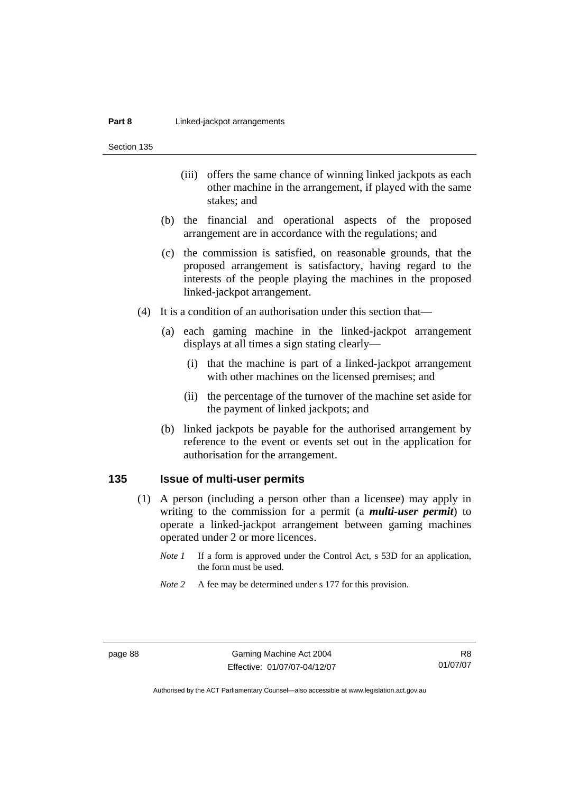Section 135

- (iii) offers the same chance of winning linked jackpots as each other machine in the arrangement, if played with the same stakes; and
- (b) the financial and operational aspects of the proposed arrangement are in accordance with the regulations; and
- (c) the commission is satisfied, on reasonable grounds, that the proposed arrangement is satisfactory, having regard to the interests of the people playing the machines in the proposed linked-jackpot arrangement.
- (4) It is a condition of an authorisation under this section that—
	- (a) each gaming machine in the linked-jackpot arrangement displays at all times a sign stating clearly—
		- (i) that the machine is part of a linked-jackpot arrangement with other machines on the licensed premises; and
		- (ii) the percentage of the turnover of the machine set aside for the payment of linked jackpots; and
	- (b) linked jackpots be payable for the authorised arrangement by reference to the event or events set out in the application for authorisation for the arrangement.

#### **135 Issue of multi-user permits**

- (1) A person (including a person other than a licensee) may apply in writing to the commission for a permit (a *multi-user permit*) to operate a linked-jackpot arrangement between gaming machines operated under 2 or more licences.
	- *Note 1* If a form is approved under the Control Act, s 53D for an application, the form must be used.
	- *Note 2* A fee may be determined under s 177 for this provision.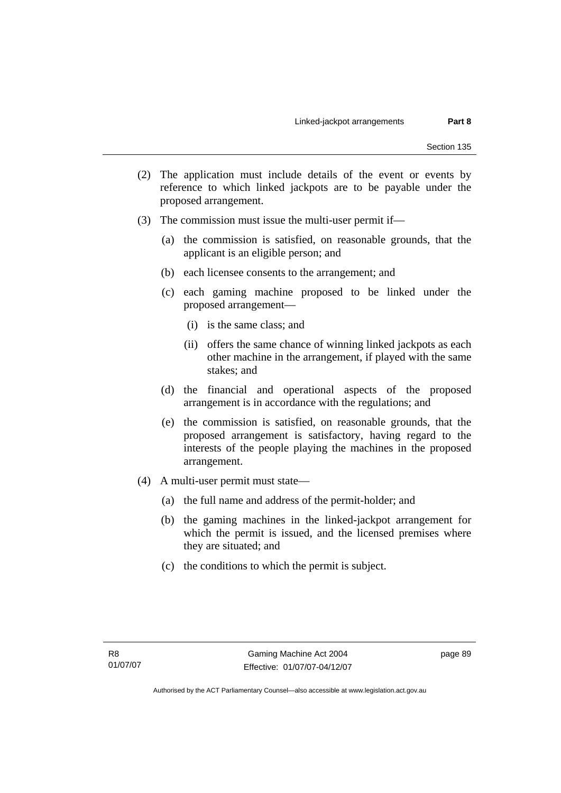- (2) The application must include details of the event or events by reference to which linked jackpots are to be payable under the proposed arrangement.
- (3) The commission must issue the multi-user permit if—
	- (a) the commission is satisfied, on reasonable grounds, that the applicant is an eligible person; and
	- (b) each licensee consents to the arrangement; and
	- (c) each gaming machine proposed to be linked under the proposed arrangement—
		- (i) is the same class; and
		- (ii) offers the same chance of winning linked jackpots as each other machine in the arrangement, if played with the same stakes; and
	- (d) the financial and operational aspects of the proposed arrangement is in accordance with the regulations; and
	- (e) the commission is satisfied, on reasonable grounds, that the proposed arrangement is satisfactory, having regard to the interests of the people playing the machines in the proposed arrangement.
- (4) A multi-user permit must state—
	- (a) the full name and address of the permit-holder; and
	- (b) the gaming machines in the linked-jackpot arrangement for which the permit is issued, and the licensed premises where they are situated; and
	- (c) the conditions to which the permit is subject.

page 89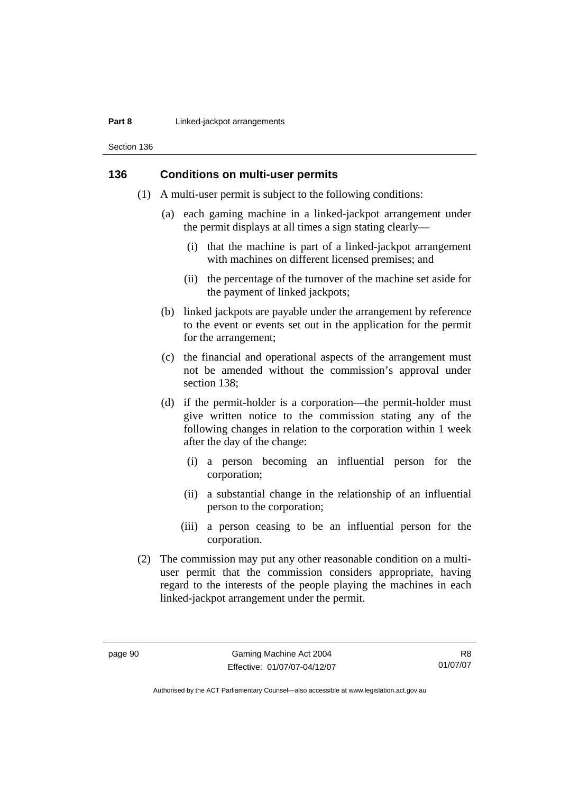#### **Part 8 Linked-jackpot arrangements**

Section 136

## **136 Conditions on multi-user permits**

- (1) A multi-user permit is subject to the following conditions:
	- (a) each gaming machine in a linked-jackpot arrangement under the permit displays at all times a sign stating clearly—
		- (i) that the machine is part of a linked-jackpot arrangement with machines on different licensed premises; and
		- (ii) the percentage of the turnover of the machine set aside for the payment of linked jackpots;
	- (b) linked jackpots are payable under the arrangement by reference to the event or events set out in the application for the permit for the arrangement;
	- (c) the financial and operational aspects of the arrangement must not be amended without the commission's approval under section 138;
	- (d) if the permit-holder is a corporation—the permit-holder must give written notice to the commission stating any of the following changes in relation to the corporation within 1 week after the day of the change:
		- (i) a person becoming an influential person for the corporation;
		- (ii) a substantial change in the relationship of an influential person to the corporation;
		- (iii) a person ceasing to be an influential person for the corporation.
- (2) The commission may put any other reasonable condition on a multiuser permit that the commission considers appropriate, having regard to the interests of the people playing the machines in each linked-jackpot arrangement under the permit.

R8 01/07/07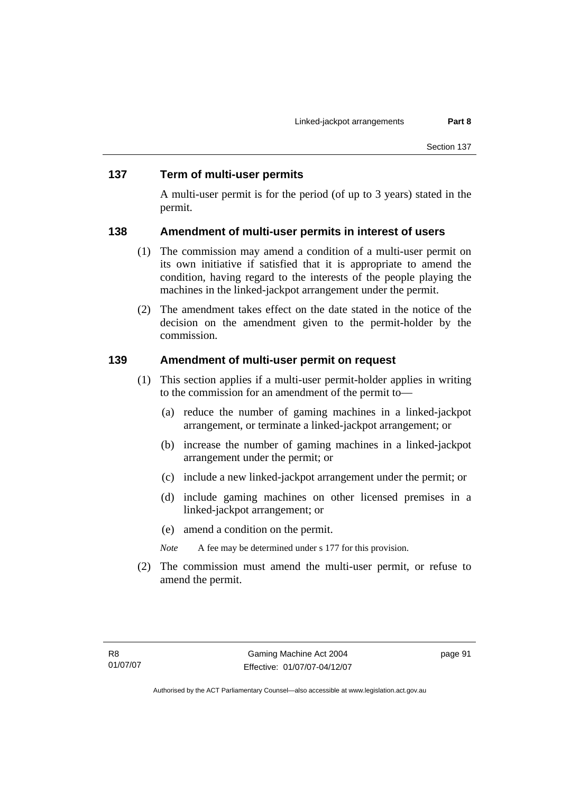#### **137 Term of multi-user permits**

A multi-user permit is for the period (of up to 3 years) stated in the permit.

#### **138 Amendment of multi-user permits in interest of users**

- (1) The commission may amend a condition of a multi-user permit on its own initiative if satisfied that it is appropriate to amend the condition, having regard to the interests of the people playing the machines in the linked-jackpot arrangement under the permit.
- (2) The amendment takes effect on the date stated in the notice of the decision on the amendment given to the permit-holder by the commission.

#### **139 Amendment of multi-user permit on request**

- (1) This section applies if a multi-user permit-holder applies in writing to the commission for an amendment of the permit to—
	- (a) reduce the number of gaming machines in a linked-jackpot arrangement, or terminate a linked-jackpot arrangement; or
	- (b) increase the number of gaming machines in a linked-jackpot arrangement under the permit; or
	- (c) include a new linked-jackpot arrangement under the permit; or
	- (d) include gaming machines on other licensed premises in a linked-jackpot arrangement; or
	- (e) amend a condition on the permit.
	- *Note* A fee may be determined under s 177 for this provision.
- (2) The commission must amend the multi-user permit, or refuse to amend the permit.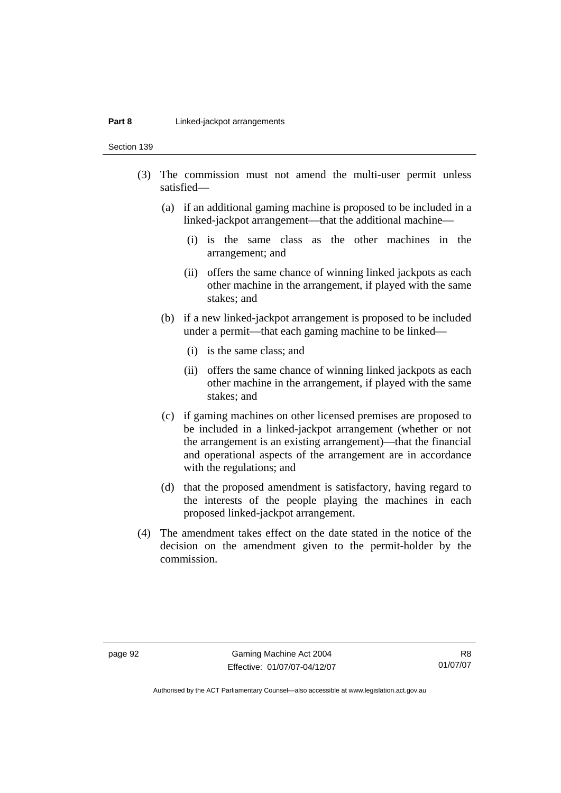#### **Part 8 Linked-jackpot arrangements**

Section 139

- (3) The commission must not amend the multi-user permit unless satisfied—
	- (a) if an additional gaming machine is proposed to be included in a linked-jackpot arrangement—that the additional machine—
		- (i) is the same class as the other machines in the arrangement; and
		- (ii) offers the same chance of winning linked jackpots as each other machine in the arrangement, if played with the same stakes; and
	- (b) if a new linked-jackpot arrangement is proposed to be included under a permit—that each gaming machine to be linked—
		- (i) is the same class; and
		- (ii) offers the same chance of winning linked jackpots as each other machine in the arrangement, if played with the same stakes; and
	- (c) if gaming machines on other licensed premises are proposed to be included in a linked-jackpot arrangement (whether or not the arrangement is an existing arrangement)—that the financial and operational aspects of the arrangement are in accordance with the regulations; and
	- (d) that the proposed amendment is satisfactory, having regard to the interests of the people playing the machines in each proposed linked-jackpot arrangement.
- (4) The amendment takes effect on the date stated in the notice of the decision on the amendment given to the permit-holder by the commission.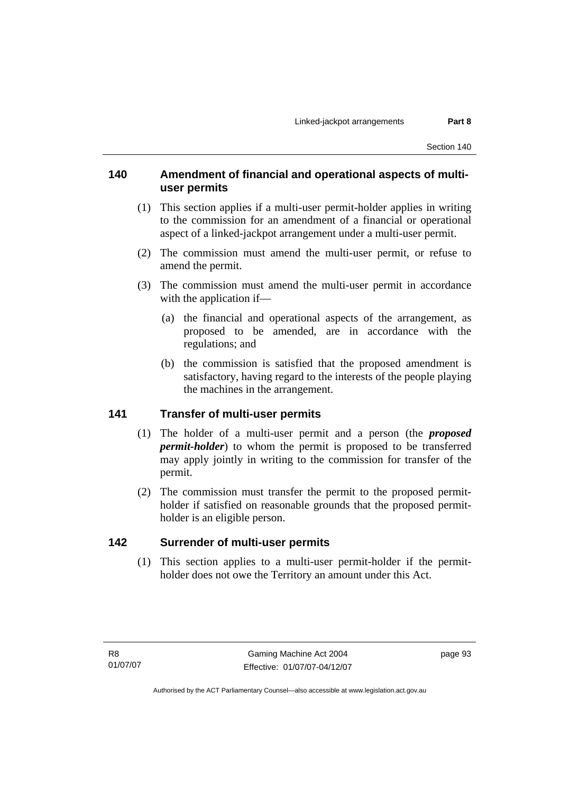## **140 Amendment of financial and operational aspects of multiuser permits**

- (1) This section applies if a multi-user permit-holder applies in writing to the commission for an amendment of a financial or operational aspect of a linked-jackpot arrangement under a multi-user permit.
- (2) The commission must amend the multi-user permit, or refuse to amend the permit.
- (3) The commission must amend the multi-user permit in accordance with the application if—
	- (a) the financial and operational aspects of the arrangement, as proposed to be amended, are in accordance with the regulations; and
	- (b) the commission is satisfied that the proposed amendment is satisfactory, having regard to the interests of the people playing the machines in the arrangement.

#### **141 Transfer of multi-user permits**

- (1) The holder of a multi-user permit and a person (the *proposed permit-holder*) to whom the permit is proposed to be transferred may apply jointly in writing to the commission for transfer of the permit.
- (2) The commission must transfer the permit to the proposed permitholder if satisfied on reasonable grounds that the proposed permitholder is an eligible person.

## **142 Surrender of multi-user permits**

 (1) This section applies to a multi-user permit-holder if the permitholder does not owe the Territory an amount under this Act.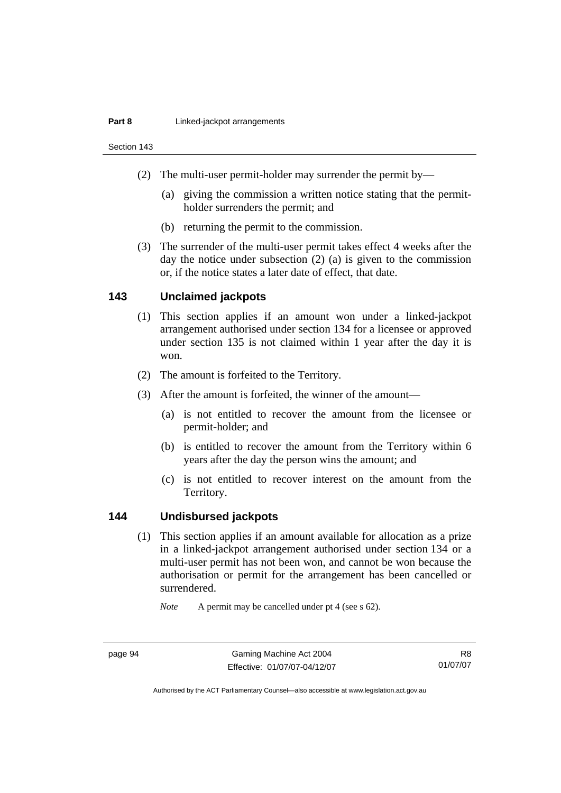#### **Part 8 Linked-jackpot arrangements**

Section 143

- (2) The multi-user permit-holder may surrender the permit by—
	- (a) giving the commission a written notice stating that the permitholder surrenders the permit; and
	- (b) returning the permit to the commission.
- (3) The surrender of the multi-user permit takes effect 4 weeks after the day the notice under subsection (2) (a) is given to the commission or, if the notice states a later date of effect, that date.

## **143 Unclaimed jackpots**

- (1) This section applies if an amount won under a linked-jackpot arrangement authorised under section 134 for a licensee or approved under section 135 is not claimed within 1 year after the day it is won.
- (2) The amount is forfeited to the Territory.
- (3) After the amount is forfeited, the winner of the amount—
	- (a) is not entitled to recover the amount from the licensee or permit-holder; and
	- (b) is entitled to recover the amount from the Territory within 6 years after the day the person wins the amount; and
	- (c) is not entitled to recover interest on the amount from the Territory.

#### **144 Undisbursed jackpots**

 (1) This section applies if an amount available for allocation as a prize in a linked-jackpot arrangement authorised under section 134 or a multi-user permit has not been won, and cannot be won because the authorisation or permit for the arrangement has been cancelled or surrendered.

*Note* A permit may be cancelled under pt 4 (see s 62).

R8 01/07/07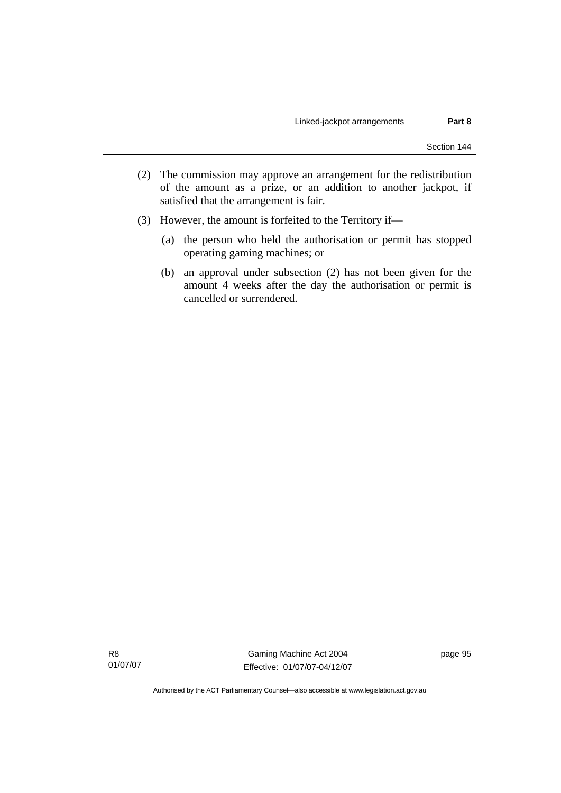- (2) The commission may approve an arrangement for the redistribution of the amount as a prize, or an addition to another jackpot, if satisfied that the arrangement is fair.
- (3) However, the amount is forfeited to the Territory if—
	- (a) the person who held the authorisation or permit has stopped operating gaming machines; or
	- (b) an approval under subsection (2) has not been given for the amount 4 weeks after the day the authorisation or permit is cancelled or surrendered.

R8 01/07/07

Gaming Machine Act 2004 Effective: 01/07/07-04/12/07 page 95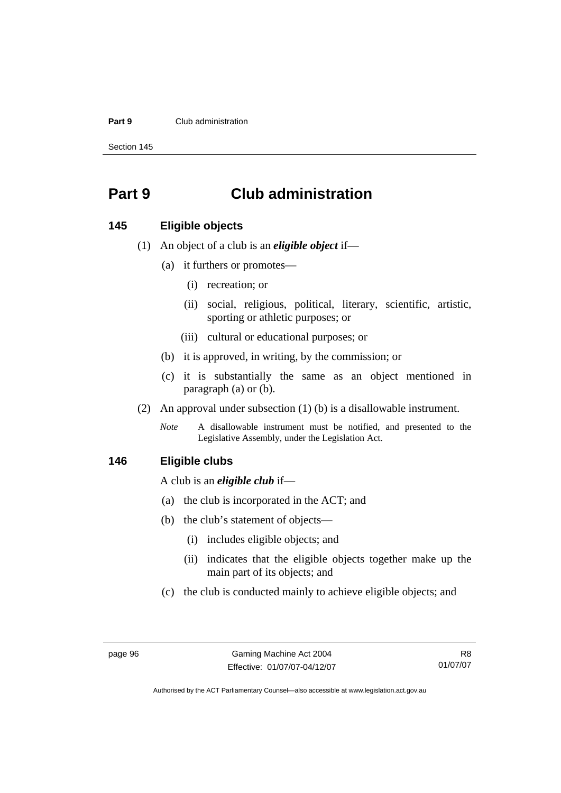#### **Part 9** Club administration

Section 145

# **Part 9 Club administration**

#### **145 Eligible objects**

- (1) An object of a club is an *eligible object* if—
	- (a) it furthers or promotes—
		- (i) recreation; or
		- (ii) social, religious, political, literary, scientific, artistic, sporting or athletic purposes; or
		- (iii) cultural or educational purposes; or
	- (b) it is approved, in writing, by the commission; or
	- (c) it is substantially the same as an object mentioned in paragraph (a) or (b).
- (2) An approval under subsection (1) (b) is a disallowable instrument.
	- *Note* A disallowable instrument must be notified, and presented to the Legislative Assembly, under the Legislation Act.

#### **146 Eligible clubs**

A club is an *eligible club* if—

- (a) the club is incorporated in the ACT; and
- (b) the club's statement of objects—
	- (i) includes eligible objects; and
	- (ii) indicates that the eligible objects together make up the main part of its objects; and
- (c) the club is conducted mainly to achieve eligible objects; and

R8 01/07/07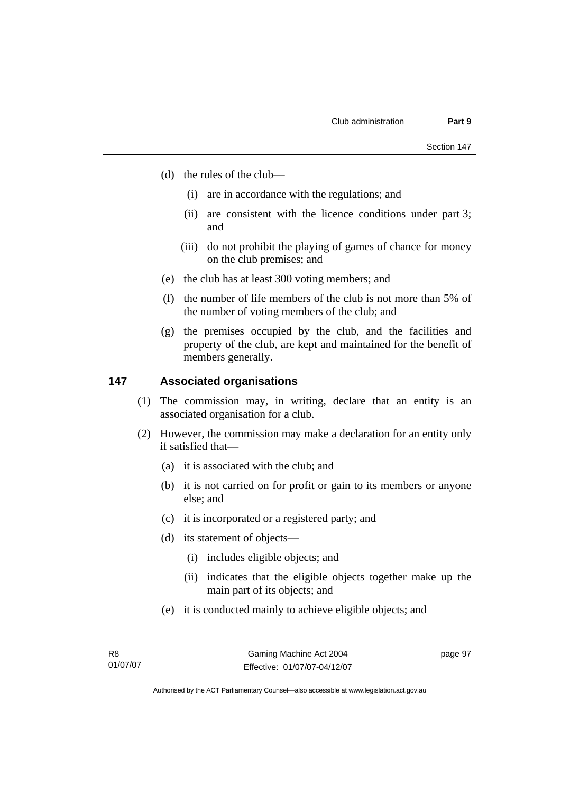- (d) the rules of the club—
	- (i) are in accordance with the regulations; and
	- (ii) are consistent with the licence conditions under part 3; and
	- (iii) do not prohibit the playing of games of chance for money on the club premises; and
- (e) the club has at least 300 voting members; and
- (f) the number of life members of the club is not more than 5% of the number of voting members of the club; and
- (g) the premises occupied by the club, and the facilities and property of the club, are kept and maintained for the benefit of members generally.

#### **147 Associated organisations**

- (1) The commission may, in writing, declare that an entity is an associated organisation for a club.
- (2) However, the commission may make a declaration for an entity only if satisfied that—
	- (a) it is associated with the club; and
	- (b) it is not carried on for profit or gain to its members or anyone else; and
	- (c) it is incorporated or a registered party; and
	- (d) its statement of objects—
		- (i) includes eligible objects; and
		- (ii) indicates that the eligible objects together make up the main part of its objects; and
	- (e) it is conducted mainly to achieve eligible objects; and

page 97

Authorised by the ACT Parliamentary Counsel—also accessible at www.legislation.act.gov.au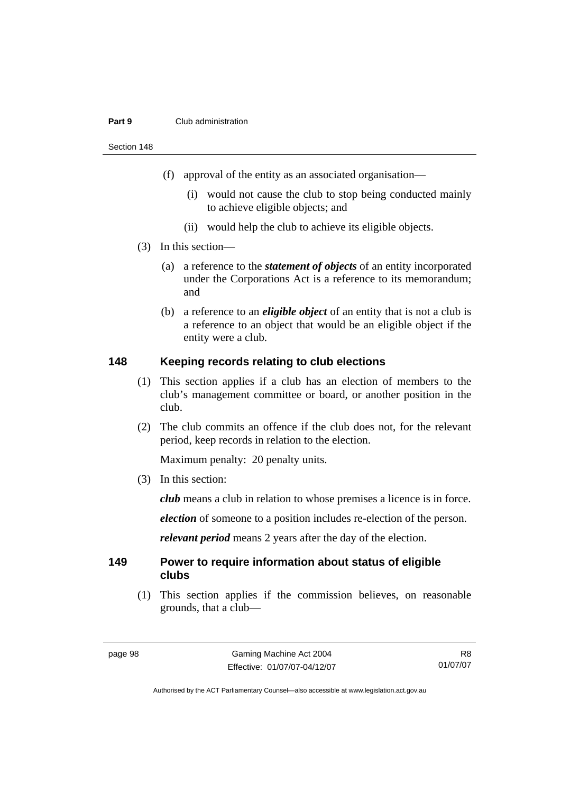#### **Part 9** Club administration

Section 148

- (f) approval of the entity as an associated organisation—
	- (i) would not cause the club to stop being conducted mainly to achieve eligible objects; and
	- (ii) would help the club to achieve its eligible objects.
- (3) In this section—
	- (a) a reference to the *statement of objects* of an entity incorporated under the Corporations Act is a reference to its memorandum; and
	- (b) a reference to an *eligible object* of an entity that is not a club is a reference to an object that would be an eligible object if the entity were a club.

#### **148 Keeping records relating to club elections**

- (1) This section applies if a club has an election of members to the club's management committee or board, or another position in the club.
- (2) The club commits an offence if the club does not, for the relevant period, keep records in relation to the election.

Maximum penalty: 20 penalty units.

(3) In this section:

*club* means a club in relation to whose premises a licence is in force.

*election* of someone to a position includes re-election of the person.

*relevant period* means 2 years after the day of the election.

#### **149 Power to require information about status of eligible clubs**

 (1) This section applies if the commission believes, on reasonable grounds, that a club—

R8 01/07/07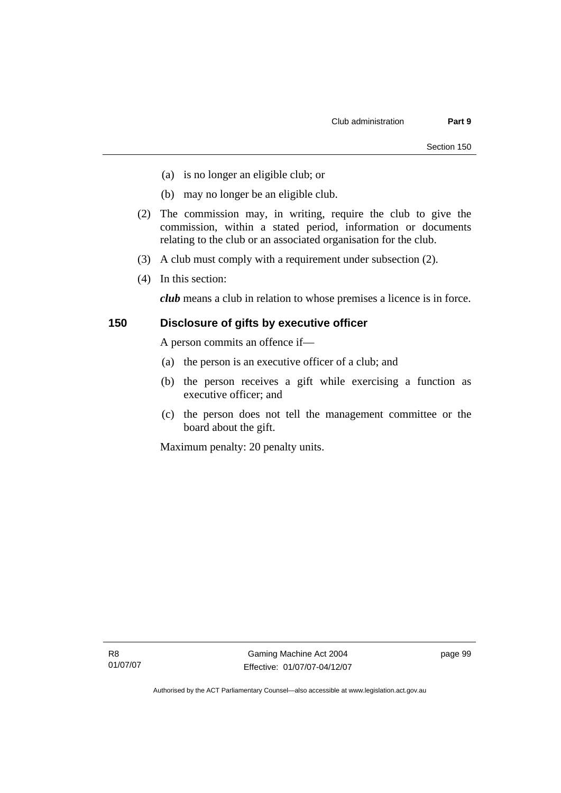- (a) is no longer an eligible club; or
- (b) may no longer be an eligible club.
- (2) The commission may, in writing, require the club to give the commission, within a stated period, information or documents relating to the club or an associated organisation for the club.
- (3) A club must comply with a requirement under subsection (2).
- (4) In this section:

*club* means a club in relation to whose premises a licence is in force.

### **150 Disclosure of gifts by executive officer**

A person commits an offence if—

- (a) the person is an executive officer of a club; and
- (b) the person receives a gift while exercising a function as executive officer; and
- (c) the person does not tell the management committee or the board about the gift.

Maximum penalty: 20 penalty units.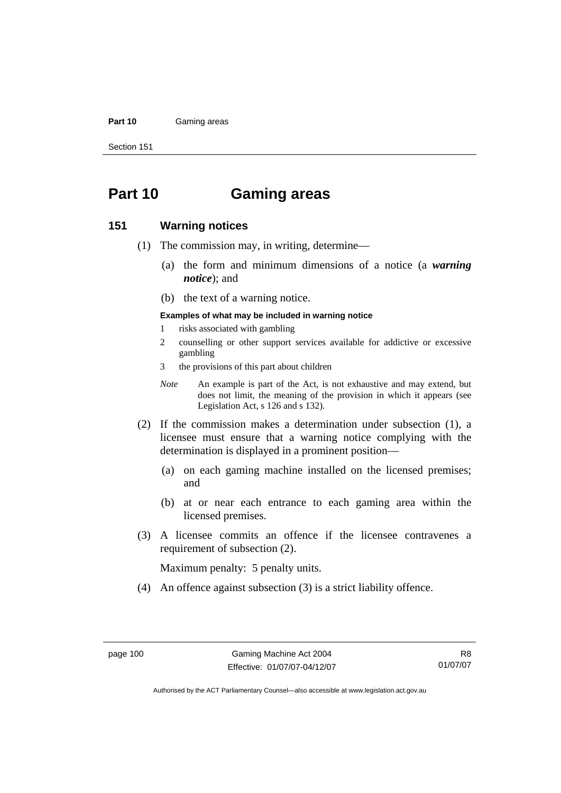#### **Part 10** Gaming areas

Section 151

# **Part 10 Gaming areas**

### **151 Warning notices**

- (1) The commission may, in writing, determine—
	- (a) the form and minimum dimensions of a notice (a *warning notice*); and
	- (b) the text of a warning notice.

#### **Examples of what may be included in warning notice**

- 1 risks associated with gambling
- 2 counselling or other support services available for addictive or excessive gambling
- 3 the provisions of this part about children
- *Note* An example is part of the Act, is not exhaustive and may extend, but does not limit, the meaning of the provision in which it appears (see Legislation Act, s 126 and s 132).
- (2) If the commission makes a determination under subsection (1), a licensee must ensure that a warning notice complying with the determination is displayed in a prominent position—
	- (a) on each gaming machine installed on the licensed premises; and
	- (b) at or near each entrance to each gaming area within the licensed premises.
- (3) A licensee commits an offence if the licensee contravenes a requirement of subsection (2).

Maximum penalty: 5 penalty units.

(4) An offence against subsection (3) is a strict liability offence.

R8 01/07/07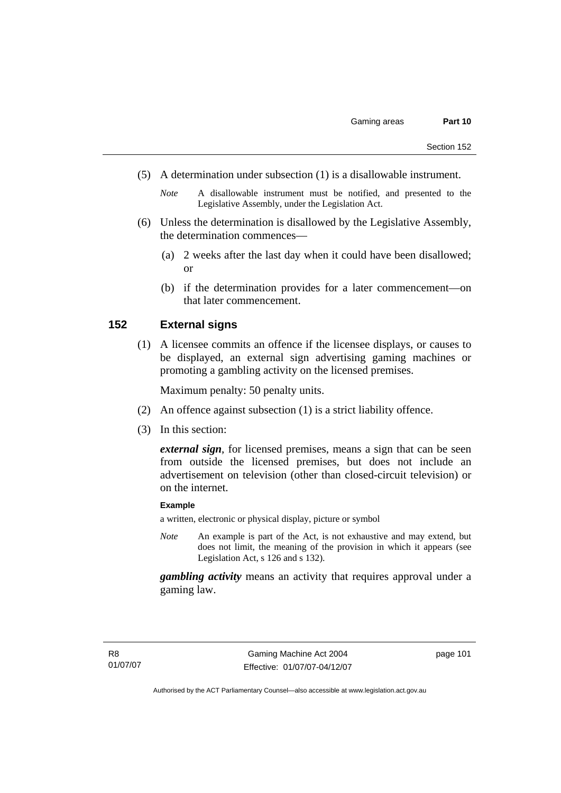- (5) A determination under subsection (1) is a disallowable instrument.
	- *Note* A disallowable instrument must be notified, and presented to the Legislative Assembly, under the Legislation Act.
- (6) Unless the determination is disallowed by the Legislative Assembly, the determination commences—
	- (a) 2 weeks after the last day when it could have been disallowed; or
	- (b) if the determination provides for a later commencement—on that later commencement.

### **152 External signs**

 (1) A licensee commits an offence if the licensee displays, or causes to be displayed, an external sign advertising gaming machines or promoting a gambling activity on the licensed premises.

Maximum penalty: 50 penalty units.

- (2) An offence against subsection (1) is a strict liability offence.
- (3) In this section:

*external sign*, for licensed premises, means a sign that can be seen from outside the licensed premises, but does not include an advertisement on television (other than closed-circuit television) or on the internet.

#### **Example**

a written, electronic or physical display, picture or symbol

*Note* An example is part of the Act, is not exhaustive and may extend, but does not limit, the meaning of the provision in which it appears (see Legislation Act, s 126 and s 132).

*gambling activity* means an activity that requires approval under a gaming law.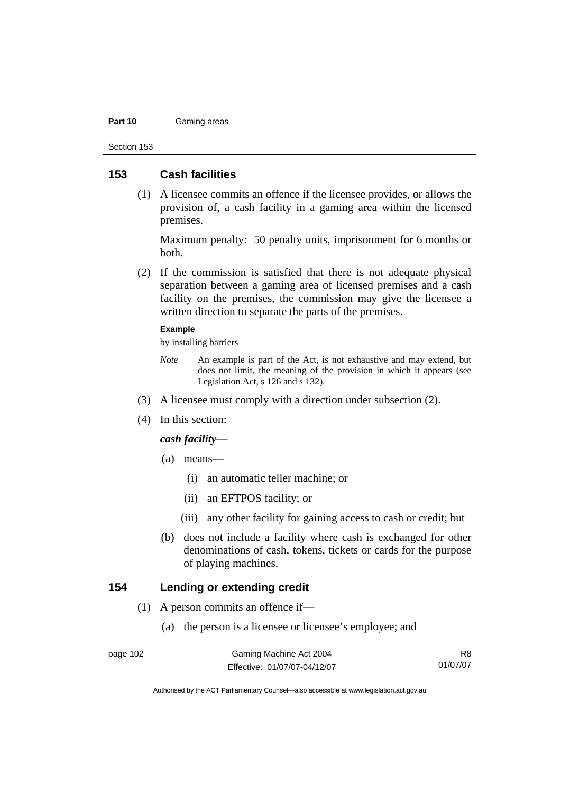#### **Part 10** Gaming areas

Section 153

### **153 Cash facilities**

 (1) A licensee commits an offence if the licensee provides, or allows the provision of, a cash facility in a gaming area within the licensed premises.

Maximum penalty: 50 penalty units, imprisonment for 6 months or both.

 (2) If the commission is satisfied that there is not adequate physical separation between a gaming area of licensed premises and a cash facility on the premises, the commission may give the licensee a written direction to separate the parts of the premises.

#### **Example**

by installing barriers

- *Note* An example is part of the Act, is not exhaustive and may extend, but does not limit, the meaning of the provision in which it appears (see Legislation Act, s 126 and s 132).
- (3) A licensee must comply with a direction under subsection (2).
- (4) In this section:

### *cash facility*—

- (a) means—
	- (i) an automatic teller machine; or
	- (ii) an EFTPOS facility; or
	- (iii) any other facility for gaining access to cash or credit; but
- (b) does not include a facility where cash is exchanged for other denominations of cash, tokens, tickets or cards for the purpose of playing machines.

### **154 Lending or extending credit**

- (1) A person commits an offence if—
	- (a) the person is a licensee or licensee's employee; and

R8 01/07/07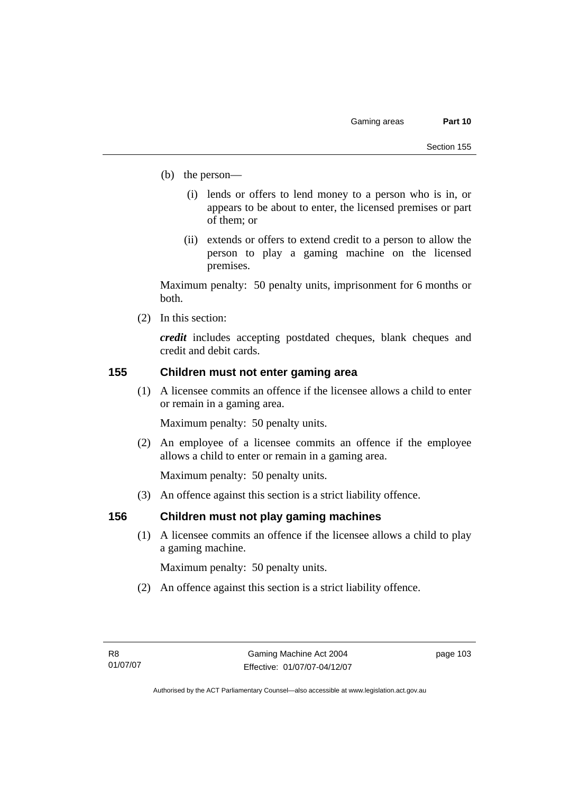- (b) the person—
	- (i) lends or offers to lend money to a person who is in, or appears to be about to enter, the licensed premises or part of them; or
	- (ii) extends or offers to extend credit to a person to allow the person to play a gaming machine on the licensed premises.

Maximum penalty: 50 penalty units, imprisonment for 6 months or both.

(2) In this section:

*credit* includes accepting postdated cheques, blank cheques and credit and debit cards.

### **155 Children must not enter gaming area**

 (1) A licensee commits an offence if the licensee allows a child to enter or remain in a gaming area.

Maximum penalty: 50 penalty units.

 (2) An employee of a licensee commits an offence if the employee allows a child to enter or remain in a gaming area.

Maximum penalty: 50 penalty units.

(3) An offence against this section is a strict liability offence.

### **156 Children must not play gaming machines**

 (1) A licensee commits an offence if the licensee allows a child to play a gaming machine.

Maximum penalty: 50 penalty units.

(2) An offence against this section is a strict liability offence.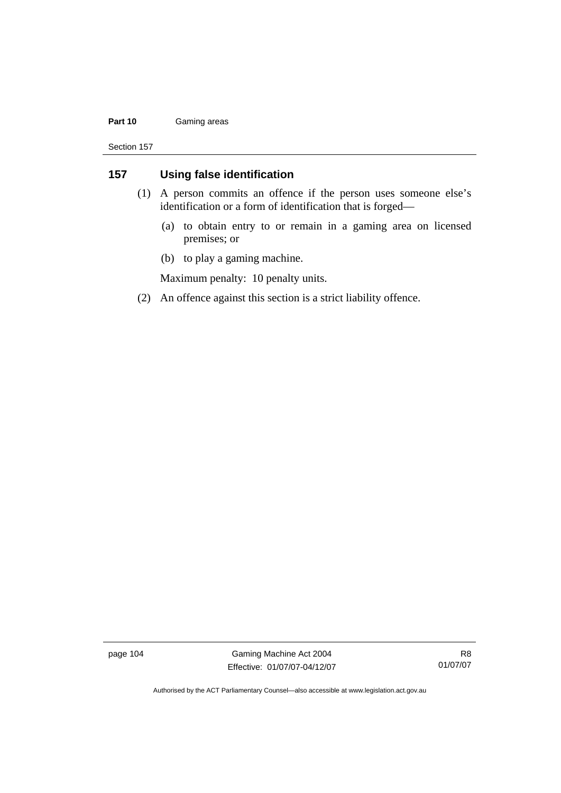#### Part 10 **Gaming areas**

Section 157

### **157 Using false identification**

- (1) A person commits an offence if the person uses someone else's identification or a form of identification that is forged—
	- (a) to obtain entry to or remain in a gaming area on licensed premises; or
	- (b) to play a gaming machine.

Maximum penalty: 10 penalty units.

(2) An offence against this section is a strict liability offence.

page 104 Gaming Machine Act 2004 Effective: 01/07/07-04/12/07

R8 01/07/07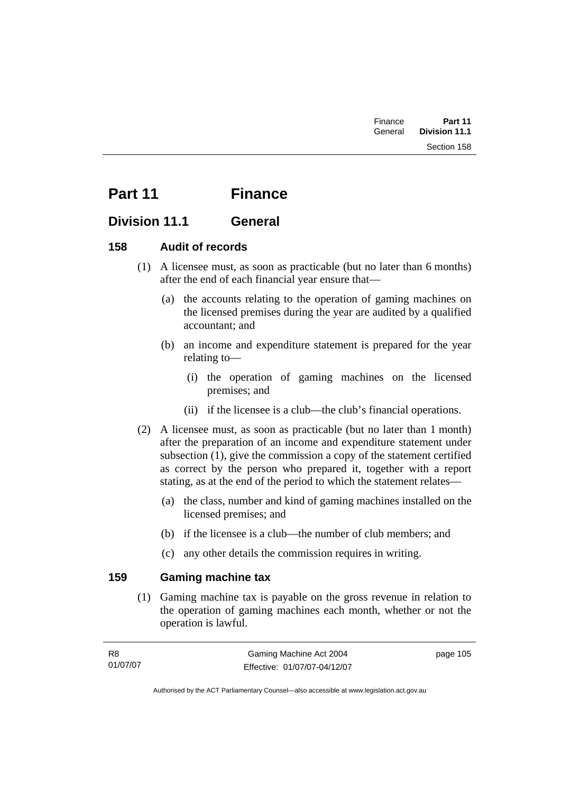# **Part 11 Finance**

## **Division 11.1 General**

## **158 Audit of records**

- (1) A licensee must, as soon as practicable (but no later than 6 months) after the end of each financial year ensure that—
	- (a) the accounts relating to the operation of gaming machines on the licensed premises during the year are audited by a qualified accountant; and
	- (b) an income and expenditure statement is prepared for the year relating to—
		- (i) the operation of gaming machines on the licensed premises; and
		- (ii) if the licensee is a club—the club's financial operations.
- (2) A licensee must, as soon as practicable (but no later than 1 month) after the preparation of an income and expenditure statement under subsection (1), give the commission a copy of the statement certified as correct by the person who prepared it, together with a report stating, as at the end of the period to which the statement relates—
	- (a) the class, number and kind of gaming machines installed on the licensed premises; and
	- (b) if the licensee is a club—the number of club members; and
	- (c) any other details the commission requires in writing.

## **159 Gaming machine tax**

 (1) Gaming machine tax is payable on the gross revenue in relation to the operation of gaming machines each month, whether or not the operation is lawful.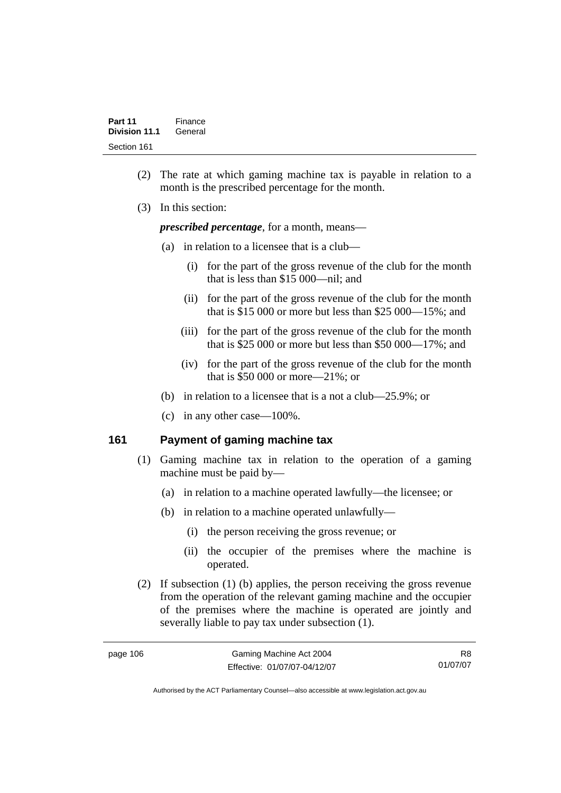- (2) The rate at which gaming machine tax is payable in relation to a month is the prescribed percentage for the month.
- (3) In this section:

*prescribed percentage*, for a month, means—

- (a) in relation to a licensee that is a club—
	- (i) for the part of the gross revenue of the club for the month that is less than \$15 000—nil; and
	- (ii) for the part of the gross revenue of the club for the month that is \$15 000 or more but less than \$25 000—15%; and
	- (iii) for the part of the gross revenue of the club for the month that is \$25 000 or more but less than \$50 000—17%; and
	- (iv) for the part of the gross revenue of the club for the month that is \$50 000 or more—21%; or
- (b) in relation to a licensee that is a not a club—25.9%; or
- (c) in any other case—100%.

### **161 Payment of gaming machine tax**

- (1) Gaming machine tax in relation to the operation of a gaming machine must be paid by—
	- (a) in relation to a machine operated lawfully—the licensee; or
	- (b) in relation to a machine operated unlawfully—
		- (i) the person receiving the gross revenue; or
		- (ii) the occupier of the premises where the machine is operated.
- (2) If subsection (1) (b) applies, the person receiving the gross revenue from the operation of the relevant gaming machine and the occupier of the premises where the machine is operated are jointly and severally liable to pay tax under subsection (1).

| page 106 |  |
|----------|--|
|----------|--|

R8 01/07/07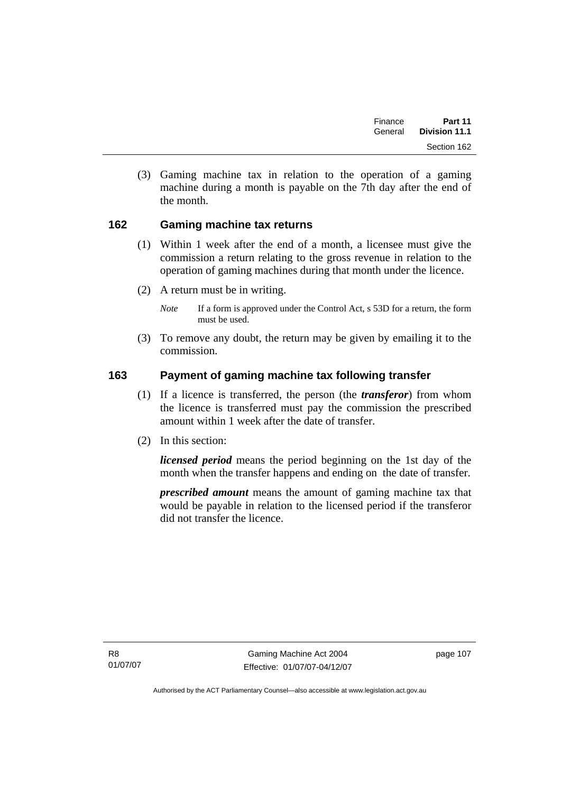| Finance | Part 11              |  |
|---------|----------------------|--|
| General | <b>Division 11.1</b> |  |
|         | Section 162          |  |

 (3) Gaming machine tax in relation to the operation of a gaming machine during a month is payable on the 7th day after the end of the month.

### **162 Gaming machine tax returns**

- (1) Within 1 week after the end of a month, a licensee must give the commission a return relating to the gross revenue in relation to the operation of gaming machines during that month under the licence.
- (2) A return must be in writing.
	- *Note* If a form is approved under the Control Act, s 53D for a return, the form must be used.
- (3) To remove any doubt, the return may be given by emailing it to the commission.

### **163 Payment of gaming machine tax following transfer**

- (1) If a licence is transferred, the person (the *transferor*) from whom the licence is transferred must pay the commission the prescribed amount within 1 week after the date of transfer.
- (2) In this section:

*licensed period* means the period beginning on the 1st day of the month when the transfer happens and ending on the date of transfer.

*prescribed amount* means the amount of gaming machine tax that would be payable in relation to the licensed period if the transferor did not transfer the licence.

R8 01/07/07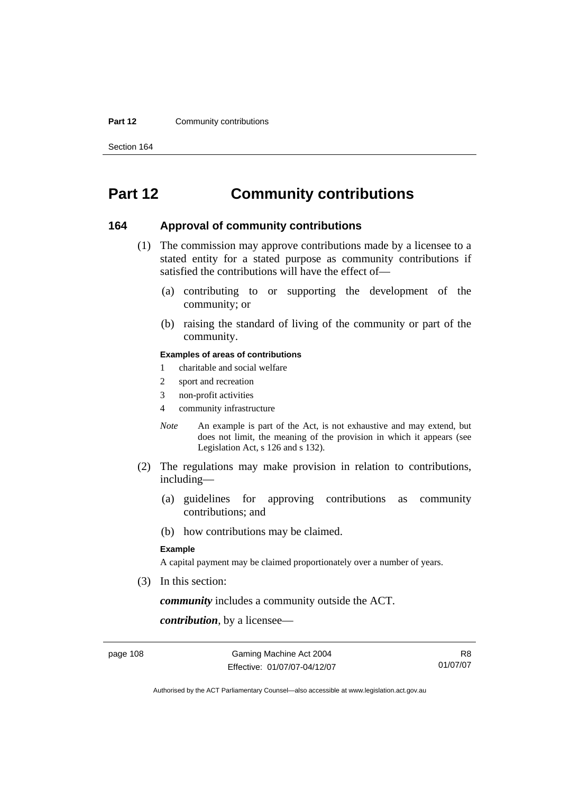#### **Part 12 Community contributions**

Section 164

# **Part 12 Community contributions**

### **164 Approval of community contributions**

- (1) The commission may approve contributions made by a licensee to a stated entity for a stated purpose as community contributions if satisfied the contributions will have the effect of—
	- (a) contributing to or supporting the development of the community; or
	- (b) raising the standard of living of the community or part of the community.

#### **Examples of areas of contributions**

- 1 charitable and social welfare
- 2 sport and recreation
- 3 non-profit activities
- 4 community infrastructure
- *Note* An example is part of the Act, is not exhaustive and may extend, but does not limit, the meaning of the provision in which it appears (see Legislation Act, s 126 and s 132).
- (2) The regulations may make provision in relation to contributions, including—
	- (a) guidelines for approving contributions as community contributions; and
	- (b) how contributions may be claimed.

#### **Example**

A capital payment may be claimed proportionately over a number of years.

(3) In this section:

*community* includes a community outside the ACT.

*contribution*, by a licensee—

page 108 Gaming Machine Act 2004 Effective: 01/07/07-04/12/07

R8 01/07/07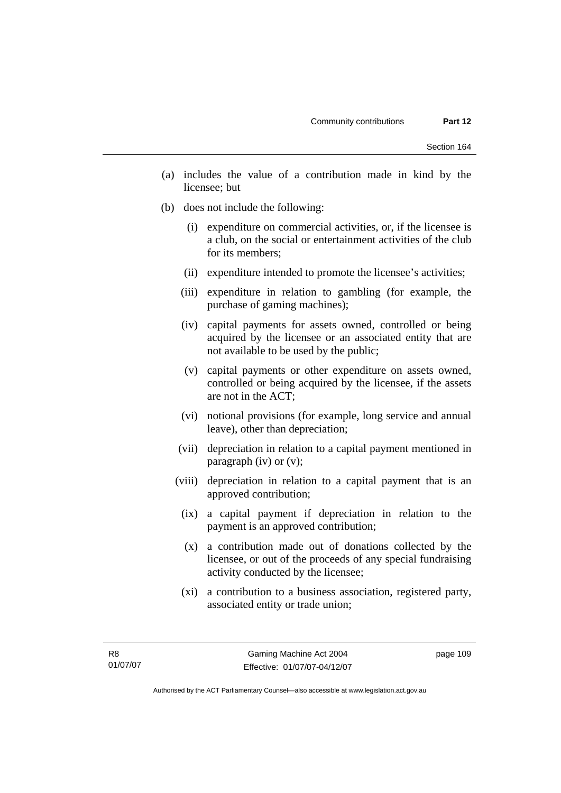- (a) includes the value of a contribution made in kind by the licensee; but
- (b) does not include the following:
	- (i) expenditure on commercial activities, or, if the licensee is a club, on the social or entertainment activities of the club for its members;
	- (ii) expenditure intended to promote the licensee's activities;
	- (iii) expenditure in relation to gambling (for example, the purchase of gaming machines);
	- (iv) capital payments for assets owned, controlled or being acquired by the licensee or an associated entity that are not available to be used by the public;
	- (v) capital payments or other expenditure on assets owned, controlled or being acquired by the licensee, if the assets are not in the ACT;
	- (vi) notional provisions (for example, long service and annual leave), other than depreciation;
	- (vii) depreciation in relation to a capital payment mentioned in paragraph (iv) or (v);
	- (viii) depreciation in relation to a capital payment that is an approved contribution;
	- (ix) a capital payment if depreciation in relation to the payment is an approved contribution;
	- (x) a contribution made out of donations collected by the licensee, or out of the proceeds of any special fundraising activity conducted by the licensee;
	- (xi) a contribution to a business association, registered party, associated entity or trade union;

Authorised by the ACT Parliamentary Counsel—also accessible at www.legislation.act.gov.au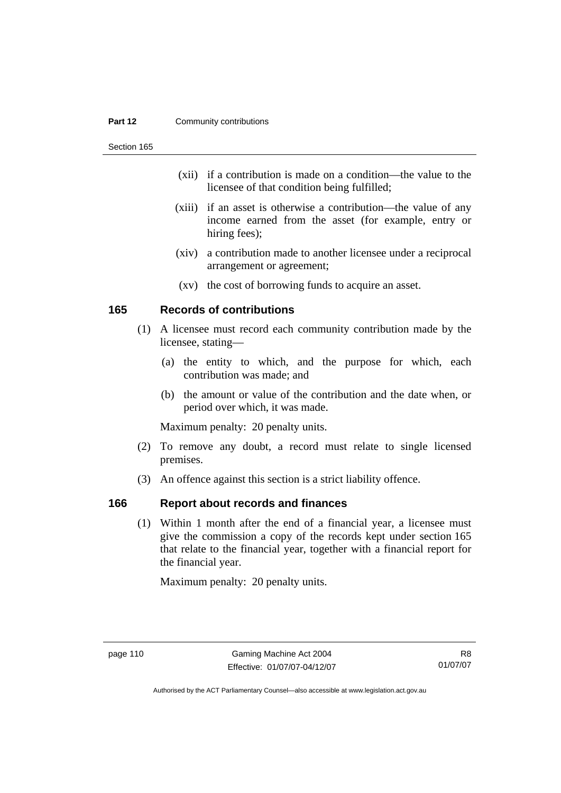#### **Part 12 Community contributions**

Section 165

- (xii) if a contribution is made on a condition—the value to the licensee of that condition being fulfilled;
- (xiii) if an asset is otherwise a contribution—the value of any income earned from the asset (for example, entry or hiring fees);
- (xiv) a contribution made to another licensee under a reciprocal arrangement or agreement;
- (xv) the cost of borrowing funds to acquire an asset.

### **165 Records of contributions**

- (1) A licensee must record each community contribution made by the licensee, stating—
	- (a) the entity to which, and the purpose for which, each contribution was made; and
	- (b) the amount or value of the contribution and the date when, or period over which, it was made.

Maximum penalty: 20 penalty units.

- (2) To remove any doubt, a record must relate to single licensed premises.
- (3) An offence against this section is a strict liability offence.

### **166 Report about records and finances**

 (1) Within 1 month after the end of a financial year, a licensee must give the commission a copy of the records kept under section 165 that relate to the financial year, together with a financial report for the financial year.

Maximum penalty: 20 penalty units.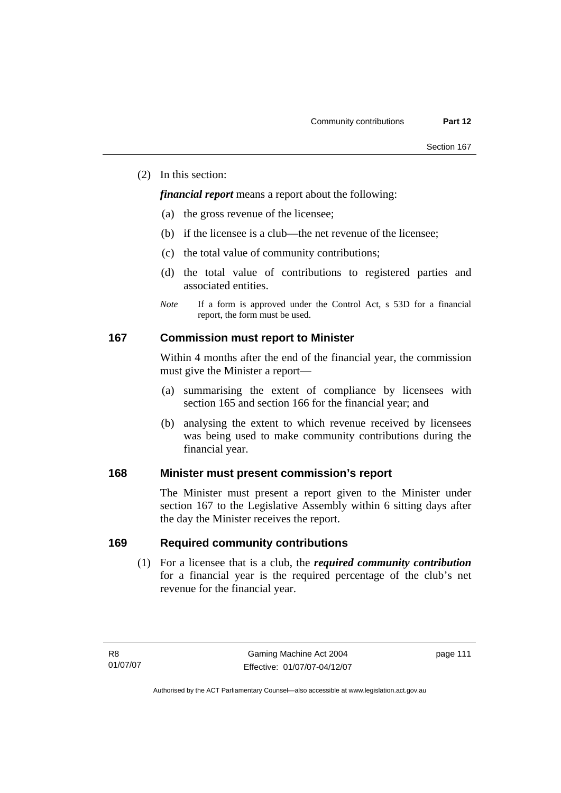(2) In this section:

*financial report* means a report about the following:

- (a) the gross revenue of the licensee;
- (b) if the licensee is a club—the net revenue of the licensee;
- (c) the total value of community contributions;
- (d) the total value of contributions to registered parties and associated entities.
- *Note* If a form is approved under the Control Act, s 53D for a financial report, the form must be used.

### **167 Commission must report to Minister**

Within 4 months after the end of the financial year, the commission must give the Minister a report—

- (a) summarising the extent of compliance by licensees with section 165 and section 166 for the financial year; and
- (b) analysing the extent to which revenue received by licensees was being used to make community contributions during the financial year.

### **168 Minister must present commission's report**

The Minister must present a report given to the Minister under section 167 to the Legislative Assembly within 6 sitting days after the day the Minister receives the report.

### **169 Required community contributions**

 (1) For a licensee that is a club, the *required community contribution* for a financial year is the required percentage of the club's net revenue for the financial year.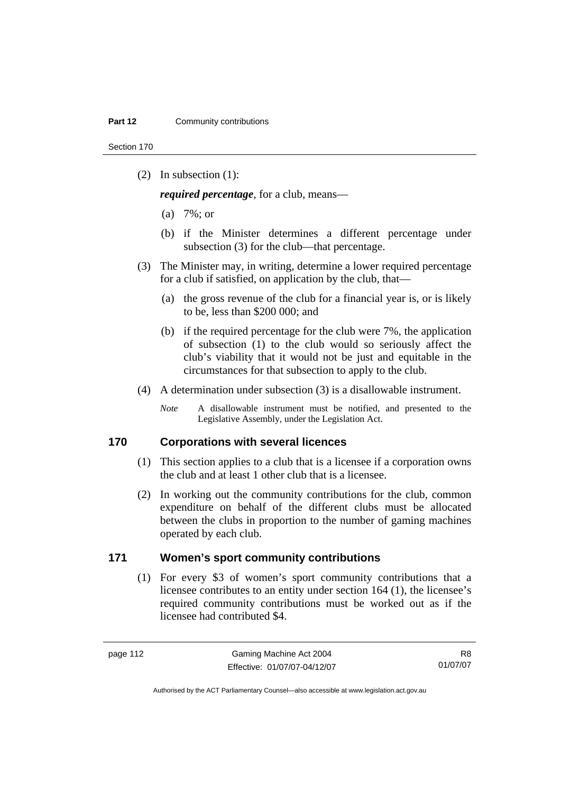Section 170

(2) In subsection (1):

*required percentage*, for a club, means—

- (a) 7%; or
- (b) if the Minister determines a different percentage under subsection (3) for the club—that percentage.
- (3) The Minister may, in writing, determine a lower required percentage for a club if satisfied, on application by the club, that—
	- (a) the gross revenue of the club for a financial year is, or is likely to be, less than \$200 000; and
	- (b) if the required percentage for the club were 7%, the application of subsection (1) to the club would so seriously affect the club's viability that it would not be just and equitable in the circumstances for that subsection to apply to the club.
- (4) A determination under subsection (3) is a disallowable instrument.
	- *Note* A disallowable instrument must be notified, and presented to the Legislative Assembly, under the Legislation Act.

### **170 Corporations with several licences**

- (1) This section applies to a club that is a licensee if a corporation owns the club and at least 1 other club that is a licensee.
- (2) In working out the community contributions for the club, common expenditure on behalf of the different clubs must be allocated between the clubs in proportion to the number of gaming machines operated by each club.

### **171 Women's sport community contributions**

 (1) For every \$3 of women's sport community contributions that a licensee contributes to an entity under section 164 (1), the licensee's required community contributions must be worked out as if the licensee had contributed \$4.

R8 01/07/07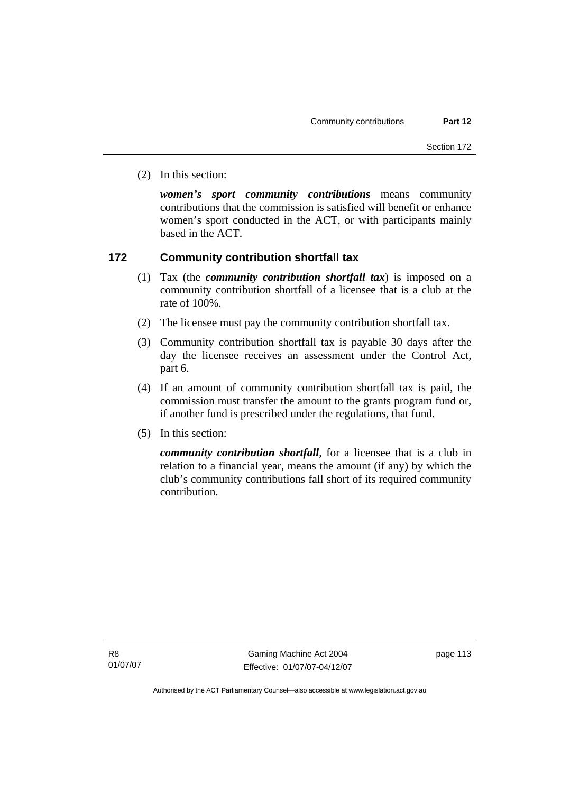(2) In this section:

*women's sport community contributions* means community contributions that the commission is satisfied will benefit or enhance women's sport conducted in the ACT, or with participants mainly based in the ACT.

### **172 Community contribution shortfall tax**

- (1) Tax (the *community contribution shortfall tax*) is imposed on a community contribution shortfall of a licensee that is a club at the rate of 100%.
- (2) The licensee must pay the community contribution shortfall tax.
- (3) Community contribution shortfall tax is payable 30 days after the day the licensee receives an assessment under the Control Act, part 6.
- (4) If an amount of community contribution shortfall tax is paid, the commission must transfer the amount to the grants program fund or, if another fund is prescribed under the regulations, that fund.
- (5) In this section:

*community contribution shortfall*, for a licensee that is a club in relation to a financial year, means the amount (if any) by which the club's community contributions fall short of its required community contribution.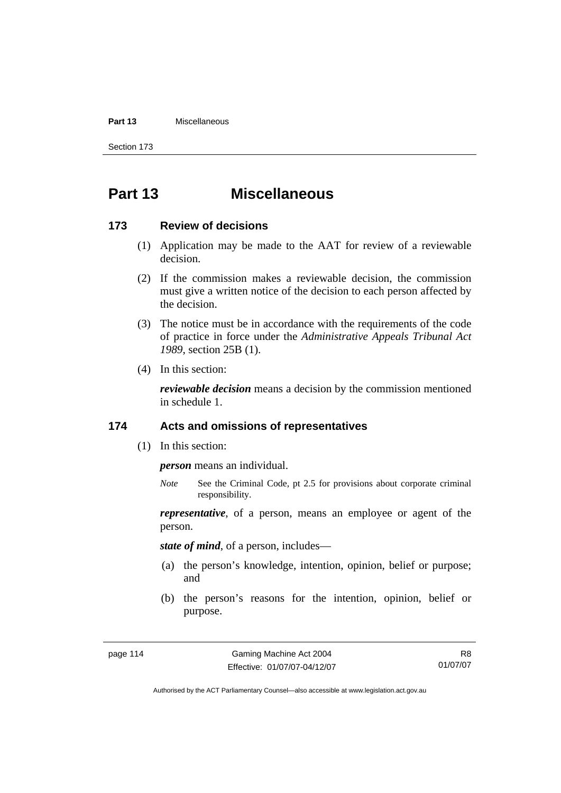#### **Part 13** Miscellaneous

Section 173

# **Part 13 Miscellaneous**

### **173 Review of decisions**

- (1) Application may be made to the AAT for review of a reviewable decision.
- (2) If the commission makes a reviewable decision, the commission must give a written notice of the decision to each person affected by the decision.
- (3) The notice must be in accordance with the requirements of the code of practice in force under the *Administrative Appeals Tribunal Act 1989*, section 25B (1).
- (4) In this section:

*reviewable decision* means a decision by the commission mentioned in schedule 1.

### **174 Acts and omissions of representatives**

(1) In this section:

*person* means an individual.

*Note* See the Criminal Code, pt 2.5 for provisions about corporate criminal responsibility.

*representative*, of a person, means an employee or agent of the person.

*state of mind*, of a person, includes—

- (a) the person's knowledge, intention, opinion, belief or purpose; and
- (b) the person's reasons for the intention, opinion, belief or purpose.

R8 01/07/07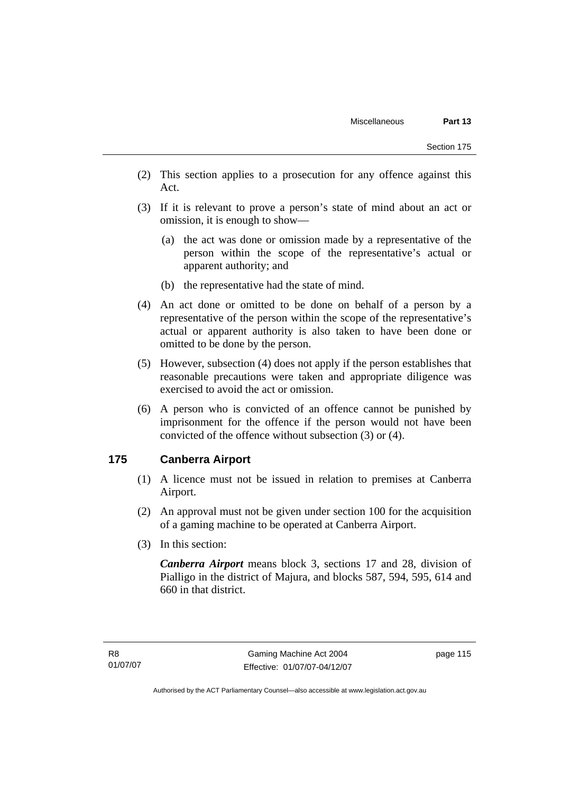- (2) This section applies to a prosecution for any offence against this Act.
- (3) If it is relevant to prove a person's state of mind about an act or omission, it is enough to show—
	- (a) the act was done or omission made by a representative of the person within the scope of the representative's actual or apparent authority; and
	- (b) the representative had the state of mind.
- (4) An act done or omitted to be done on behalf of a person by a representative of the person within the scope of the representative's actual or apparent authority is also taken to have been done or omitted to be done by the person.
- (5) However, subsection (4) does not apply if the person establishes that reasonable precautions were taken and appropriate diligence was exercised to avoid the act or omission.
- (6) A person who is convicted of an offence cannot be punished by imprisonment for the offence if the person would not have been convicted of the offence without subsection (3) or (4).

### **175 Canberra Airport**

- (1) A licence must not be issued in relation to premises at Canberra Airport.
- (2) An approval must not be given under section 100 for the acquisition of a gaming machine to be operated at Canberra Airport.
- (3) In this section:

*Canberra Airport* means block 3, sections 17 and 28, division of Pialligo in the district of Majura, and blocks 587, 594, 595, 614 and 660 in that district.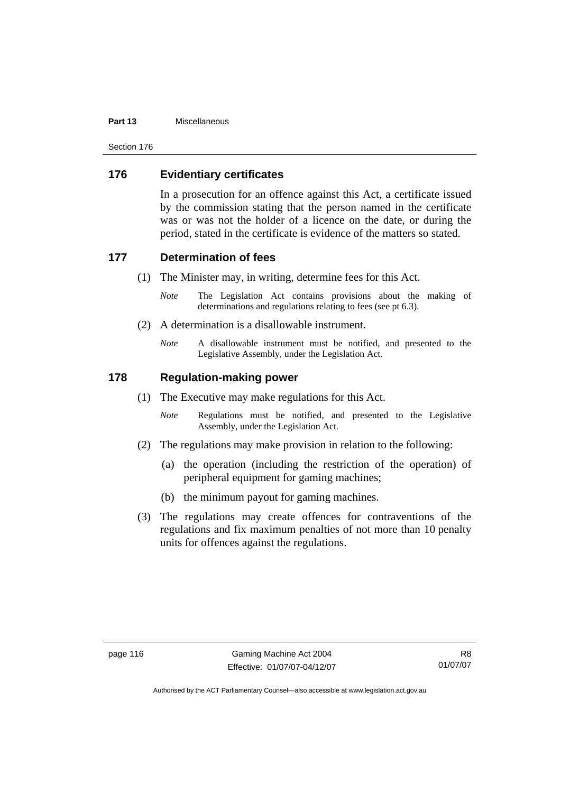#### **Part 13** Miscellaneous

Section 176

### **176 Evidentiary certificates**

In a prosecution for an offence against this Act, a certificate issued by the commission stating that the person named in the certificate was or was not the holder of a licence on the date, or during the period, stated in the certificate is evidence of the matters so stated.

### **177 Determination of fees**

- (1) The Minister may, in writing, determine fees for this Act.
	- *Note* The Legislation Act contains provisions about the making of determinations and regulations relating to fees (see pt 6.3).
- (2) A determination is a disallowable instrument.
	- *Note* A disallowable instrument must be notified, and presented to the Legislative Assembly, under the Legislation Act.

### **178 Regulation-making power**

- (1) The Executive may make regulations for this Act.
	- *Note* Regulations must be notified, and presented to the Legislative Assembly, under the Legislation Act.
- (2) The regulations may make provision in relation to the following:
	- (a) the operation (including the restriction of the operation) of peripheral equipment for gaming machines;
	- (b) the minimum payout for gaming machines.
- (3) The regulations may create offences for contraventions of the regulations and fix maximum penalties of not more than 10 penalty units for offences against the regulations.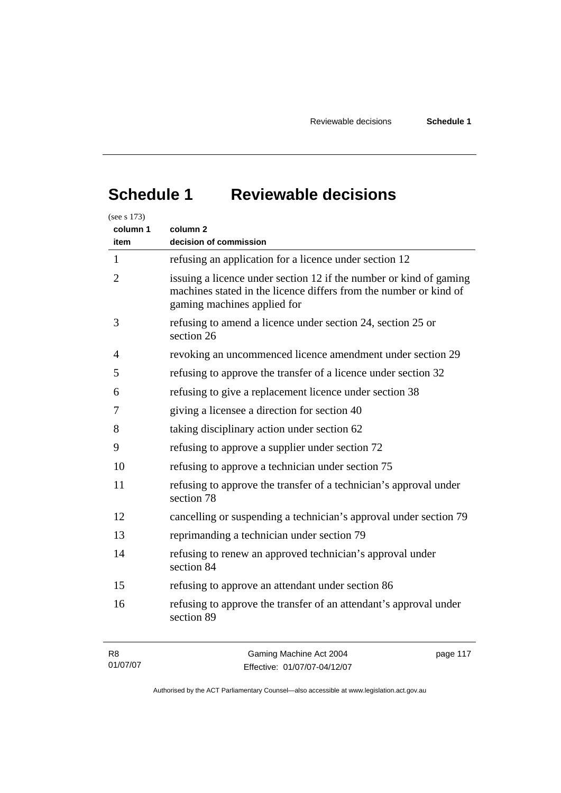# **Schedule 1 Reviewable decisions**

| (see s 173)                                                  |                                                                                                                                                                        |  |  |  |
|--------------------------------------------------------------|------------------------------------------------------------------------------------------------------------------------------------------------------------------------|--|--|--|
| column 1<br>item                                             | column <sub>2</sub><br>decision of commission                                                                                                                          |  |  |  |
| $\mathbf{1}$                                                 | refusing an application for a licence under section 12                                                                                                                 |  |  |  |
| $\overline{2}$                                               | issuing a licence under section 12 if the number or kind of gaming<br>machines stated in the licence differs from the number or kind of<br>gaming machines applied for |  |  |  |
| 3                                                            | refusing to amend a licence under section 24, section 25 or<br>section 26                                                                                              |  |  |  |
| 4                                                            | revoking an uncommenced licence amendment under section 29                                                                                                             |  |  |  |
| 5                                                            | refusing to approve the transfer of a licence under section 32                                                                                                         |  |  |  |
| refusing to give a replacement licence under section 38<br>6 |                                                                                                                                                                        |  |  |  |
| giving a licensee a direction for section 40<br>7            |                                                                                                                                                                        |  |  |  |
| 8                                                            | taking disciplinary action under section 62                                                                                                                            |  |  |  |
| 9                                                            | refusing to approve a supplier under section 72                                                                                                                        |  |  |  |
| 10                                                           | refusing to approve a technician under section 75                                                                                                                      |  |  |  |
| 11                                                           | refusing to approve the transfer of a technician's approval under<br>section 78                                                                                        |  |  |  |
| 12                                                           | cancelling or suspending a technician's approval under section 79                                                                                                      |  |  |  |
| 13                                                           | reprimanding a technician under section 79                                                                                                                             |  |  |  |
| 14                                                           | refusing to renew an approved technician's approval under<br>section 84                                                                                                |  |  |  |
| 15                                                           | refusing to approve an attendant under section 86                                                                                                                      |  |  |  |
| 16                                                           | refusing to approve the transfer of an attendant's approval under<br>section 89                                                                                        |  |  |  |
| R <sub>8</sub><br>01/07/07                                   | Gaming Machine Act 2004<br>page 117<br>$Fff$ ective: 01/07/07-04/12/07                                                                                                 |  |  |  |

Authorised by the ACT Parliamentary Counsel—also accessible at www.legislation.act.gov.au

Effective: 01/07/07-04/12/07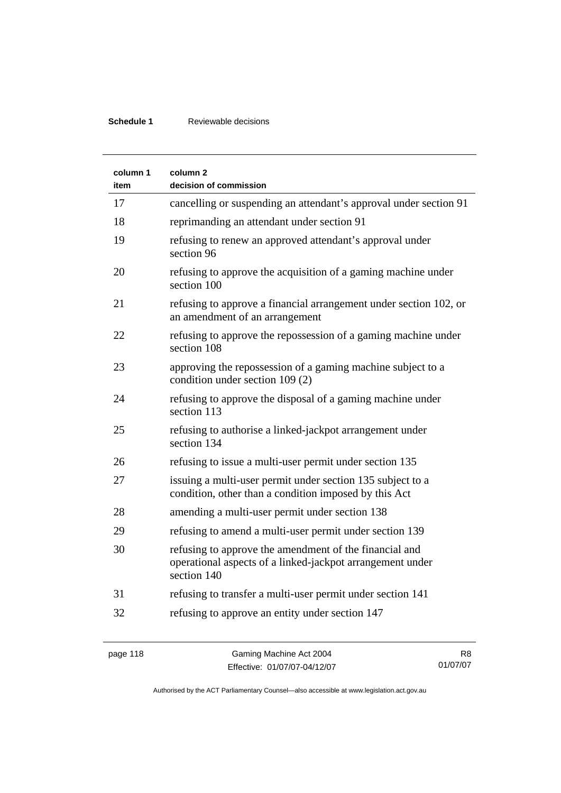### **Schedule 1** Reviewable decisions

| column 1<br>item | column <sub>2</sub><br>decision of commission                                                                                      |
|------------------|------------------------------------------------------------------------------------------------------------------------------------|
| 17               | cancelling or suspending an attendant's approval under section 91                                                                  |
| 18               | reprimanding an attendant under section 91                                                                                         |
| 19               | refusing to renew an approved attendant's approval under<br>section 96                                                             |
| 20               | refusing to approve the acquisition of a gaming machine under<br>section 100                                                       |
| 21               | refusing to approve a financial arrangement under section 102, or<br>an amendment of an arrangement                                |
| 22               | refusing to approve the repossession of a gaming machine under<br>section 108                                                      |
| 23               | approving the repossession of a gaming machine subject to a<br>condition under section 109 (2)                                     |
| 24               | refusing to approve the disposal of a gaming machine under<br>section 113                                                          |
| 25               | refusing to authorise a linked-jackpot arrangement under<br>section 134                                                            |
| 26               | refusing to issue a multi-user permit under section 135                                                                            |
| 27               | issuing a multi-user permit under section 135 subject to a<br>condition, other than a condition imposed by this Act                |
| 28               | amending a multi-user permit under section 138                                                                                     |
| 29               | refusing to amend a multi-user permit under section 139                                                                            |
| 30               | refusing to approve the amendment of the financial and<br>operational aspects of a linked-jackpot arrangement under<br>section 140 |
| 31               | refusing to transfer a multi-user permit under section 141                                                                         |
| 32               | refusing to approve an entity under section 147                                                                                    |

R8 01/07/07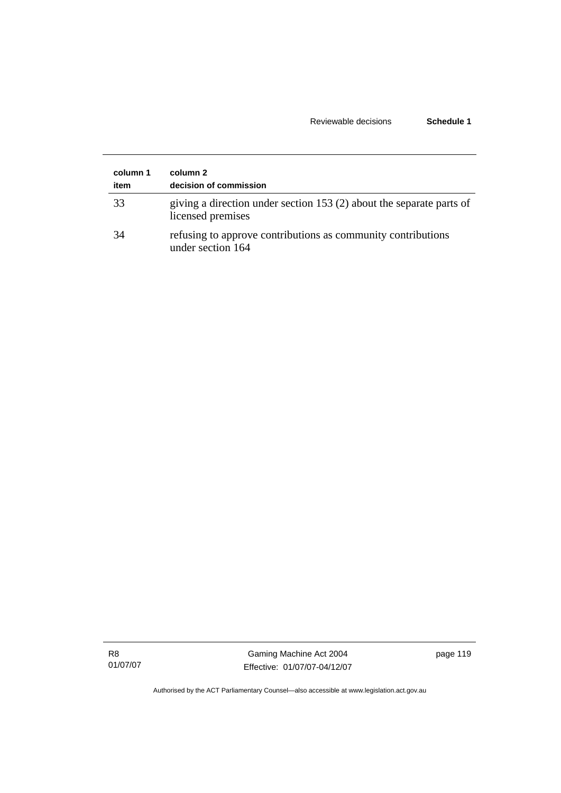### Reviewable decisions **Schedule 1**

| column 1<br>item | column 2<br>decision of commission                                                        |
|------------------|-------------------------------------------------------------------------------------------|
| 33               | giving a direction under section 153 (2) about the separate parts of<br>licensed premises |
| 34               | refusing to approve contributions as community contributions<br>under section 164         |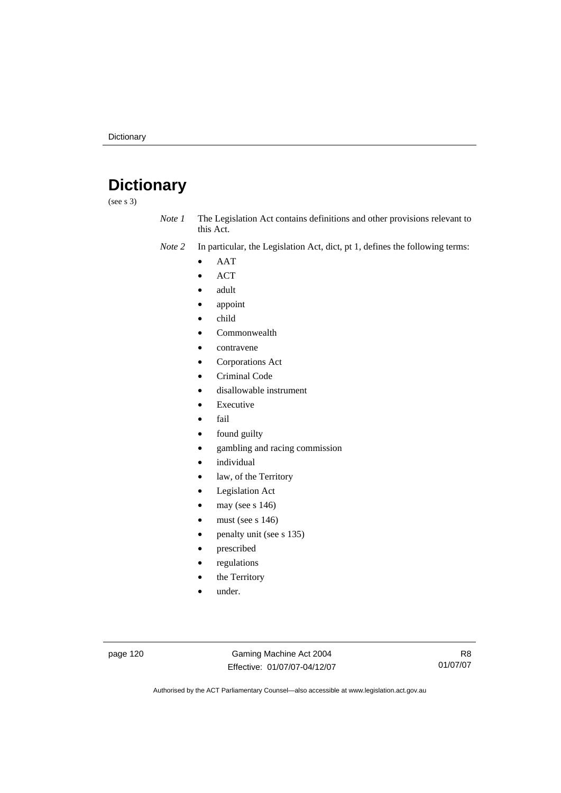# **Dictionary**

(see s 3)

*Note 1* The Legislation Act contains definitions and other provisions relevant to this Act.

*Note 2* In particular, the Legislation Act, dict, pt 1, defines the following terms:

- AAT
- ACT
- adult
- appoint
- child
- Commonwealth
- contravene
- Corporations Act
- Criminal Code
- disallowable instrument
- **Executive**
- fail
- found guilty
- gambling and racing commission
- *individual*
- law, of the Territory
- Legislation Act
- may (see s 146)
- must (see s  $146$ )
- penalty unit (see s 135)
- prescribed
- regulations
- the Territory
- under.

page 120 Gaming Machine Act 2004 Effective: 01/07/07-04/12/07

R8 01/07/07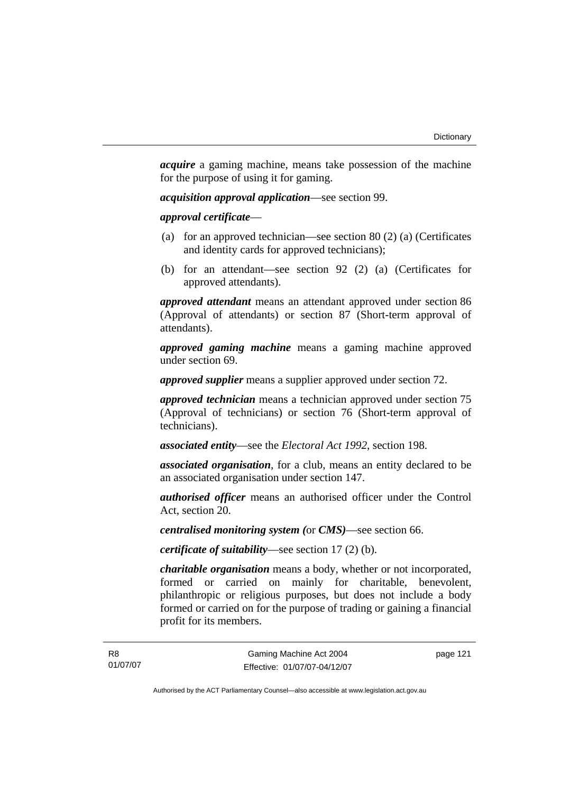*acquire* a gaming machine, means take possession of the machine for the purpose of using it for gaming.

*acquisition approval application*—see section 99.

*approval certificate*—

- (a) for an approved technician—see section 80 (2) (a) (Certificates and identity cards for approved technicians);
- (b) for an attendant—see section 92 (2) (a) (Certificates for approved attendants).

*approved attendant* means an attendant approved under section 86 (Approval of attendants) or section 87 (Short-term approval of attendants).

*approved gaming machine* means a gaming machine approved under section 69.

*approved supplier* means a supplier approved under section 72.

*approved technician* means a technician approved under section 75 (Approval of technicians) or section 76 (Short-term approval of technicians).

*associated entity*—see the *Electoral Act 1992*, section 198.

*associated organisation*, for a club, means an entity declared to be an associated organisation under section 147.

*authorised officer* means an authorised officer under the Control Act, section 20.

*centralised monitoring system (*or *CMS)*—see section 66.

*certificate of suitability*—see section 17 (2) (b).

*charitable organisation* means a body, whether or not incorporated, formed or carried on mainly for charitable, benevolent, philanthropic or religious purposes, but does not include a body formed or carried on for the purpose of trading or gaining a financial profit for its members.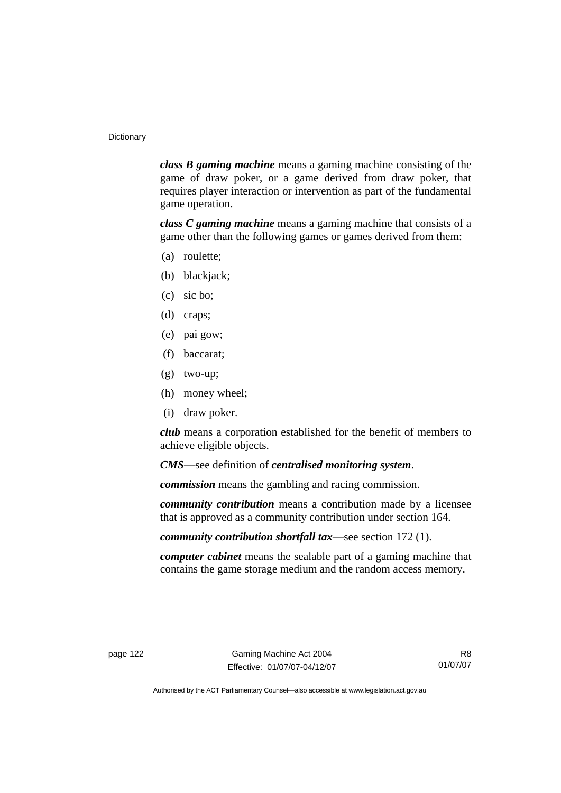*class B gaming machine* means a gaming machine consisting of the game of draw poker, or a game derived from draw poker, that requires player interaction or intervention as part of the fundamental game operation.

*class C gaming machine* means a gaming machine that consists of a game other than the following games or games derived from them:

- (a) roulette;
- (b) blackjack;
- (c) sic bo;
- (d) craps;
- (e) pai gow;
- (f) baccarat;
- (g) two-up;
- (h) money wheel;
- (i) draw poker.

*club* means a corporation established for the benefit of members to achieve eligible objects.

*CMS*—see definition of *centralised monitoring system*.

*commission* means the gambling and racing commission.

*community contribution* means a contribution made by a licensee that is approved as a community contribution under section 164.

*community contribution shortfall tax*—see section 172 (1).

*computer cabinet* means the sealable part of a gaming machine that contains the game storage medium and the random access memory.

R8 01/07/07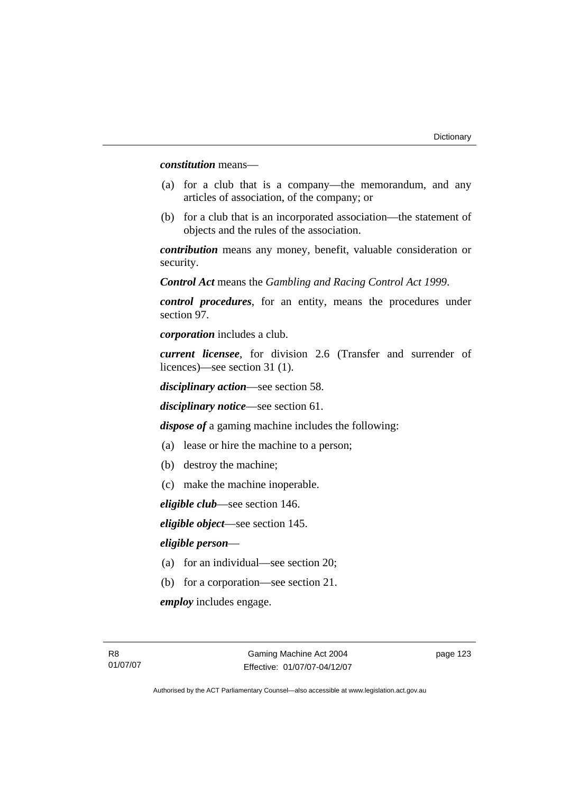*constitution* means—

- (a) for a club that is a company—the memorandum, and any articles of association, of the company; or
- (b) for a club that is an incorporated association—the statement of objects and the rules of the association.

*contribution* means any money, benefit, valuable consideration or security.

*Control Act* means the *Gambling and Racing Control Act 1999*.

*control procedures*, for an entity, means the procedures under section 97.

*corporation* includes a club.

*current licensee*, for division 2.6 (Transfer and surrender of licences)—see section 31 (1).

*disciplinary action*—see section 58.

*disciplinary notice*—see section 61.

*dispose of* a gaming machine includes the following:

- (a) lease or hire the machine to a person;
- (b) destroy the machine;
- (c) make the machine inoperable.

*eligible club*—see section 146.

*eligible object*—see section 145.

#### *eligible person*—

- (a) for an individual—see section 20;
- (b) for a corporation—see section 21.

*employ* includes engage.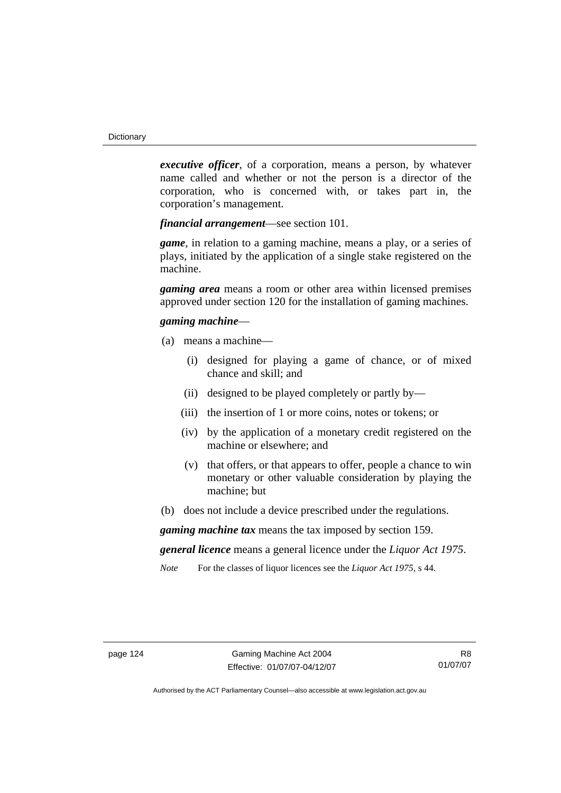*executive officer*, of a corporation, means a person, by whatever name called and whether or not the person is a director of the corporation, who is concerned with, or takes part in, the corporation's management.

*financial arrangement*—see section 101.

*game*, in relation to a gaming machine, means a play, or a series of plays, initiated by the application of a single stake registered on the machine.

*gaming area* means a room or other area within licensed premises approved under section 120 for the installation of gaming machines.

### *gaming machine*—

- (a) means a machine—
	- (i) designed for playing a game of chance, or of mixed chance and skill; and
	- (ii) designed to be played completely or partly by—
	- (iii) the insertion of 1 or more coins, notes or tokens; or
	- (iv) by the application of a monetary credit registered on the machine or elsewhere; and
	- (v) that offers, or that appears to offer, people a chance to win monetary or other valuable consideration by playing the machine; but
- (b) does not include a device prescribed under the regulations.

*gaming machine tax* means the tax imposed by section 159.

*general licence* means a general licence under the *Liquor Act 1975*.

*Note* For the classes of liquor licences see the *Liquor Act 1975*, s 44.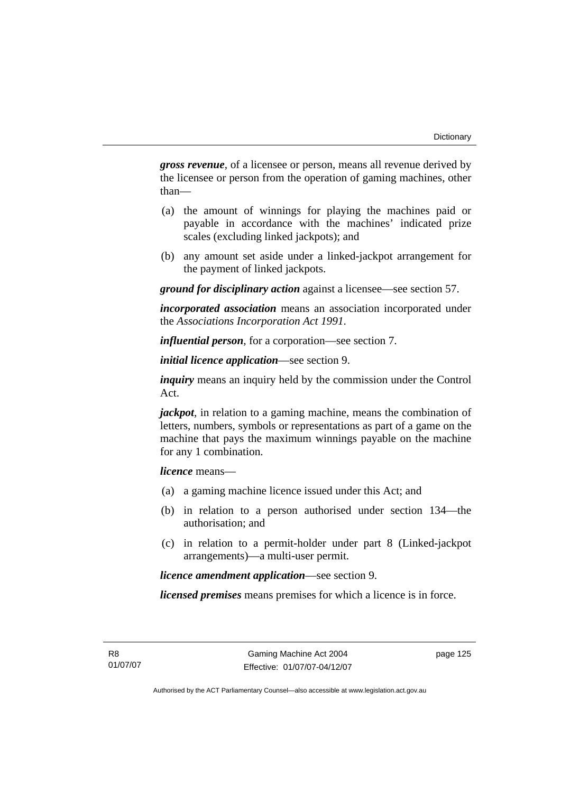*gross revenue*, of a licensee or person, means all revenue derived by the licensee or person from the operation of gaming machines, other than—

- (a) the amount of winnings for playing the machines paid or payable in accordance with the machines' indicated prize scales (excluding linked jackpots); and
- (b) any amount set aside under a linked-jackpot arrangement for the payment of linked jackpots.

*ground for disciplinary action* against a licensee—see section 57.

*incorporated association* means an association incorporated under the *Associations Incorporation Act 1991*.

*influential person*, for a corporation—see section 7.

*initial licence application*—see section 9.

*inquiry* means an inquiry held by the commission under the Control Act.

*jackpot*, in relation to a gaming machine, means the combination of letters, numbers, symbols or representations as part of a game on the machine that pays the maximum winnings payable on the machine for any 1 combination.

*licence* means—

- (a) a gaming machine licence issued under this Act; and
- (b) in relation to a person authorised under section 134—the authorisation; and
- (c) in relation to a permit-holder under part 8 (Linked-jackpot arrangements)—a multi-user permit.

*licence amendment application*—see section 9.

*licensed premises* means premises for which a licence is in force.

R8 01/07/07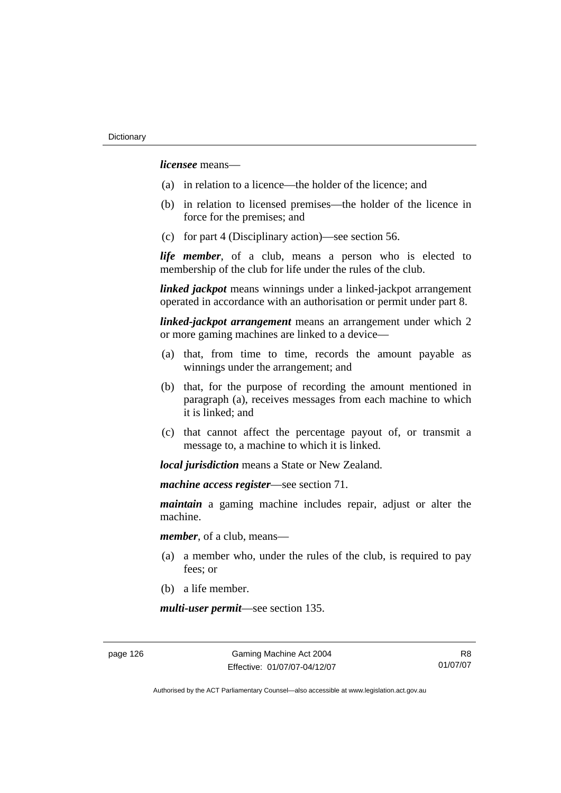*licensee* means—

- (a) in relation to a licence—the holder of the licence; and
- (b) in relation to licensed premises—the holder of the licence in force for the premises; and
- (c) for part 4 (Disciplinary action)—see section 56.

*life member*, of a club, means a person who is elected to membership of the club for life under the rules of the club.

*linked jackpot* means winnings under a linked-jackpot arrangement operated in accordance with an authorisation or permit under part 8.

*linked-jackpot arrangement* means an arrangement under which 2 or more gaming machines are linked to a device—

- (a) that, from time to time, records the amount payable as winnings under the arrangement; and
- (b) that, for the purpose of recording the amount mentioned in paragraph (a), receives messages from each machine to which it is linked; and
- (c) that cannot affect the percentage payout of, or transmit a message to, a machine to which it is linked.

*local jurisdiction* means a State or New Zealand.

*machine access register*—see section 71.

*maintain* a gaming machine includes repair, adjust or alter the machine.

*member*, of a club, means—

- (a) a member who, under the rules of the club, is required to pay fees; or
- (b) a life member.

*multi-user permit*—see section 135.

page 126 Gaming Machine Act 2004 Effective: 01/07/07-04/12/07

R8 01/07/07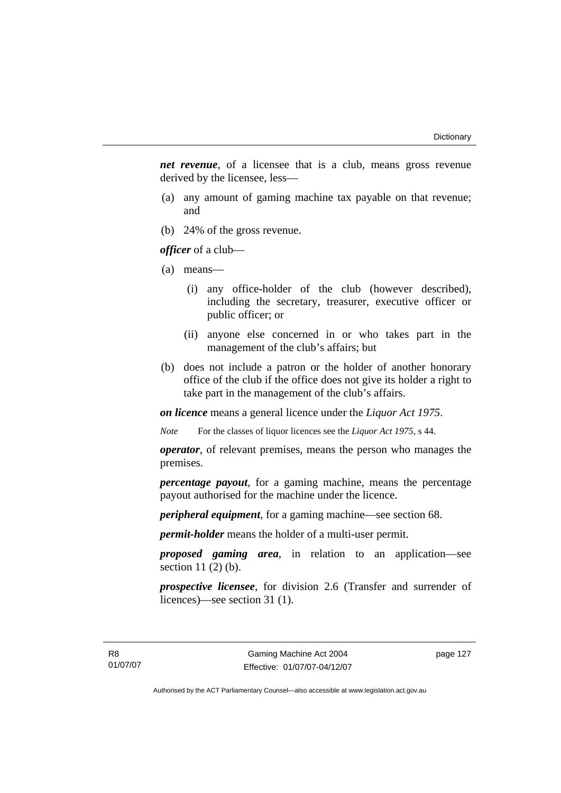*net revenue*, of a licensee that is a club, means gross revenue derived by the licensee, less—

- (a) any amount of gaming machine tax payable on that revenue; and
- (b) 24% of the gross revenue.

*officer* of a club—

- (a) means—
	- (i) any office-holder of the club (however described), including the secretary, treasurer, executive officer or public officer; or
	- (ii) anyone else concerned in or who takes part in the management of the club's affairs; but
- (b) does not include a patron or the holder of another honorary office of the club if the office does not give its holder a right to take part in the management of the club's affairs.

*on licence* means a general licence under the *Liquor Act 1975*.

*Note* For the classes of liquor licences see the *Liquor Act 1975*, s 44.

*operator*, of relevant premises, means the person who manages the premises.

*percentage payout*, for a gaming machine, means the percentage payout authorised for the machine under the licence.

*peripheral equipment*, for a gaming machine—see section 68.

*permit-holder* means the holder of a multi-user permit.

*proposed gaming area*, in relation to an application—see section 11 (2) (b).

*prospective licensee*, for division 2.6 (Transfer and surrender of licences)—see section 31 (1).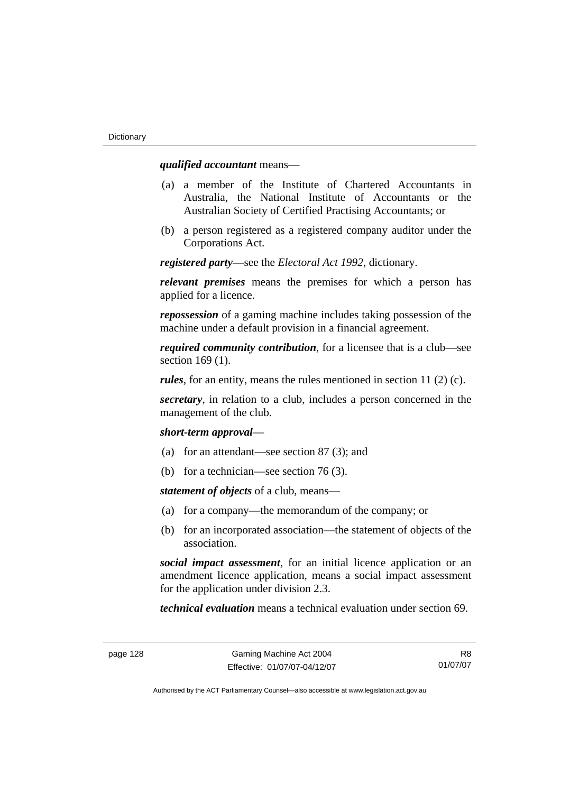### *qualified accountant* means—

- (a) a member of the Institute of Chartered Accountants in Australia, the National Institute of Accountants or the Australian Society of Certified Practising Accountants; or
- (b) a person registered as a registered company auditor under the Corporations Act.

*registered party*—see the *Electoral Act 1992*, dictionary.

*relevant premises* means the premises for which a person has applied for a licence.

*repossession* of a gaming machine includes taking possession of the machine under a default provision in a financial agreement.

*required community contribution*, for a licensee that is a club—see section 169 (1).

*rules*, for an entity, means the rules mentioned in section 11 (2) (c).

*secretary*, in relation to a club, includes a person concerned in the management of the club.

*short-term approval*—

- (a) for an attendant—see section 87 (3); and
- (b) for a technician—see section 76 (3).

*statement of objects* of a club, means—

- (a) for a company—the memorandum of the company; or
- (b) for an incorporated association—the statement of objects of the association.

*social impact assessment*, for an initial licence application or an amendment licence application, means a social impact assessment for the application under division 2.3.

*technical evaluation* means a technical evaluation under section 69.

R8 01/07/07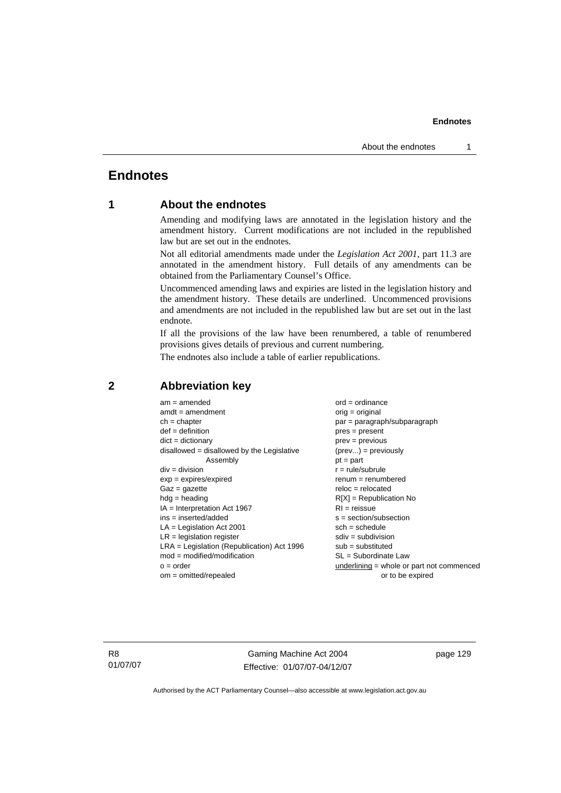### **Endnotes**

### **1 About the endnotes**

Amending and modifying laws are annotated in the legislation history and the amendment history. Current modifications are not included in the republished law but are set out in the endnotes.

Not all editorial amendments made under the *Legislation Act 2001*, part 11.3 are annotated in the amendment history. Full details of any amendments can be obtained from the Parliamentary Counsel's Office.

Uncommenced amending laws and expiries are listed in the legislation history and the amendment history. These details are underlined. Uncommenced provisions and amendments are not included in the republished law but are set out in the last endnote.

If all the provisions of the law have been renumbered, a table of renumbered provisions gives details of previous and current numbering.

The endnotes also include a table of earlier republications.

| $am = amended$                               | $ord = ordinance$                         |
|----------------------------------------------|-------------------------------------------|
| $amdt = amendment$                           | $orig = original$                         |
| $ch = chapter$                               | $par = paragraph/subparagraph$            |
| $def = definition$                           | $pres = present$                          |
| $dict = dictionary$                          | $prev = previous$                         |
| $disallowed = disallowed by the Legislative$ | $(\text{prev}) = \text{previously}$       |
| Assembly                                     | $pt = part$                               |
| $div = division$                             | $r = rule/subrule$                        |
| $exp = expires/expired$                      | $remum = renumbered$                      |
| $Gaz = gazette$                              | $reloc = relocated$                       |
| $hdg =$ heading                              | $R[X]$ = Republication No                 |
| $IA = Interpretation Act 1967$               | $RI = reissue$                            |
| $ins = inserted/added$                       | $s = section/subsection$                  |
| $LA =$ Legislation Act 2001                  | $sch = schedule$                          |
| $LR =$ legislation register                  | $sdiv = subdivision$                      |
| $LRA =$ Legislation (Republication) Act 1996 | $sub =$ substituted                       |
| $mod = modified/modification$                | SL = Subordinate Law                      |
| $o = order$                                  | underlining = whole or part not commenced |
| $om = omitted/report$                        | or to be expired                          |
|                                              |                                           |

### **2 Abbreviation key**

R8 01/07/07

Gaming Machine Act 2004 Effective: 01/07/07-04/12/07 page 129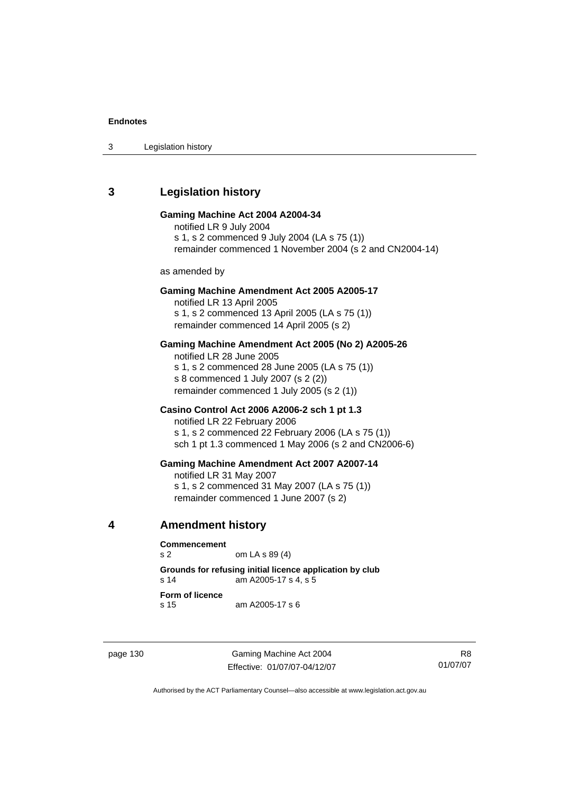3 Legislation history

### **3 Legislation history**

#### **Gaming Machine Act 2004 A2004-34**

notified LR 9 July 2004 s 1, s 2 commenced 9 July 2004 (LA s 75 (1)) remainder commenced 1 November 2004 (s 2 and CN2004-14)

as amended by

#### **Gaming Machine Amendment Act 2005 A2005-17**

notified LR 13 April 2005 s 1, s 2 commenced 13 April 2005 (LA s 75 (1)) remainder commenced 14 April 2005 (s 2)

#### **Gaming Machine Amendment Act 2005 (No 2) A2005-26**

notified LR 28 June 2005 s 1, s 2 commenced 28 June 2005 (LA s 75 (1)) s 8 commenced 1 July 2007 (s 2 (2)) remainder commenced 1 July 2005 (s 2 (1))

### **Casino Control Act 2006 A2006-2 sch 1 pt 1.3**

notified LR 22 February 2006 s 1, s 2 commenced 22 February 2006 (LA s 75 (1)) sch 1 pt 1.3 commenced 1 May 2006 (s 2 and CN2006-6)

#### **Gaming Machine Amendment Act 2007 A2007-14**

notified LR 31 May 2007 s 1, s 2 commenced 31 May 2007 (LA s 75 (1)) remainder commenced 1 June 2007 (s 2)

**4 Amendment history** 

**Commencement** 

s 2 om LA s 89 (4)

**Grounds for refusing initial licence application by club**  s 14 am A2005-17 s 4, s 5

**Form of licence** 

s 15 am A2005-17 s 6

page 130 Gaming Machine Act 2004 Effective: 01/07/07-04/12/07

R8 01/07/07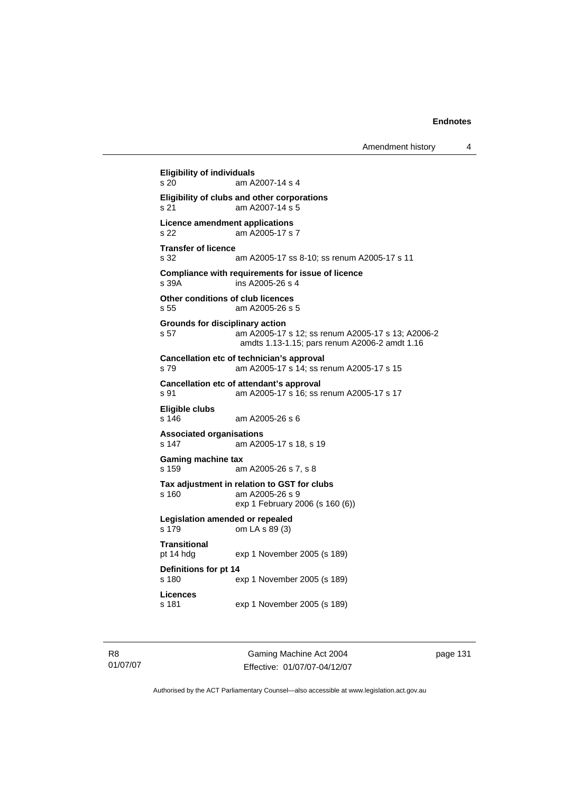**Eligibility of individuals**  s 20 am A2007-14 s 4 **Eligibility of clubs and other corporations**  s 21 am A2007-14 s 5 **Licence amendment applications**  s 22 am A2005-17 s 7 **Transfer of licence**  s 32 am A2005-17 ss 8-10; ss renum A2005-17 s 11 **Compliance with requirements for issue of licence**  s 39A ins A2005-26 s 4 **Other conditions of club licences**  s 55 am A2005-26 s 5 **Grounds for disciplinary action**  s 57 am A2005-17 s 12; ss renum A2005-17 s 13; A2006-2 amdts 1.13-1.15; pars renum A2006-2 amdt 1.16 **Cancellation etc of technician's approval**  s 79 am A2005-17 s 14; ss renum A2005-17 s 15 **Cancellation etc of attendant's approval**  s 91 am A2005-17 s 16; ss renum A2005-17 s 17 **Eligible clubs**  am A2005-26 s 6 **Associated organisations**  s 147 am A2005-17 s 18, s 19 **Gaming machine tax**  s 159 am A2005-26 s 7, s 8 **Tax adjustment in relation to GST for clubs**  s 160 am A2005-26 s 9 exp 1 February 2006 (s 160 (6)) **Legislation amended or repealed**  s 179 om LA s 89 (3) **Transitional**  pt 14 hdg exp 1 November 2005 (s 189) **Definitions for pt 14**  s 180 exp 1 November 2005 (s 189) **Licences**  s 181 exp 1 November 2005 (s 189)

R8 01/07/07

Gaming Machine Act 2004 Effective: 01/07/07-04/12/07 page 131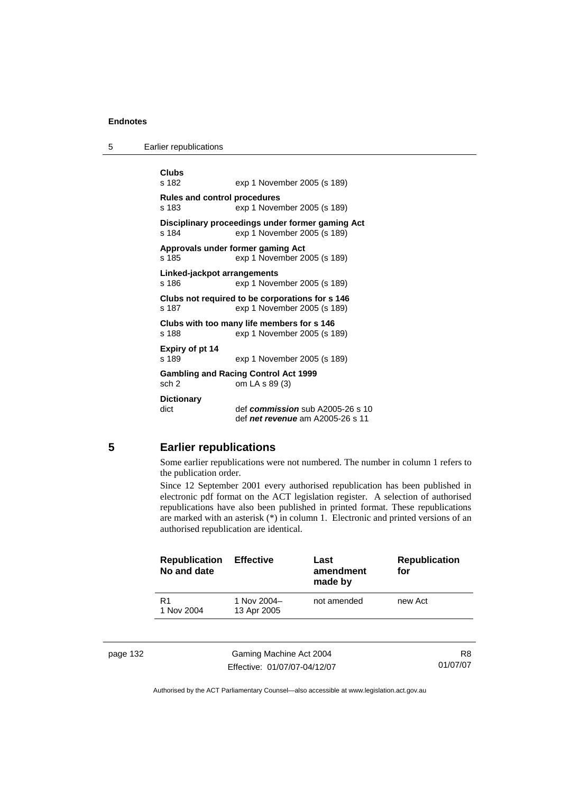5 Earlier republications

```
Clubs 
                exp 1 November 2005 (s 189)
Rules and control procedures 
s 183 exp 1 November 2005 (s 189) 
Disciplinary proceedings under former gaming Act 
s 184 exp 1 November 2005 (s 189) 
Approvals under former gaming Act 
s 185 exp 1 November 2005 (s 189) 
Linked-jackpot arrangements 
s 186 exp 1 November 2005 (s 189)
Clubs not required to be corporations for s 146 
s 187 exp 1 November 2005 (s 189) 
Clubs with too many life members for s 146 
s 188 exp 1 November 2005 (s 189) 
Expiry of pt 14 
s 189 exp 1 November 2005 (s 189) 
Gambling and Racing Control Act 1999 
sch 2 om LA s 89 (3) 
Dictionary 
dict def commission sub A2005-26 s 10 
                 def net revenue am A2005-26 s 11
```
#### **5 Earlier republications**

Some earlier republications were not numbered. The number in column 1 refers to the publication order.

Since 12 September 2001 every authorised republication has been published in electronic pdf format on the ACT legislation register. A selection of authorised republications have also been published in printed format. These republications are marked with an asterisk (\*) in column 1. Electronic and printed versions of an authorised republication are identical.

|          | <b>Republication</b><br>No and date | <b>Effective</b>           | Last<br>amendment<br>made by | <b>Republication</b><br>for |  |
|----------|-------------------------------------|----------------------------|------------------------------|-----------------------------|--|
|          | R1<br>1 Nov 2004                    | 1 Nov 2004-<br>13 Apr 2005 | not amended                  | new Act                     |  |
| page 132 |                                     | Gaming Machine Act 2004    |                              | R8                          |  |

Effective: 01/07/07-04/12/07

01/07/07